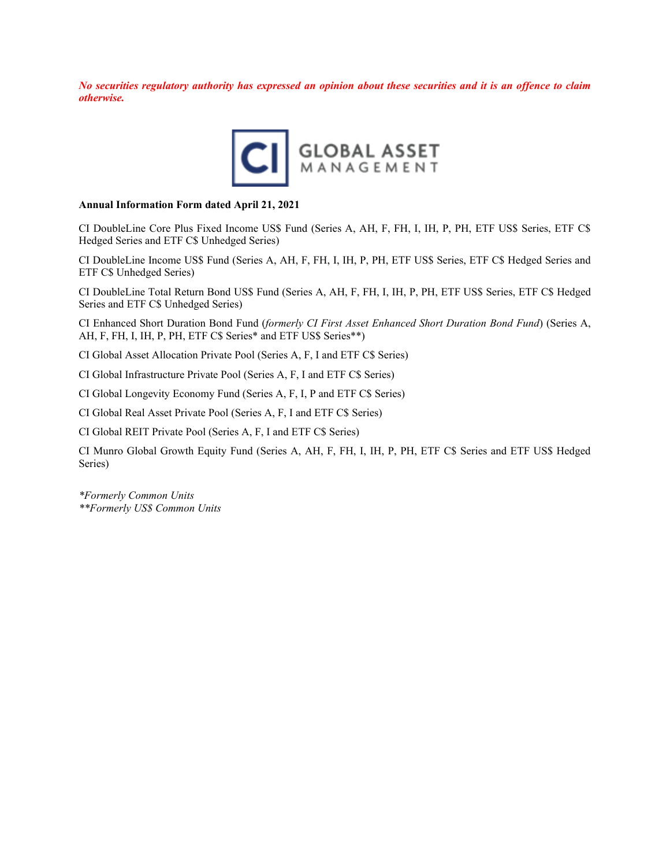*No securities regulatory authority has expressed an opinion about these securities and it is an offence to claim otherwise.*



#### **Annual Information Form dated April 21, 2021**

CI DoubleLine Core Plus Fixed Income US\$ Fund (Series A, AH, F, FH, I, IH, P, PH, ETF US\$ Series, ETF C\$ Hedged Series and ETF C\$ Unhedged Series)

CI DoubleLine Income US\$ Fund (Series A, AH, F, FH, I, IH, P, PH, ETF US\$ Series, ETF C\$ Hedged Series and ETF C\$ Unhedged Series)

CI DoubleLine Total Return Bond US\$ Fund (Series A, AH, F, FH, I, IH, P, PH, ETF US\$ Series, ETF C\$ Hedged Series and ETF C\$ Unhedged Series)

CI Enhanced Short Duration Bond Fund (*formerly CI First Asset Enhanced Short Duration Bond Fund*) (Series A, AH, F, FH, I, IH, P, PH, ETF C\$ Series\* and ETF US\$ Series\*\*)

CI Global Asset Allocation Private Pool (Series A, F, I and ETF C\$ Series)

CI Global Infrastructure Private Pool (Series A, F, I and ETF C\$ Series)

CI Global Longevity Economy Fund (Series A, F, I, P and ETF C\$ Series)

CI Global Real Asset Private Pool (Series A, F, I and ETF C\$ Series)

CI Global REIT Private Pool (Series A, F, I and ETF C\$ Series)

CI Munro Global Growth Equity Fund (Series A, AH, F, FH, I, IH, P, PH, ETF C\$ Series and ETF US\$ Hedged Series)

*\*Formerly Common Units \*\*Formerly US\$ Common Units*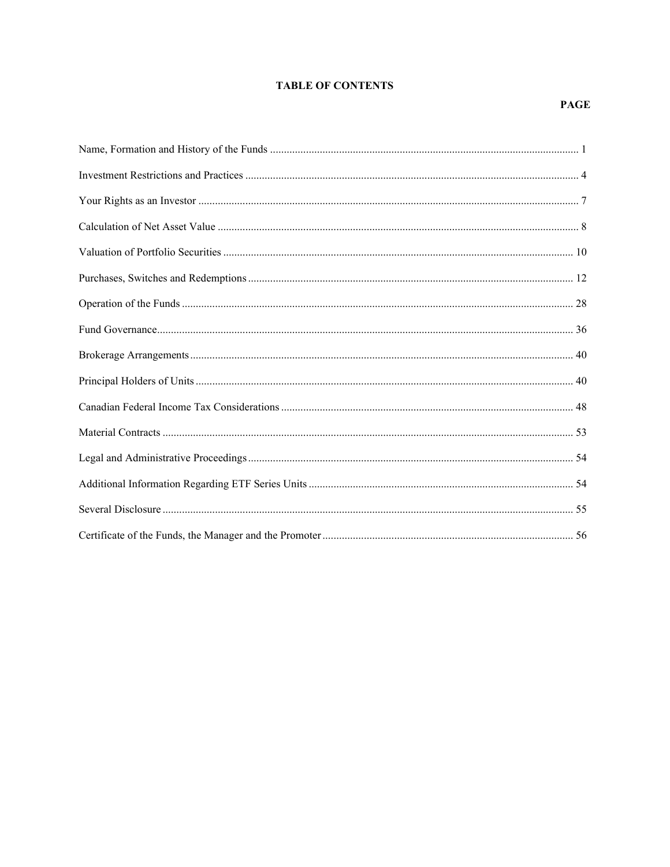## **TABLE OF CONTENTS**

## **PAGE**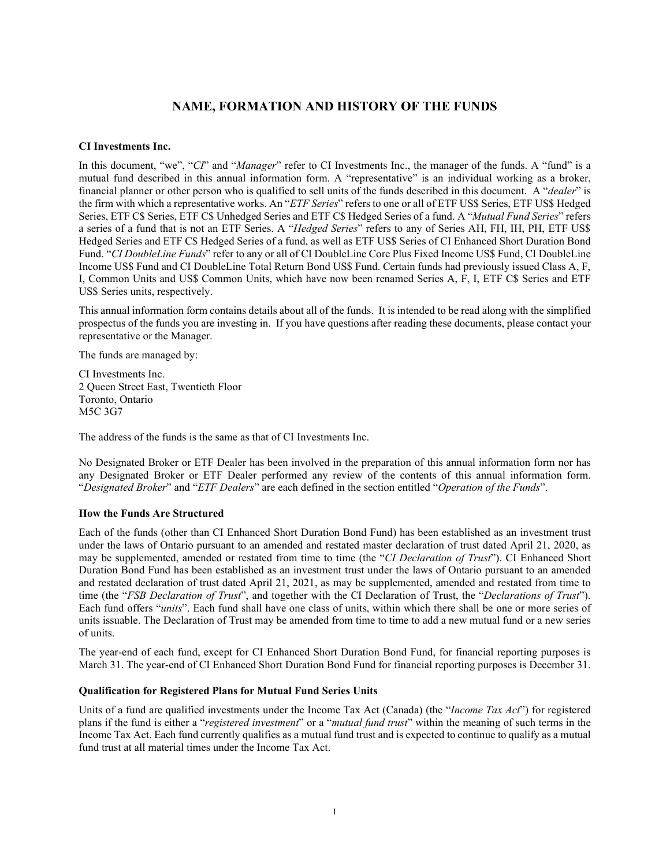# **NAME, FORMATION AND HISTORY OF THE FUNDS**

### <span id="page-2-0"></span>**CI Investments Inc.**

In this document, "we", "*CI*" and "*Manager*" refer to CI Investments Inc., the manager of the funds. A "fund" is a mutual fund described in this annual information form. A "representative" is an individual working as a broker, financial planner or other person who is qualified to sell units of the funds described in this document. A "*dealer*" is the firm with which a representative works. An "*ETF Series*" refers to one or all of ETF US\$ Series, ETF US\$ Hedged Series, ETF C\$ Series, ETF C\$ Unhedged Series and ETF C\$ Hedged Series of a fund. A "*Mutual Fund Series*" refers a series of a fund that is not an ETF Series. A "*Hedged Series*" refers to any of Series AH, FH, IH, PH, ETF US\$ Hedged Series and ETF C\$ Hedged Series of a fund, as well as ETF US\$ Series of CI Enhanced Short Duration Bond Fund. "*CI DoubleLine Funds*" refer to any or all of CI DoubleLine Core Plus Fixed Income US\$ Fund, CI DoubleLine Income US\$ Fund and CI DoubleLine Total Return Bond US\$ Fund. Certain funds had previously issued Class A, F, I, Common Units and US\$ Common Units, which have now been renamed Series A, F, I, ETF C\$ Series and ETF US\$ Series units, respectively.

This annual information form contains details about all of the funds. It is intended to be read along with the simplified prospectus of the funds you are investing in. If you have questions after reading these documents, please contact your representative or the Manager.

The funds are managed by:

CI Investments Inc. 2 Queen Street East, Twentieth Floor Toronto, Ontario M5C 3G7

The address of the funds is the same as that of CI Investments Inc.

No Designated Broker or ETF Dealer has been involved in the preparation of this annual information form nor has any Designated Broker or ETF Dealer performed any review of the contents of this annual information form. "*Designated Broker*" and "*ETF Dealers*" are each defined in the section entitled "*Operation of the Funds*".

#### **How the Funds Are Structured**

Each of the funds (other than CI Enhanced Short Duration Bond Fund) has been established as an investment trust under the laws of Ontario pursuant to an amended and restated master declaration of trust dated April 21, 2020, as may be supplemented, amended or restated from time to time (the "*CI Declaration of Trust*"). CI Enhanced Short Duration Bond Fund has been established as an investment trust under the laws of Ontario pursuant to an amended and restated declaration of trust dated April 21, 2021, as may be supplemented, amended and restated from time to time (the "*FSB Declaration of Trust*", and together with the CI Declaration of Trust, the "*Declarations of Trust*"). Each fund offers "*units*". Each fund shall have one class of units, within which there shall be one or more series of units issuable. The Declaration of Trust may be amended from time to time to add a new mutual fund or a new series of units.

The year-end of each fund, except for CI Enhanced Short Duration Bond Fund, for financial reporting purposes is March 31. The year-end of CI Enhanced Short Duration Bond Fund for financial reporting purposes is December 31.

#### **Qualification for Registered Plans for Mutual Fund Series Units**

Units of a fund are qualified investments under the Income Tax Act (Canada) (the "*Income Tax Act*") for registered plans if the fund is either a "*registered investment*" or a "*mutual fund trust*" within the meaning of such terms in the Income Tax Act. Each fund currently qualifies as a mutual fund trust and is expected to continue to qualify as a mutual fund trust at all material times under the Income Tax Act.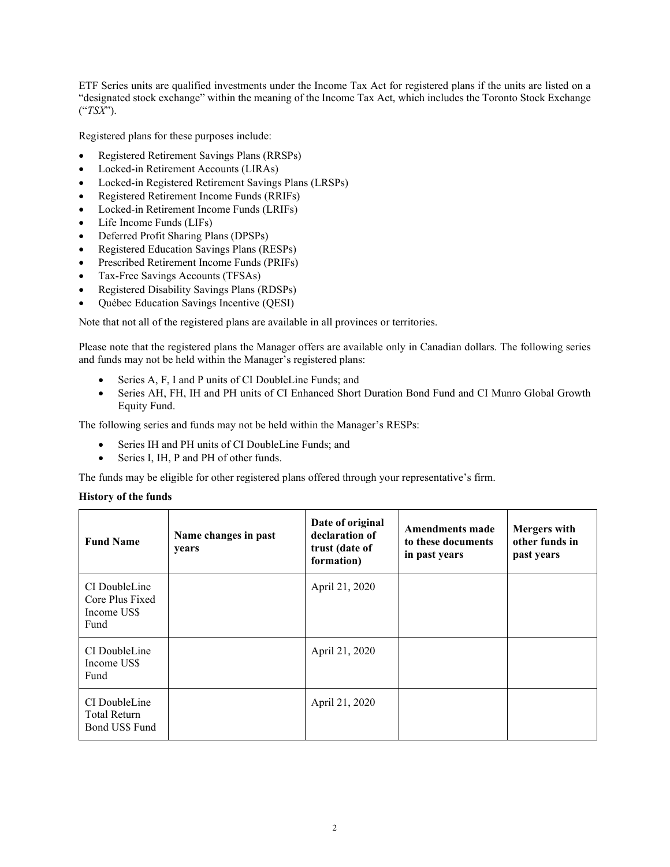ETF Series units are qualified investments under the Income Tax Act for registered plans if the units are listed on a "designated stock exchange" within the meaning of the Income Tax Act, which includes the Toronto Stock Exchange ("*TSX*").

Registered plans for these purposes include:

- Registered Retirement Savings Plans (RRSPs)
- Locked-in Retirement Accounts (LIRAs)
- Locked-in Registered Retirement Savings Plans (LRSPs)
- Registered Retirement Income Funds (RRIFs)
- Locked-in Retirement Income Funds (LRIFs)
- Life Income Funds (LIFs)
- Deferred Profit Sharing Plans (DPSPs)
- Registered Education Savings Plans (RESPs)
- Prescribed Retirement Income Funds (PRIFs)
- Tax-Free Savings Accounts (TFSAs)
- Registered Disability Savings Plans (RDSPs)
- Québec Education Savings Incentive (QESI)

Note that not all of the registered plans are available in all provinces or territories.

Please note that the registered plans the Manager offers are available only in Canadian dollars. The following series and funds may not be held within the Manager's registered plans:

- Series A, F, I and P units of CI DoubleLine Funds; and
- Series AH, FH, IH and PH units of CI Enhanced Short Duration Bond Fund and CI Munro Global Growth Equity Fund.

The following series and funds may not be held within the Manager's RESPs:

- Series IH and PH units of CI DoubleLine Funds; and
- Series I, IH, P and PH of other funds.

The funds may be eligible for other registered plans offered through your representative's firm.

#### **History of the funds**

| <b>Fund Name</b>                                        | Name changes in past<br>years | Date of original<br>declaration of<br>trust (date of<br>formation) | Amendments made<br>to these documents<br>in past years | <b>Mergers</b> with<br>other funds in<br>past years |
|---------------------------------------------------------|-------------------------------|--------------------------------------------------------------------|--------------------------------------------------------|-----------------------------------------------------|
| CI DoubleLine<br>Core Plus Fixed<br>Income US\$<br>Fund |                               | April 21, 2020                                                     |                                                        |                                                     |
| CI DoubleLine<br>Income US\$<br>Fund                    |                               | April 21, 2020                                                     |                                                        |                                                     |
| CI DoubleLine<br>Total Return<br>Bond US\$ Fund         |                               | April 21, 2020                                                     |                                                        |                                                     |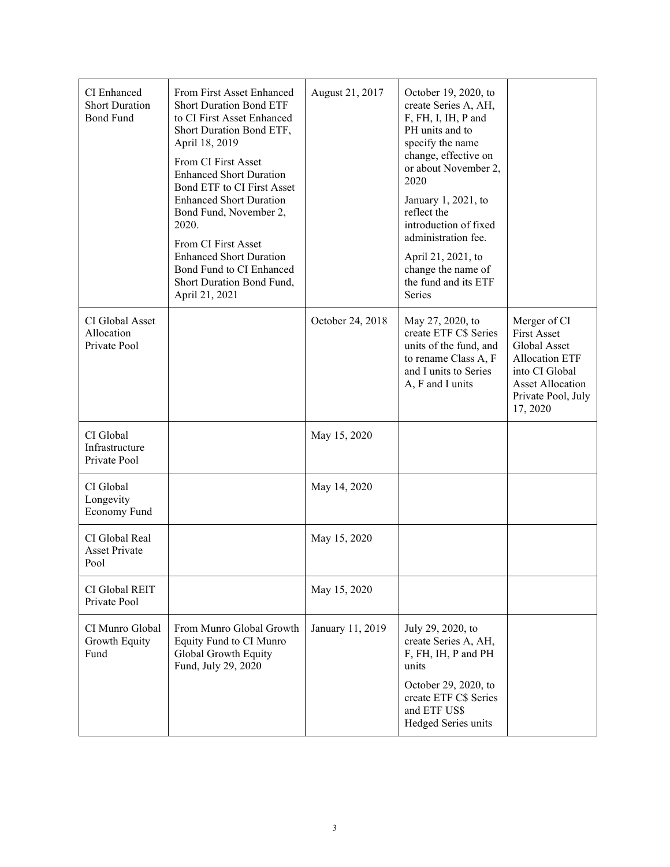| CI Enhanced<br><b>Short Duration</b><br><b>Bond Fund</b> | From First Asset Enhanced<br><b>Short Duration Bond ETF</b><br>to CI First Asset Enhanced<br>Short Duration Bond ETF,<br>April 18, 2019<br>From CI First Asset<br><b>Enhanced Short Duration</b><br>Bond ETF to CI First Asset<br><b>Enhanced Short Duration</b><br>Bond Fund, November 2,<br>2020.<br>From CI First Asset<br><b>Enhanced Short Duration</b><br>Bond Fund to CI Enhanced<br>Short Duration Bond Fund,<br>April 21, 2021 | August 21, 2017  | October 19, 2020, to<br>create Series A, AH,<br>F, FH, I, IH, P and<br>PH units and to<br>specify the name<br>change, effective on<br>or about November 2,<br>2020<br>January 1, 2021, to<br>reflect the<br>introduction of fixed<br>administration fee.<br>April 21, 2021, to<br>change the name of<br>the fund and its ETF<br>Series |                                                                                                                                                            |
|----------------------------------------------------------|-----------------------------------------------------------------------------------------------------------------------------------------------------------------------------------------------------------------------------------------------------------------------------------------------------------------------------------------------------------------------------------------------------------------------------------------|------------------|----------------------------------------------------------------------------------------------------------------------------------------------------------------------------------------------------------------------------------------------------------------------------------------------------------------------------------------|------------------------------------------------------------------------------------------------------------------------------------------------------------|
| CI Global Asset<br>Allocation<br>Private Pool            |                                                                                                                                                                                                                                                                                                                                                                                                                                         | October 24, 2018 | May 27, 2020, to<br>create ETF C\$ Series<br>units of the fund, and<br>to rename Class A, F<br>and I units to Series<br>A, F and I units                                                                                                                                                                                               | Merger of CI<br><b>First Asset</b><br>Global Asset<br><b>Allocation ETF</b><br>into CI Global<br><b>Asset Allocation</b><br>Private Pool, July<br>17, 2020 |
| CI Global<br>Infrastructure<br>Private Pool              |                                                                                                                                                                                                                                                                                                                                                                                                                                         | May 15, 2020     |                                                                                                                                                                                                                                                                                                                                        |                                                                                                                                                            |
| CI Global<br>Longevity<br>Economy Fund                   |                                                                                                                                                                                                                                                                                                                                                                                                                                         | May 14, 2020     |                                                                                                                                                                                                                                                                                                                                        |                                                                                                                                                            |
| CI Global Real<br><b>Asset Private</b><br>Pool           |                                                                                                                                                                                                                                                                                                                                                                                                                                         | May 15, 2020     |                                                                                                                                                                                                                                                                                                                                        |                                                                                                                                                            |
| CI Global REIT<br>Private Pool                           |                                                                                                                                                                                                                                                                                                                                                                                                                                         | May 15, 2020     |                                                                                                                                                                                                                                                                                                                                        |                                                                                                                                                            |
| CI Munro Global<br>Growth Equity<br>Fund                 | From Munro Global Growth<br>Equity Fund to CI Munro<br>Global Growth Equity<br>Fund, July 29, 2020                                                                                                                                                                                                                                                                                                                                      | January 11, 2019 | July 29, 2020, to<br>create Series A, AH,<br>F, FH, IH, P and PH<br>units<br>October 29, 2020, to<br>create ETF C\$ Series<br>and ETF US\$<br>Hedged Series units                                                                                                                                                                      |                                                                                                                                                            |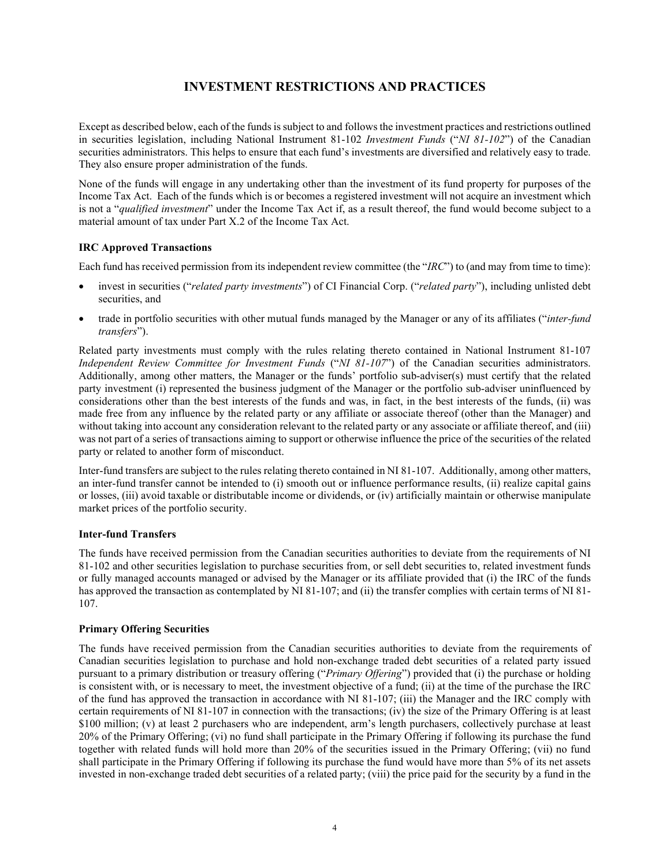# **INVESTMENT RESTRICTIONS AND PRACTICES**

<span id="page-5-0"></span>Except as described below, each of the fundsis subject to and follows the investment practices and restrictions outlined in securities legislation, including National Instrument 81-102 *Investment Funds* ("*NI 81-102*") of the Canadian securities administrators. This helps to ensure that each fund's investments are diversified and relatively easy to trade. They also ensure proper administration of the funds.

None of the funds will engage in any undertaking other than the investment of its fund property for purposes of the Income Tax Act.Each of the funds which is or becomes a registered investment will not acquire an investment which is not a "*qualified investment*" under the Income Tax Act if, as a result thereof, the fund would become subject to a material amount of tax under Part X.2 of the Income Tax Act.

## **IRC Approved Transactions**

Each fund has received permission from its independent review committee (the "*IRC*") to (and may from time to time):

- invest in securities ("*related party investments*") of CI Financial Corp. ("*related party*"), including unlisted debt securities, and
- trade in portfolio securities with other mutual funds managed by the Manager or any of its affiliates ("*inter-fund transfers*").

Related party investments must comply with the rules relating thereto contained in National Instrument 81-107 *Independent Review Committee for Investment Funds* ("*NI 81-107*") of the Canadian securities administrators. Additionally, among other matters, the Manager or the funds' portfolio sub-adviser(s) must certify that the related party investment (i) represented the business judgment of the Manager or the portfolio sub-adviser uninfluenced by considerations other than the best interests of the funds and was, in fact, in the best interests of the funds, (ii) was made free from any influence by the related party or any affiliate or associate thereof (other than the Manager) and without taking into account any consideration relevant to the related party or any associate or affiliate thereof, and (iii) was not part of a series of transactions aiming to support or otherwise influence the price of the securities of the related party or related to another form of misconduct.

Inter-fund transfers are subject to the rules relating thereto contained in NI 81-107. Additionally, among other matters, an inter-fund transfer cannot be intended to (i) smooth out or influence performance results, (ii) realize capital gains or losses, (iii) avoid taxable or distributable income or dividends, or (iv) artificially maintain or otherwise manipulate market prices of the portfolio security.

## **Inter-fund Transfers**

The funds have received permission from the Canadian securities authorities to deviate from the requirements of NI 81-102 and other securities legislation to purchase securities from, or sell debt securities to, related investment funds or fully managed accounts managed or advised by the Manager or its affiliate provided that (i) the IRC of the funds has approved the transaction as contemplated by NI 81-107; and (ii) the transfer complies with certain terms of NI 81-107.

## **Primary Offering Securities**

The funds have received permission from the Canadian securities authorities to deviate from the requirements of Canadian securities legislation to purchase and hold non-exchange traded debt securities of a related party issued pursuant to a primary distribution or treasury offering ("*Primary Offering*") provided that (i) the purchase or holding is consistent with, or is necessary to meet, the investment objective of a fund; (ii) at the time of the purchase the IRC of the fund has approved the transaction in accordance with NI 81-107; (iii) the Manager and the IRC comply with certain requirements of NI 81-107 in connection with the transactions; (iv) the size of the Primary Offering is at least \$100 million; (v) at least 2 purchasers who are independent, arm's length purchasers, collectively purchase at least 20% of the Primary Offering; (vi) no fund shall participate in the Primary Offering if following its purchase the fund together with related funds will hold more than 20% of the securities issued in the Primary Offering; (vii) no fund shall participate in the Primary Offering if following its purchase the fund would have more than 5% of its net assets invested in non-exchange traded debt securities of a related party; (viii) the price paid for the security by a fund in the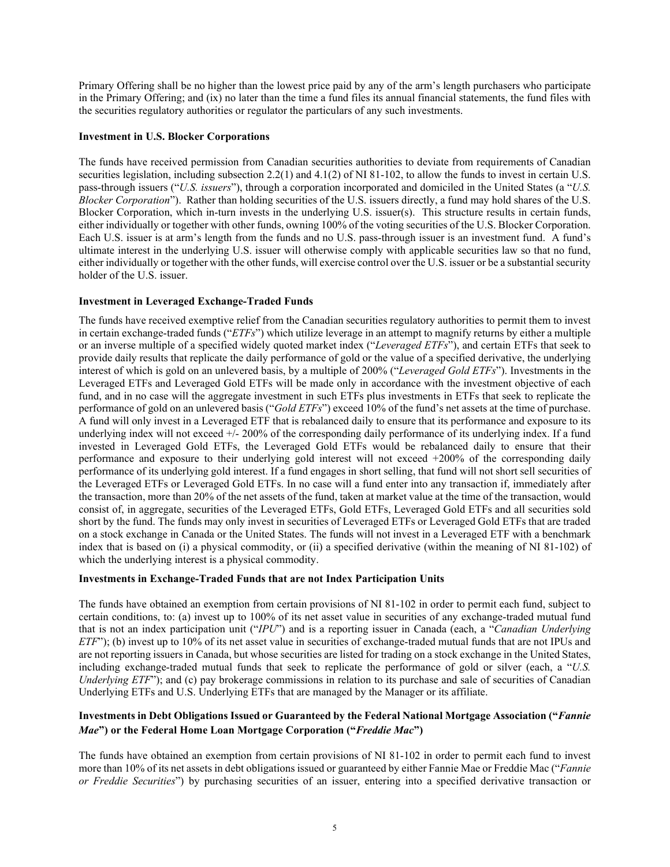Primary Offering shall be no higher than the lowest price paid by any of the arm's length purchasers who participate in the Primary Offering; and (ix) no later than the time a fund files its annual financial statements, the fund files with the securities regulatory authorities or regulator the particulars of any such investments.

### **Investment in U.S. Blocker Corporations**

The funds have received permission from Canadian securities authorities to deviate from requirements of Canadian securities legislation, including subsection 2.2(1) and 4.1(2) of NI 81-102, to allow the funds to invest in certain U.S. pass-through issuers ("*U.S. issuers*"), through a corporation incorporated and domiciled in the United States (a "*U.S. Blocker Corporation*"). Rather than holding securities of the U.S. issuers directly, a fund may hold shares of the U.S. Blocker Corporation, which in-turn invests in the underlying U.S. issuer(s). This structure results in certain funds, either individually or together with other funds, owning 100% of the voting securities of the U.S. Blocker Corporation. Each U.S. issuer is at arm's length from the funds and no U.S. pass-through issuer is an investment fund. A fund's ultimate interest in the underlying U.S. issuer will otherwise comply with applicable securities law so that no fund, either individually or together with the other funds, will exercise control over the U.S. issuer or be a substantial security holder of the U.S. issuer.

## **Investment in Leveraged Exchange-Traded Funds**

The funds have received exemptive relief from the Canadian securities regulatory authorities to permit them to invest in certain exchange-traded funds ("*ETFs*") which utilize leverage in an attempt to magnify returns by either a multiple or an inverse multiple of a specified widely quoted market index ("*Leveraged ETFs*"), and certain ETFs that seek to provide daily results that replicate the daily performance of gold or the value of a specified derivative, the underlying interest of which is gold on an unlevered basis, by a multiple of 200% ("*Leveraged Gold ETFs*"). Investments in the Leveraged ETFs and Leveraged Gold ETFs will be made only in accordance with the investment objective of each fund, and in no case will the aggregate investment in such ETFs plus investments in ETFs that seek to replicate the performance of gold on an unlevered basis ("*Gold ETFs*") exceed 10% of the fund's net assets at the time of purchase. A fund will only invest in a Leveraged ETF that is rebalanced daily to ensure that its performance and exposure to its underlying index will not exceed +/- 200% of the corresponding daily performance of its underlying index. If a fund invested in Leveraged Gold ETFs, the Leveraged Gold ETFs would be rebalanced daily to ensure that their performance and exposure to their underlying gold interest will not exceed +200% of the corresponding daily performance of its underlying gold interest. If a fund engages in short selling, that fund will not short sell securities of the Leveraged ETFs or Leveraged Gold ETFs. In no case will a fund enter into any transaction if, immediately after the transaction, more than 20% of the net assets of the fund, taken at market value at the time of the transaction, would consist of, in aggregate, securities of the Leveraged ETFs, Gold ETFs, Leveraged Gold ETFs and all securities sold short by the fund. The funds may only invest in securities of Leveraged ETFs or Leveraged Gold ETFs that are traded on a stock exchange in Canada or the United States. The funds will not invest in a Leveraged ETF with a benchmark index that is based on (i) a physical commodity, or (ii) a specified derivative (within the meaning of NI 81-102) of which the underlying interest is a physical commodity.

#### **Investments in Exchange-Traded Funds that are not Index Participation Units**

The funds have obtained an exemption from certain provisions of NI 81-102 in order to permit each fund, subject to certain conditions, to: (a) invest up to 100% of its net asset value in securities of any exchange-traded mutual fund that is not an index participation unit ("*IPU*") and is a reporting issuer in Canada (each, a "*Canadian Underlying ETF*"); (b) invest up to 10% of its net asset value in securities of exchange-traded mutual funds that are not IPUs and are not reporting issuers in Canada, but whose securities are listed for trading on a stock exchange in the United States, including exchange-traded mutual funds that seek to replicate the performance of gold or silver (each, a "*U.S. Underlying ETF*"); and (c) pay brokerage commissions in relation to its purchase and sale of securities of Canadian Underlying ETFs and U.S. Underlying ETFs that are managed by the Manager or its affiliate.

## **Investments in Debt Obligations Issued or Guaranteed by the Federal National Mortgage Association ("***Fannie Mae***") or the Federal Home Loan Mortgage Corporation ("***Freddie Mac***")**

The funds have obtained an exemption from certain provisions of NI 81-102 in order to permit each fund to invest more than 10% of its net assets in debt obligations issued or guaranteed by either Fannie Mae or Freddie Mac ("*Fannie or Freddie Securities*") by purchasing securities of an issuer, entering into a specified derivative transaction or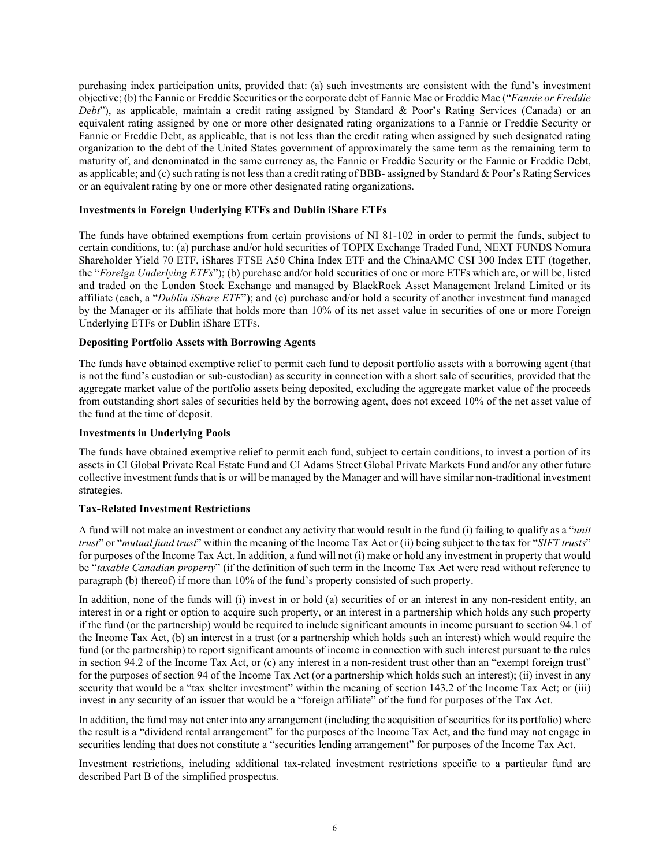purchasing index participation units, provided that: (a) such investments are consistent with the fund's investment objective; (b) the Fannie or Freddie Securities or the corporate debt of Fannie Mae or Freddie Mac ("*Fannie or Freddie Debt*"), as applicable, maintain a credit rating assigned by Standard & Poor's Rating Services (Canada) or an equivalent rating assigned by one or more other designated rating organizations to a Fannie or Freddie Security or Fannie or Freddie Debt, as applicable, that is not less than the credit rating when assigned by such designated rating organization to the debt of the United States government of approximately the same term as the remaining term to maturity of, and denominated in the same currency as, the Fannie or Freddie Security or the Fannie or Freddie Debt, as applicable; and (c) such rating is not less than a credit rating of BBB- assigned by Standard & Poor's Rating Services or an equivalent rating by one or more other designated rating organizations.

#### **Investments in Foreign Underlying ETFs and Dublin iShare ETFs**

The funds have obtained exemptions from certain provisions of NI 81-102 in order to permit the funds, subject to certain conditions, to: (a) purchase and/or hold securities of TOPIX Exchange Traded Fund, NEXT FUNDS Nomura Shareholder Yield 70 ETF, iShares FTSE A50 China Index ETF and the ChinaAMC CSI 300 Index ETF (together, the "*Foreign Underlying ETFs*"); (b) purchase and/or hold securities of one or more ETFs which are, or will be, listed and traded on the London Stock Exchange and managed by BlackRock Asset Management Ireland Limited or its affiliate (each, a "*Dublin iShare ETF*"); and (c) purchase and/or hold a security of another investment fund managed by the Manager or its affiliate that holds more than 10% of its net asset value in securities of one or more Foreign Underlying ETFs or Dublin iShare ETFs.

## **Depositing Portfolio Assets with Borrowing Agents**

The funds have obtained exemptive relief to permit each fund to deposit portfolio assets with a borrowing agent (that is not the fund's custodian or sub-custodian) as security in connection with a short sale of securities, provided that the aggregate market value of the portfolio assets being deposited, excluding the aggregate market value of the proceeds from outstanding short sales of securities held by the borrowing agent, does not exceed 10% of the net asset value of the fund at the time of deposit.

## **Investments in Underlying Pools**

The funds have obtained exemptive relief to permit each fund, subject to certain conditions, to invest a portion of its assets in CI Global Private Real Estate Fund and CI Adams Street Global Private Markets Fund and/or any other future collective investment funds that is or will be managed by the Manager and will have similar non-traditional investment strategies.

#### **Tax-Related Investment Restrictions**

A fund will not make an investment or conduct any activity that would result in the fund (i) failing to qualify as a "*unit trust*" or "*mutual fund trust*" within the meaning of the Income Tax Act or (ii) being subject to the tax for "*SIFT trusts*" for purposes of the Income Tax Act. In addition, a fund will not (i) make or hold any investment in property that would be "*taxable Canadian property*" (if the definition of such term in the Income Tax Act were read without reference to paragraph (b) thereof) if more than 10% of the fund's property consisted of such property.

In addition, none of the funds will (i) invest in or hold (a) securities of or an interest in any non-resident entity, an interest in or a right or option to acquire such property, or an interest in a partnership which holds any such property if the fund (or the partnership) would be required to include significant amounts in income pursuant to section 94.1 of the Income Tax Act, (b) an interest in a trust (or a partnership which holds such an interest) which would require the fund (or the partnership) to report significant amounts of income in connection with such interest pursuant to the rules in section 94.2 of the Income Tax Act, or (c) any interest in a non-resident trust other than an "exempt foreign trust" for the purposes of section 94 of the Income Tax Act (or a partnership which holds such an interest); (ii) invest in any security that would be a "tax shelter investment" within the meaning of section 143.2 of the Income Tax Act; or (iii) invest in any security of an issuer that would be a "foreign affiliate" of the fund for purposes of the Tax Act.

In addition, the fund may not enter into any arrangement (including the acquisition of securities for its portfolio) where the result is a "dividend rental arrangement" for the purposes of the Income Tax Act, and the fund may not engage in securities lending that does not constitute a "securities lending arrangement" for purposes of the Income Tax Act.

Investment restrictions, including additional tax-related investment restrictions specific to a particular fund are described Part B of the simplified prospectus.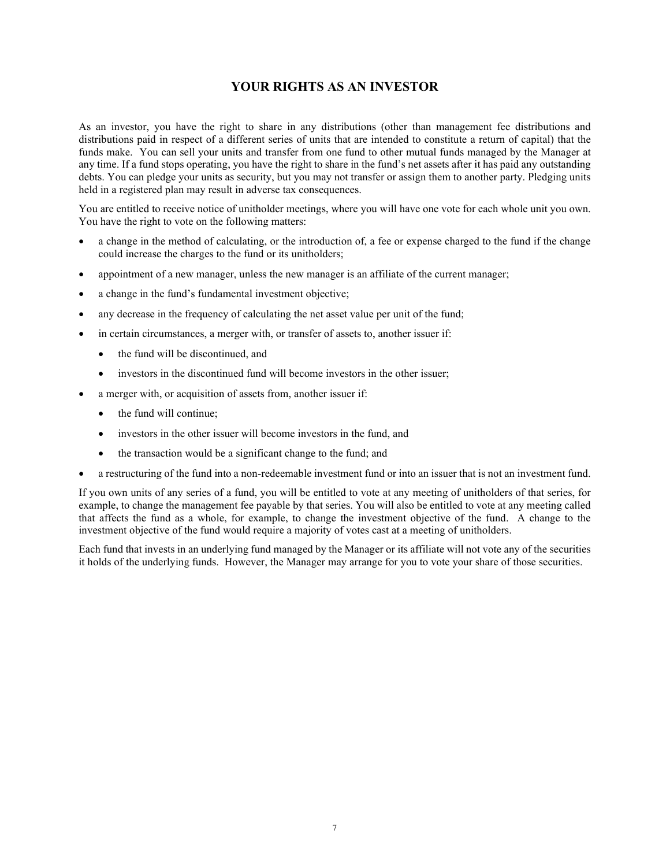# **YOUR RIGHTS AS AN INVESTOR**

<span id="page-8-0"></span>As an investor, you have the right to share in any distributions (other than management fee distributions and distributions paid in respect of a different series of units that are intended to constitute a return of capital) that the funds make. You can sell your units and transfer from one fund to other mutual funds managed by the Manager at any time. If a fund stops operating, you have the right to share in the fund's net assets after it has paid any outstanding debts. You can pledge your units as security, but you may not transfer or assign them to another party. Pledging units held in a registered plan may result in adverse tax consequences.

You are entitled to receive notice of unitholder meetings, where you will have one vote for each whole unit you own. You have the right to vote on the following matters:

- a change in the method of calculating, or the introduction of, a fee or expense charged to the fund if the change could increase the charges to the fund or its unitholders;
- appointment of a new manager, unless the new manager is an affiliate of the current manager;
- a change in the fund's fundamental investment objective;
- any decrease in the frequency of calculating the net asset value per unit of the fund;
- in certain circumstances, a merger with, or transfer of assets to, another issuer if:
	- the fund will be discontinued, and
	- investors in the discontinued fund will become investors in the other issuer;
- a merger with, or acquisition of assets from, another issuer if:
	- the fund will continue:
	- investors in the other issuer will become investors in the fund, and
	- the transaction would be a significant change to the fund; and
- a restructuring of the fund into a non-redeemable investment fund or into an issuer that is not an investment fund.

If you own units of any series of a fund, you will be entitled to vote at any meeting of unitholders of that series, for example, to change the management fee payable by that series. You will also be entitled to vote at any meeting called that affects the fund as a whole, for example, to change the investment objective of the fund. A change to the investment objective of the fund would require a majority of votes cast at a meeting of unitholders.

Each fund that invests in an underlying fund managed by the Manager or its affiliate will not vote any of the securities it holds of the underlying funds. However, the Manager may arrange for you to vote your share of those securities.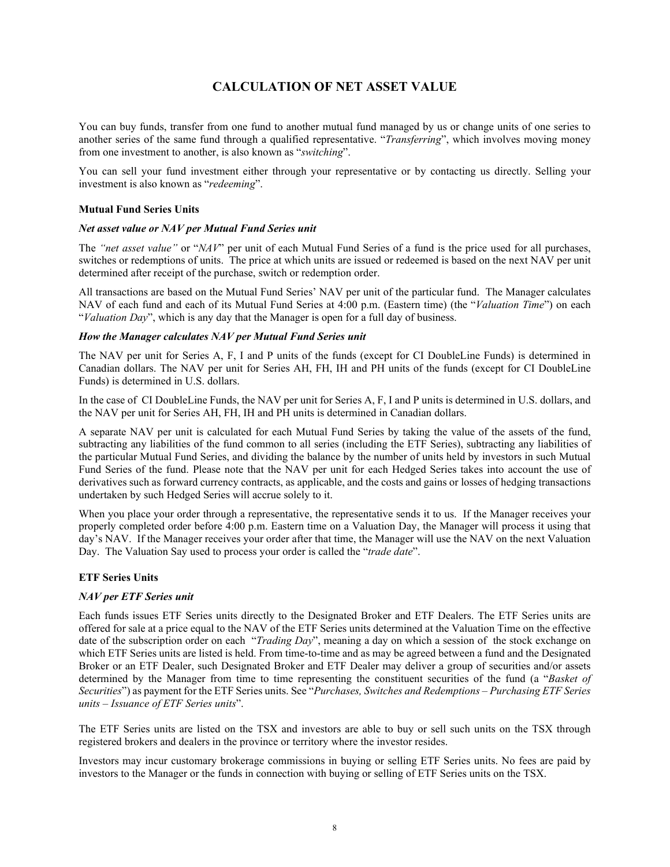# **CALCULATION OF NET ASSET VALUE**

<span id="page-9-0"></span>You can buy funds, transfer from one fund to another mutual fund managed by us or change units of one series to another series of the same fund through a qualified representative. "*Transferring*", which involves moving money from one investment to another, is also known as "*switching*".

You can sell your fund investment either through your representative or by contacting us directly. Selling your investment is also known as "*redeeming*".

#### **Mutual Fund Series Units**

#### *Net asset value or NAV per Mutual Fund Series unit*

The *"net asset value"* or "*NAV*" per unit of each Mutual Fund Series of a fund is the price used for all purchases, switches or redemptions of units. The price at which units are issued or redeemed is based on the next NAV per unit determined after receipt of the purchase, switch or redemption order.

All transactions are based on the Mutual Fund Series' NAV per unit of the particular fund. The Manager calculates NAV of each fund and each of its Mutual Fund Series at 4:00 p.m. (Eastern time) (the "*Valuation Time*") on each "*Valuation Day*", which is any day that the Manager is open for a full day of business.

#### *How the Manager calculates NAV per Mutual Fund Series unit*

The NAV per unit for Series A, F, I and P units of the funds (except for CI DoubleLine Funds) is determined in Canadian dollars. The NAV per unit for Series AH, FH, IH and PH units of the funds (except for CI DoubleLine Funds) is determined in U.S. dollars.

In the case of CI DoubleLine Funds, the NAV per unit for Series A, F, I and P units is determined in U.S. dollars, and the NAV per unit for Series AH, FH, IH and PH units is determined in Canadian dollars.

A separate NAV per unit is calculated for each Mutual Fund Series by taking the value of the assets of the fund, subtracting any liabilities of the fund common to all series (including the ETF Series), subtracting any liabilities of the particular Mutual Fund Series, and dividing the balance by the number of units held by investors in such Mutual Fund Series of the fund. Please note that the NAV per unit for each Hedged Series takes into account the use of derivatives such as forward currency contracts, as applicable, and the costs and gains or losses of hedging transactions undertaken by such Hedged Series will accrue solely to it.

When you place your order through a representative, the representative sends it to us. If the Manager receives your properly completed order before 4:00 p.m. Eastern time on a Valuation Day, the Manager will process it using that day's NAV. If the Manager receives your order after that time, the Manager will use the NAV on the next Valuation Day. The Valuation Say used to process your order is called the "*trade date*".

#### **ETF Series Units**

#### *NAV per ETF Series unit*

Each funds issues ETF Series units directly to the Designated Broker and ETF Dealers. The ETF Series units are offered for sale at a price equal to the NAV of the ETF Series units determined at the Valuation Time on the effective date of the subscription order on each "*Trading Day*", meaning a day on which a session of the stock exchange on which ETF Series units are listed is held. From time-to-time and as may be agreed between a fund and the Designated Broker or an ETF Dealer, such Designated Broker and ETF Dealer may deliver a group of securities and/or assets determined by the Manager from time to time representing the constituent securities of the fund (a "*Basket of Securities*") as payment for the ETF Series units. See "*Purchases, Switches and Redemptions – Purchasing ETF Series units – Issuance of ETF Series units*".

The ETF Series units are listed on the TSX and investors are able to buy or sell such units on the TSX through registered brokers and dealers in the province or territory where the investor resides.

Investors may incur customary brokerage commissions in buying or selling ETF Series units. No fees are paid by investors to the Manager or the funds in connection with buying or selling of ETF Series units on the TSX.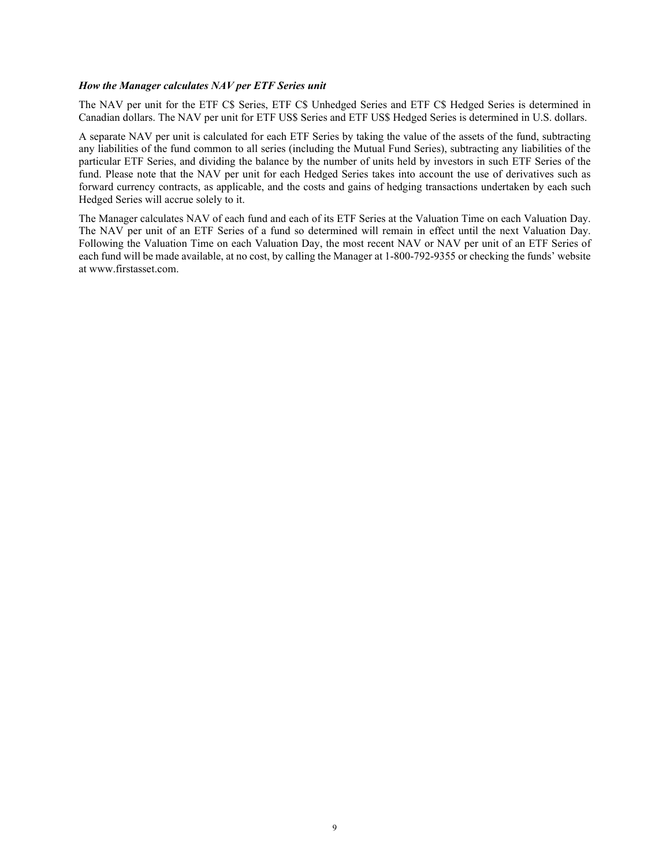#### *How the Manager calculates NAV per ETF Series unit*

The NAV per unit for the ETF C\$ Series, ETF C\$ Unhedged Series and ETF C\$ Hedged Series is determined in Canadian dollars. The NAV per unit for ETF US\$ Series and ETF US\$ Hedged Series is determined in U.S. dollars.

A separate NAV per unit is calculated for each ETF Series by taking the value of the assets of the fund, subtracting any liabilities of the fund common to all series (including the Mutual Fund Series), subtracting any liabilities of the particular ETF Series, and dividing the balance by the number of units held by investors in such ETF Series of the fund. Please note that the NAV per unit for each Hedged Series takes into account the use of derivatives such as forward currency contracts, as applicable, and the costs and gains of hedging transactions undertaken by each such Hedged Series will accrue solely to it.

The Manager calculates NAV of each fund and each of its ETF Series at the Valuation Time on each Valuation Day. The NAV per unit of an ETF Series of a fund so determined will remain in effect until the next Valuation Day. Following the Valuation Time on each Valuation Day, the most recent NAV or NAV per unit of an ETF Series of each fund will be made available, at no cost, by calling the Manager at 1-800-792-9355 or checking the funds' website at www.firstasset.com.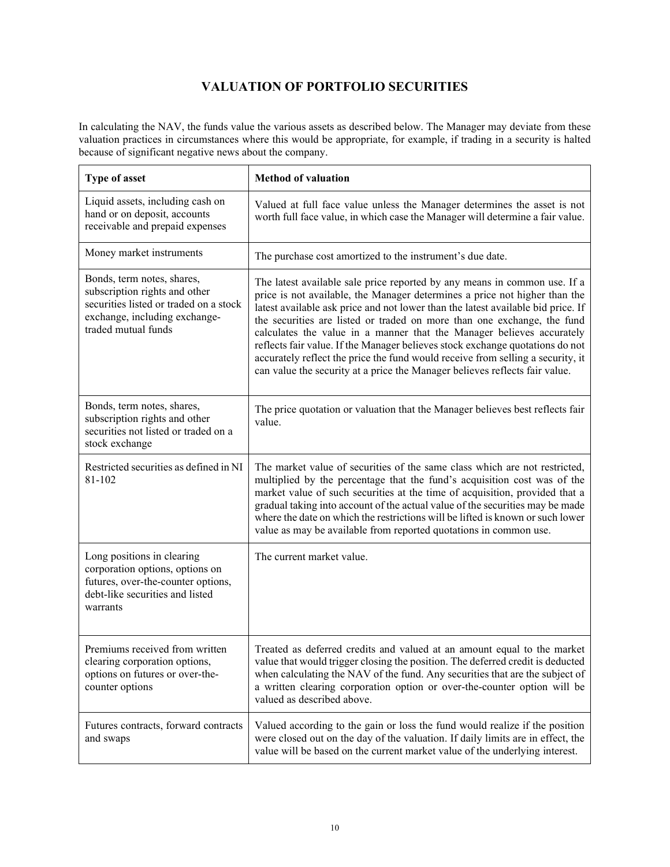# **VALUATION OF PORTFOLIO SECURITIES**

<span id="page-11-0"></span>In calculating the NAV, the funds value the various assets as described below. The Manager may deviate from these valuation practices in circumstances where this would be appropriate, for example, if trading in a security is halted because of significant negative news about the company.

| Type of asset                                                                                                                                                 | <b>Method of valuation</b>                                                                                                                                                                                                                                                                                                                                                                                                                                                                                                                                                                                                                         |
|---------------------------------------------------------------------------------------------------------------------------------------------------------------|----------------------------------------------------------------------------------------------------------------------------------------------------------------------------------------------------------------------------------------------------------------------------------------------------------------------------------------------------------------------------------------------------------------------------------------------------------------------------------------------------------------------------------------------------------------------------------------------------------------------------------------------------|
| Liquid assets, including cash on<br>hand or on deposit, accounts<br>receivable and prepaid expenses                                                           | Valued at full face value unless the Manager determines the asset is not<br>worth full face value, in which case the Manager will determine a fair value.                                                                                                                                                                                                                                                                                                                                                                                                                                                                                          |
| Money market instruments                                                                                                                                      | The purchase cost amortized to the instrument's due date.                                                                                                                                                                                                                                                                                                                                                                                                                                                                                                                                                                                          |
| Bonds, term notes, shares,<br>subscription rights and other<br>securities listed or traded on a stock<br>exchange, including exchange-<br>traded mutual funds | The latest available sale price reported by any means in common use. If a<br>price is not available, the Manager determines a price not higher than the<br>latest available ask price and not lower than the latest available bid price. If<br>the securities are listed or traded on more than one exchange, the fund<br>calculates the value in a manner that the Manager believes accurately<br>reflects fair value. If the Manager believes stock exchange quotations do not<br>accurately reflect the price the fund would receive from selling a security, it<br>can value the security at a price the Manager believes reflects fair value. |
| Bonds, term notes, shares,<br>subscription rights and other<br>securities not listed or traded on a<br>stock exchange                                         | The price quotation or valuation that the Manager believes best reflects fair<br>value.                                                                                                                                                                                                                                                                                                                                                                                                                                                                                                                                                            |
| Restricted securities as defined in NI<br>81-102                                                                                                              | The market value of securities of the same class which are not restricted,<br>multiplied by the percentage that the fund's acquisition cost was of the<br>market value of such securities at the time of acquisition, provided that a<br>gradual taking into account of the actual value of the securities may be made<br>where the date on which the restrictions will be lifted is known or such lower<br>value as may be available from reported quotations in common use.                                                                                                                                                                      |
| Long positions in clearing<br>corporation options, options on<br>futures, over-the-counter options,<br>debt-like securities and listed<br>warrants            | The current market value.                                                                                                                                                                                                                                                                                                                                                                                                                                                                                                                                                                                                                          |
| Premiums received from written<br>clearing corporation options,<br>options on futures or over-the-<br>counter options                                         | Treated as deferred credits and valued at an amount equal to the market<br>value that would trigger closing the position. The deferred credit is deducted<br>when calculating the NAV of the fund. Any securities that are the subject of<br>a written clearing corporation option or over-the-counter option will be<br>valued as described above.                                                                                                                                                                                                                                                                                                |
| Futures contracts, forward contracts<br>and swaps                                                                                                             | Valued according to the gain or loss the fund would realize if the position<br>were closed out on the day of the valuation. If daily limits are in effect, the<br>value will be based on the current market value of the underlying interest.                                                                                                                                                                                                                                                                                                                                                                                                      |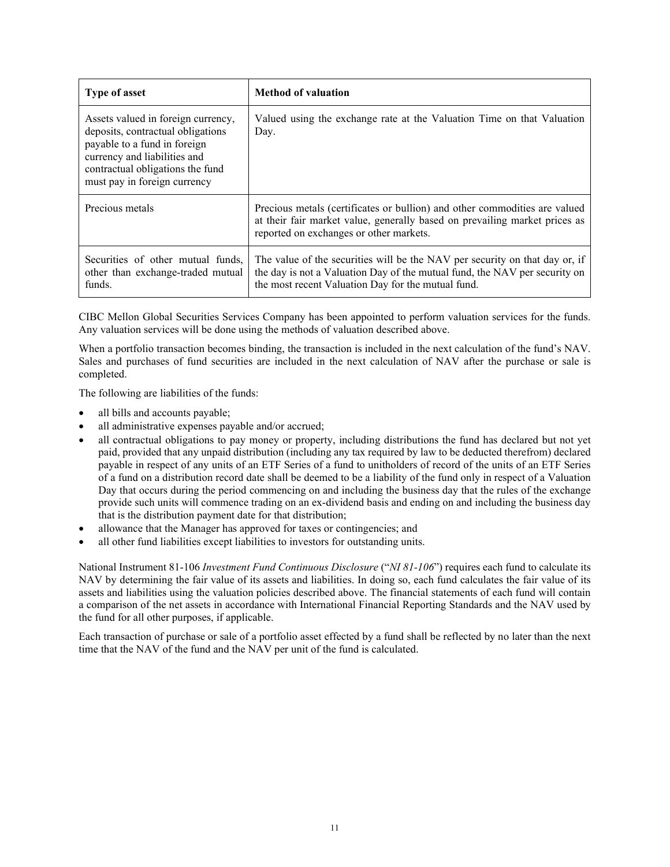| <b>Type of asset</b>                                                                                                                                                                                        | <b>Method of valuation</b>                                                                                                                                                                                      |
|-------------------------------------------------------------------------------------------------------------------------------------------------------------------------------------------------------------|-----------------------------------------------------------------------------------------------------------------------------------------------------------------------------------------------------------------|
| Assets valued in foreign currency,<br>deposits, contractual obligations<br>payable to a fund in foreign<br>currency and liabilities and<br>contractual obligations the fund<br>must pay in foreign currency | Valued using the exchange rate at the Valuation Time on that Valuation<br>Day.                                                                                                                                  |
| Precious metals                                                                                                                                                                                             | Precious metals (certificates or bullion) and other commodities are valued<br>at their fair market value, generally based on prevailing market prices as<br>reported on exchanges or other markets.             |
| Securities of other mutual funds.<br>other than exchange-traded mutual<br>funds.                                                                                                                            | The value of the securities will be the NAV per security on that day or, if<br>the day is not a Valuation Day of the mutual fund, the NAV per security on<br>the most recent Valuation Day for the mutual fund. |

CIBC Mellon Global Securities Services Company has been appointed to perform valuation services for the funds. Any valuation services will be done using the methods of valuation described above.

When a portfolio transaction becomes binding, the transaction is included in the next calculation of the fund's NAV. Sales and purchases of fund securities are included in the next calculation of NAV after the purchase or sale is completed.

The following are liabilities of the funds:

- all bills and accounts payable;
- all administrative expenses payable and/or accrued;
- all contractual obligations to pay money or property, including distributions the fund has declared but not yet paid, provided that any unpaid distribution (including any tax required by law to be deducted therefrom) declared payable in respect of any units of an ETF Series of a fund to unitholders of record of the units of an ETF Series of a fund on a distribution record date shall be deemed to be a liability of the fund only in respect of a Valuation Day that occurs during the period commencing on and including the business day that the rules of the exchange provide such units will commence trading on an ex-dividend basis and ending on and including the business day that is the distribution payment date for that distribution;
- allowance that the Manager has approved for taxes or contingencies; and
- all other fund liabilities except liabilities to investors for outstanding units.

National Instrument 81-106 *Investment Fund Continuous Disclosure* ("*NI 81-106*") requires each fund to calculate its NAV by determining the fair value of its assets and liabilities. In doing so, each fund calculates the fair value of its assets and liabilities using the valuation policies described above. The financial statements of each fund will contain a comparison of the net assets in accordance with International Financial Reporting Standards and the NAV used by the fund for all other purposes, if applicable.

Each transaction of purchase or sale of a portfolio asset effected by a fund shall be reflected by no later than the next time that the NAV of the fund and the NAV per unit of the fund is calculated.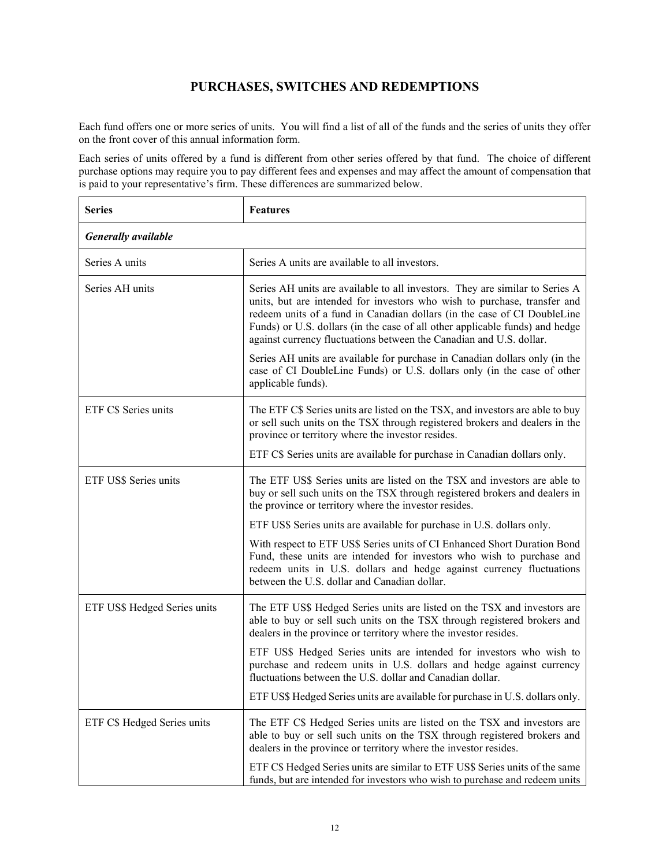# **PURCHASES, SWITCHES AND REDEMPTIONS**

<span id="page-13-0"></span>Each fund offers one or more series of units. You will find a list of all of the funds and the series of units they offer on the front cover of this annual information form.

Each series of units offered by a fund is different from other series offered by that fund. The choice of different purchase options may require you to pay different fees and expenses and may affect the amount of compensation that is paid to your representative's firm. These differences are summarized below.

| <b>Series</b>                | <b>Features</b>                                                                                                                                                                                                                                                                                                                                                                             |  |
|------------------------------|---------------------------------------------------------------------------------------------------------------------------------------------------------------------------------------------------------------------------------------------------------------------------------------------------------------------------------------------------------------------------------------------|--|
| <b>Generally</b> available   |                                                                                                                                                                                                                                                                                                                                                                                             |  |
| Series A units               | Series A units are available to all investors.                                                                                                                                                                                                                                                                                                                                              |  |
| Series AH units              | Series AH units are available to all investors. They are similar to Series A<br>units, but are intended for investors who wish to purchase, transfer and<br>redeem units of a fund in Canadian dollars (in the case of CI DoubleLine<br>Funds) or U.S. dollars (in the case of all other applicable funds) and hedge<br>against currency fluctuations between the Canadian and U.S. dollar. |  |
|                              | Series AH units are available for purchase in Canadian dollars only (in the<br>case of CI DoubleLine Funds) or U.S. dollars only (in the case of other<br>applicable funds).                                                                                                                                                                                                                |  |
| ETF C\$ Series units         | The ETF C\$ Series units are listed on the TSX, and investors are able to buy<br>or sell such units on the TSX through registered brokers and dealers in the<br>province or territory where the investor resides.                                                                                                                                                                           |  |
|                              | ETF C\$ Series units are available for purchase in Canadian dollars only.                                                                                                                                                                                                                                                                                                                   |  |
| ETF US\$ Series units        | The ETF US\$ Series units are listed on the TSX and investors are able to<br>buy or sell such units on the TSX through registered brokers and dealers in<br>the province or territory where the investor resides.                                                                                                                                                                           |  |
|                              | ETF US\$ Series units are available for purchase in U.S. dollars only.                                                                                                                                                                                                                                                                                                                      |  |
|                              | With respect to ETF US\$ Series units of CI Enhanced Short Duration Bond<br>Fund, these units are intended for investors who wish to purchase and<br>redeem units in U.S. dollars and hedge against currency fluctuations<br>between the U.S. dollar and Canadian dollar.                                                                                                                   |  |
| ETF US\$ Hedged Series units | The ETF US\$ Hedged Series units are listed on the TSX and investors are<br>able to buy or sell such units on the TSX through registered brokers and<br>dealers in the province or territory where the investor resides.                                                                                                                                                                    |  |
|                              | ETF US\$ Hedged Series units are intended for investors who wish to<br>purchase and redeem units in U.S. dollars and hedge against currency<br>fluctuations between the U.S. dollar and Canadian dollar.                                                                                                                                                                                    |  |
|                              | ETF US\$ Hedged Series units are available for purchase in U.S. dollars only.                                                                                                                                                                                                                                                                                                               |  |
| ETF C\$ Hedged Series units  | The ETF C\$ Hedged Series units are listed on the TSX and investors are<br>able to buy or sell such units on the TSX through registered brokers and<br>dealers in the province or territory where the investor resides.                                                                                                                                                                     |  |
|                              | ETF C\$ Hedged Series units are similar to ETF US\$ Series units of the same<br>funds, but are intended for investors who wish to purchase and redeem units                                                                                                                                                                                                                                 |  |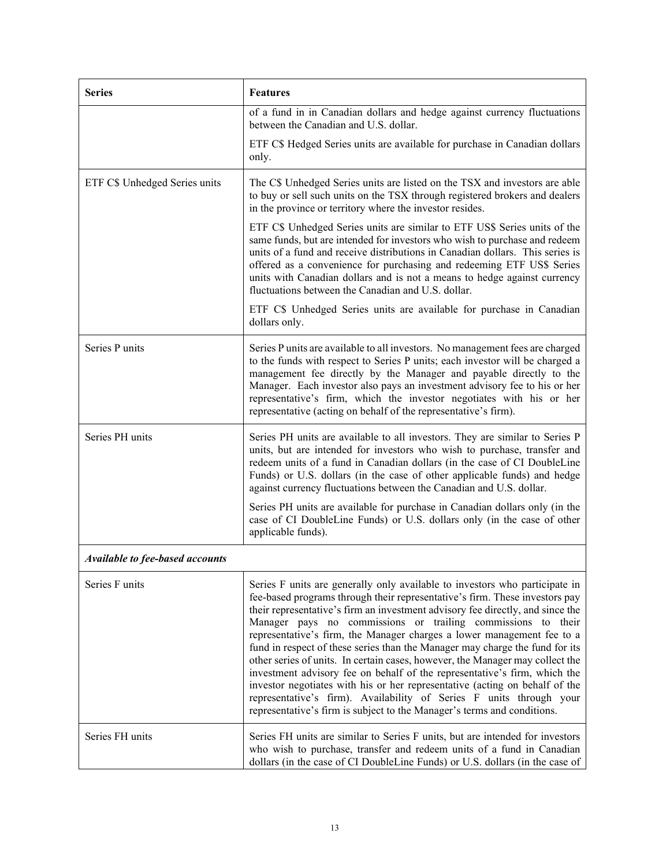| <b>Series</b>                   | <b>Features</b>                                                                                                                                                                                                                                                                                                                                                                                                                                                                                                                                                                                                                                                                                                                                                                                                                                                       |
|---------------------------------|-----------------------------------------------------------------------------------------------------------------------------------------------------------------------------------------------------------------------------------------------------------------------------------------------------------------------------------------------------------------------------------------------------------------------------------------------------------------------------------------------------------------------------------------------------------------------------------------------------------------------------------------------------------------------------------------------------------------------------------------------------------------------------------------------------------------------------------------------------------------------|
|                                 | of a fund in in Canadian dollars and hedge against currency fluctuations<br>between the Canadian and U.S. dollar.                                                                                                                                                                                                                                                                                                                                                                                                                                                                                                                                                                                                                                                                                                                                                     |
|                                 | ETF C\$ Hedged Series units are available for purchase in Canadian dollars<br>only.                                                                                                                                                                                                                                                                                                                                                                                                                                                                                                                                                                                                                                                                                                                                                                                   |
| ETF C\$ Unhedged Series units   | The C\$ Unhedged Series units are listed on the TSX and investors are able<br>to buy or sell such units on the TSX through registered brokers and dealers<br>in the province or territory where the investor resides.                                                                                                                                                                                                                                                                                                                                                                                                                                                                                                                                                                                                                                                 |
|                                 | ETF C\$ Unhedged Series units are similar to ETF US\$ Series units of the<br>same funds, but are intended for investors who wish to purchase and redeem<br>units of a fund and receive distributions in Canadian dollars. This series is<br>offered as a convenience for purchasing and redeeming ETF US\$ Series<br>units with Canadian dollars and is not a means to hedge against currency<br>fluctuations between the Canadian and U.S. dollar.                                                                                                                                                                                                                                                                                                                                                                                                                   |
|                                 | ETF C\$ Unhedged Series units are available for purchase in Canadian<br>dollars only.                                                                                                                                                                                                                                                                                                                                                                                                                                                                                                                                                                                                                                                                                                                                                                                 |
| Series P units                  | Series P units are available to all investors. No management fees are charged<br>to the funds with respect to Series P units; each investor will be charged a<br>management fee directly by the Manager and payable directly to the<br>Manager. Each investor also pays an investment advisory fee to his or her<br>representative's firm, which the investor negotiates with his or her<br>representative (acting on behalf of the representative's firm).                                                                                                                                                                                                                                                                                                                                                                                                           |
| Series PH units                 | Series PH units are available to all investors. They are similar to Series P<br>units, but are intended for investors who wish to purchase, transfer and<br>redeem units of a fund in Canadian dollars (in the case of CI DoubleLine<br>Funds) or U.S. dollars (in the case of other applicable funds) and hedge<br>against currency fluctuations between the Canadian and U.S. dollar.                                                                                                                                                                                                                                                                                                                                                                                                                                                                               |
|                                 | Series PH units are available for purchase in Canadian dollars only (in the<br>case of CI DoubleLine Funds) or U.S. dollars only (in the case of other<br>applicable funds).                                                                                                                                                                                                                                                                                                                                                                                                                                                                                                                                                                                                                                                                                          |
| Available to fee-based accounts |                                                                                                                                                                                                                                                                                                                                                                                                                                                                                                                                                                                                                                                                                                                                                                                                                                                                       |
| Series F units                  | Series F units are generally only available to investors who participate in<br>fee-based programs through their representative's firm. These investors pay<br>their representative's firm an investment advisory fee directly, and since the<br>Manager pays no commissions or trailing commissions to their<br>representative's firm, the Manager charges a lower management fee to a<br>fund in respect of these series than the Manager may charge the fund for its<br>other series of units. In certain cases, however, the Manager may collect the<br>investment advisory fee on behalf of the representative's firm, which the<br>investor negotiates with his or her representative (acting on behalf of the<br>representative's firm). Availability of Series F units through your<br>representative's firm is subject to the Manager's terms and conditions. |
| Series FH units                 | Series FH units are similar to Series F units, but are intended for investors<br>who wish to purchase, transfer and redeem units of a fund in Canadian<br>dollars (in the case of CI DoubleLine Funds) or U.S. dollars (in the case of                                                                                                                                                                                                                                                                                                                                                                                                                                                                                                                                                                                                                                |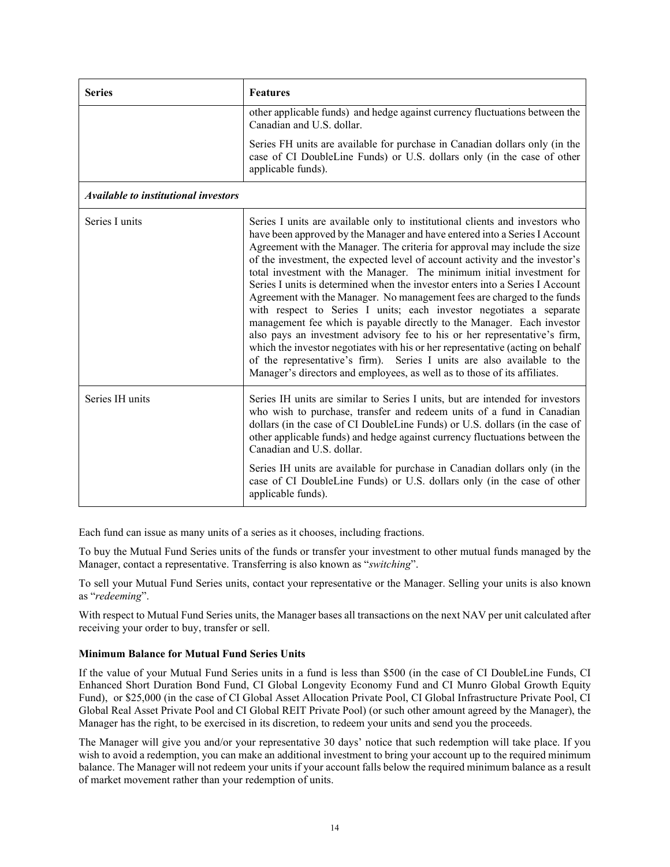| <b>Series</b>                        | <b>Features</b>                                                                                                                                                                                                                                                                                                                                                                                                                                                                                                                                                                                                                                                                                                                                                                                                                                                                                                                                                                                                                       |
|--------------------------------------|---------------------------------------------------------------------------------------------------------------------------------------------------------------------------------------------------------------------------------------------------------------------------------------------------------------------------------------------------------------------------------------------------------------------------------------------------------------------------------------------------------------------------------------------------------------------------------------------------------------------------------------------------------------------------------------------------------------------------------------------------------------------------------------------------------------------------------------------------------------------------------------------------------------------------------------------------------------------------------------------------------------------------------------|
|                                      | other applicable funds) and hedge against currency fluctuations between the<br>Canadian and U.S. dollar.                                                                                                                                                                                                                                                                                                                                                                                                                                                                                                                                                                                                                                                                                                                                                                                                                                                                                                                              |
|                                      | Series FH units are available for purchase in Canadian dollars only (in the<br>case of CI DoubleLine Funds) or U.S. dollars only (in the case of other<br>applicable funds).                                                                                                                                                                                                                                                                                                                                                                                                                                                                                                                                                                                                                                                                                                                                                                                                                                                          |
| Available to institutional investors |                                                                                                                                                                                                                                                                                                                                                                                                                                                                                                                                                                                                                                                                                                                                                                                                                                                                                                                                                                                                                                       |
| Series I units                       | Series I units are available only to institutional clients and investors who<br>have been approved by the Manager and have entered into a Series I Account<br>Agreement with the Manager. The criteria for approval may include the size<br>of the investment, the expected level of account activity and the investor's<br>total investment with the Manager. The minimum initial investment for<br>Series I units is determined when the investor enters into a Series I Account<br>Agreement with the Manager. No management fees are charged to the funds<br>with respect to Series I units; each investor negotiates a separate<br>management fee which is payable directly to the Manager. Each investor<br>also pays an investment advisory fee to his or her representative's firm,<br>which the investor negotiates with his or her representative (acting on behalf<br>of the representative's firm). Series I units are also available to the<br>Manager's directors and employees, as well as to those of its affiliates. |
| Series IH units                      | Series IH units are similar to Series I units, but are intended for investors<br>who wish to purchase, transfer and redeem units of a fund in Canadian<br>dollars (in the case of CI DoubleLine Funds) or U.S. dollars (in the case of<br>other applicable funds) and hedge against currency fluctuations between the<br>Canadian and U.S. dollar.                                                                                                                                                                                                                                                                                                                                                                                                                                                                                                                                                                                                                                                                                    |
|                                      | Series IH units are available for purchase in Canadian dollars only (in the<br>case of CI DoubleLine Funds) or U.S. dollars only (in the case of other<br>applicable funds).                                                                                                                                                                                                                                                                                                                                                                                                                                                                                                                                                                                                                                                                                                                                                                                                                                                          |

Each fund can issue as many units of a series as it chooses, including fractions.

To buy the Mutual Fund Series units of the funds or transfer your investment to other mutual funds managed by the Manager, contact a representative. Transferring is also known as "*switching*".

To sell your Mutual Fund Series units, contact your representative or the Manager. Selling your units is also known as "*redeeming*".

With respect to Mutual Fund Series units, the Manager bases all transactions on the next NAV per unit calculated after receiving your order to buy, transfer or sell.

## **Minimum Balance for Mutual Fund Series Units**

If the value of your Mutual Fund Series units in a fund is less than \$500 (in the case of CI DoubleLine Funds, CI Enhanced Short Duration Bond Fund, CI Global Longevity Economy Fund and CI Munro Global Growth Equity Fund), or \$25,000 (in the case of CI Global Asset Allocation Private Pool, CI Global Infrastructure Private Pool, CI Global Real Asset Private Pool and CI Global REIT Private Pool) (or such other amount agreed by the Manager), the Manager has the right, to be exercised in its discretion, to redeem your units and send you the proceeds.

The Manager will give you and/or your representative 30 days' notice that such redemption will take place. If you wish to avoid a redemption, you can make an additional investment to bring your account up to the required minimum balance. The Manager will not redeem your units if your account falls below the required minimum balance as a result of market movement rather than your redemption of units.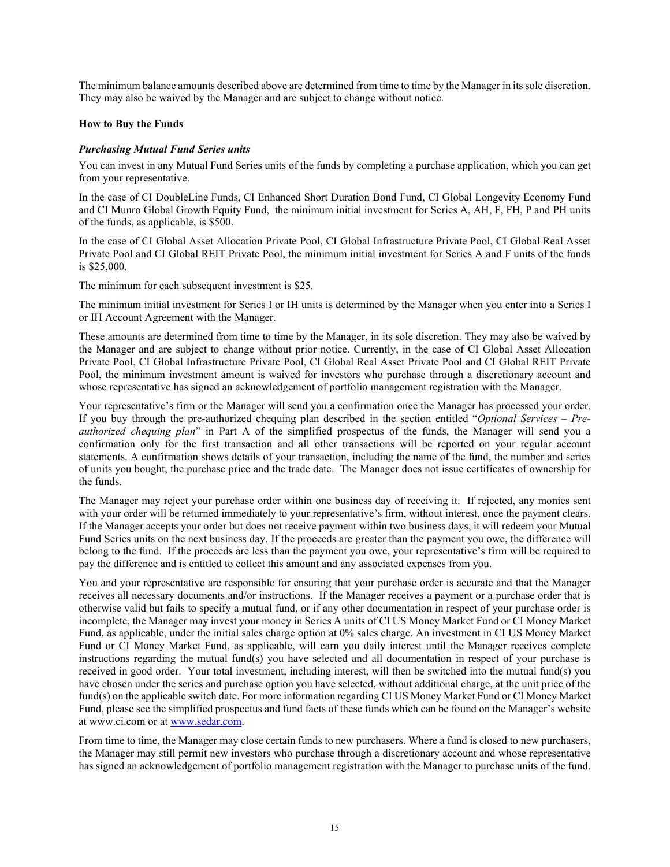The minimum balance amounts described above are determined from time to time by the Manager in itssole discretion. They may also be waived by the Manager and are subject to change without notice.

## **How to Buy the Funds**

#### *Purchasing Mutual Fund Series units*

You can invest in any Mutual Fund Series units of the funds by completing a purchase application, which you can get from your representative.

In the case of CI DoubleLine Funds, CI Enhanced Short Duration Bond Fund, CI Global Longevity Economy Fund and CI Munro Global Growth Equity Fund, the minimum initial investment for Series A, AH, F, FH, P and PH units of the funds, as applicable, is \$500.

In the case of CI Global Asset Allocation Private Pool, CI Global Infrastructure Private Pool, CI Global Real Asset Private Pool and CI Global REIT Private Pool, the minimum initial investment for Series A and F units of the funds is \$25,000.

The minimum for each subsequent investment is \$25.

The minimum initial investment for Series I or IH units is determined by the Manager when you enter into a Series I or IH Account Agreement with the Manager.

These amounts are determined from time to time by the Manager, in its sole discretion. They may also be waived by the Manager and are subject to change without prior notice. Currently, in the case of CI Global Asset Allocation Private Pool, CI Global Infrastructure Private Pool, CI Global Real Asset Private Pool and CI Global REIT Private Pool, the minimum investment amount is waived for investors who purchase through a discretionary account and whose representative has signed an acknowledgement of portfolio management registration with the Manager.

Your representative's firm or the Manager will send you a confirmation once the Manager has processed your order. If you buy through the pre-authorized chequing plan described in the section entitled "*Optional Services – Preauthorized chequing plan*" in Part A of the simplified prospectus of the funds, the Manager will send you a confirmation only for the first transaction and all other transactions will be reported on your regular account statements. A confirmation shows details of your transaction, including the name of the fund, the number and series of units you bought, the purchase price and the trade date. The Manager does not issue certificates of ownership for the funds.

The Manager may reject your purchase order within one business day of receiving it. If rejected, any monies sent with your order will be returned immediately to your representative's firm, without interest, once the payment clears. If the Manager accepts your order but does not receive payment within two business days, it will redeem your Mutual Fund Series units on the next business day. If the proceeds are greater than the payment you owe, the difference will belong to the fund. If the proceeds are less than the payment you owe, your representative's firm will be required to pay the difference and is entitled to collect this amount and any associated expenses from you.

You and your representative are responsible for ensuring that your purchase order is accurate and that the Manager receives all necessary documents and/or instructions. If the Manager receives a payment or a purchase order that is otherwise valid but fails to specify a mutual fund, or if any other documentation in respect of your purchase order is incomplete, the Manager may invest your money in Series A units of CI US Money Market Fund or CI Money Market Fund, as applicable, under the initial sales charge option at 0% sales charge. An investment in CI US Money Market Fund or CI Money Market Fund, as applicable, will earn you daily interest until the Manager receives complete instructions regarding the mutual fund(s) you have selected and all documentation in respect of your purchase is received in good order. Your total investment, including interest, will then be switched into the mutual fund(s) you have chosen under the series and purchase option you have selected, without additional charge, at the unit price of the fund(s) on the applicable switch date. For more information regarding CI US Money Market Fund or CI Money Market Fund, please see the simplified prospectus and fund facts of these funds which can be found on the Manager's website at www.ci.com or at [www.sedar.com.](http://www.sedar.com/)

From time to time, the Manager may close certain funds to new purchasers. Where a fund is closed to new purchasers, the Manager may still permit new investors who purchase through a discretionary account and whose representative has signed an acknowledgement of portfolio management registration with the Manager to purchase units of the fund.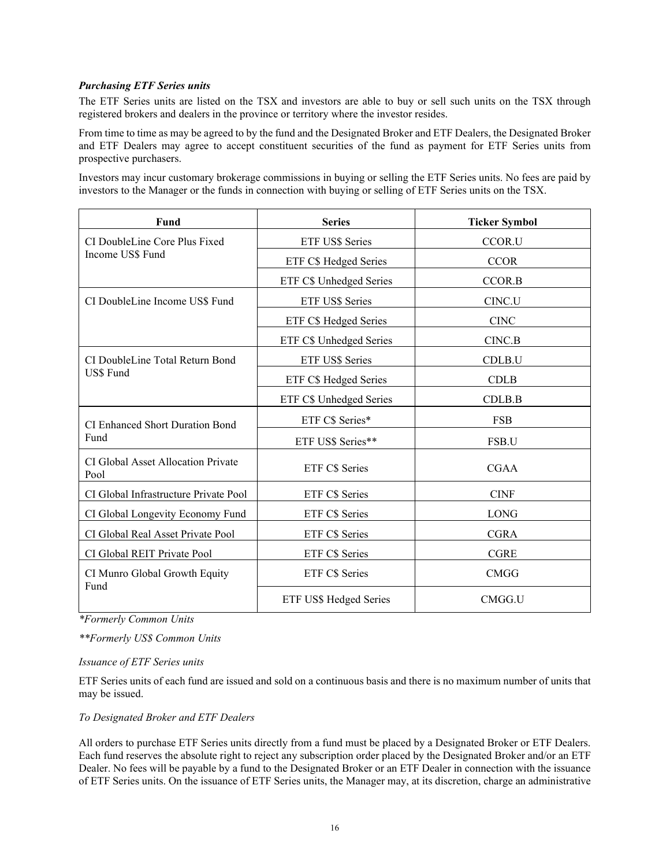## *Purchasing ETF Series units*

The ETF Series units are listed on the TSX and investors are able to buy or sell such units on the TSX through registered brokers and dealers in the province or territory where the investor resides.

From time to time as may be agreed to by the fund and the Designated Broker and ETF Dealers, the Designated Broker and ETF Dealers may agree to accept constituent securities of the fund as payment for ETF Series units from prospective purchasers.

Investors may incur customary brokerage commissions in buying or selling the ETF Series units. No fees are paid by investors to the Manager or the funds in connection with buying or selling of ETF Series units on the TSX.

| Fund                                       | <b>Series</b>           | <b>Ticker Symbol</b> |
|--------------------------------------------|-------------------------|----------------------|
| CI DoubleLine Core Plus Fixed              | ETF US\$ Series         | CCOR.U               |
| Income US\$ Fund                           | ETF C\$ Hedged Series   | <b>CCOR</b>          |
|                                            | ETF C\$ Unhedged Series | CCOR.B               |
| CI DoubleLine Income US\$ Fund             | ETF US\$ Series         | CINC.U               |
|                                            | ETF C\$ Hedged Series   | <b>CINC</b>          |
|                                            | ETF C\$ Unhedged Series | CINC.B               |
| CI DoubleLine Total Return Bond            | ETF US\$ Series         | CDLB.U               |
| US\$ Fund                                  | ETF C\$ Hedged Series   | <b>CDLB</b>          |
|                                            | ETF C\$ Unhedged Series | CDLB.B               |
| <b>CI Enhanced Short Duration Bond</b>     | ETF C\$ Series*         | <b>FSB</b>           |
| Fund                                       | ETF US\$ Series**       | FSB.U                |
| CI Global Asset Allocation Private<br>Pool | <b>ETF C\$ Series</b>   | <b>CGAA</b>          |
| CI Global Infrastructure Private Pool      | ETF C\$ Series          | <b>CINF</b>          |
| CI Global Longevity Economy Fund           | ETF C\$ Series          | <b>LONG</b>          |
| CI Global Real Asset Private Pool          | ETF C\$ Series          | <b>CGRA</b>          |
| CI Global REIT Private Pool                | ETF C\$ Series          | <b>CGRE</b>          |
| CI Munro Global Growth Equity<br>Fund      | ETF C\$ Series          | <b>CMGG</b>          |
|                                            | ETF US\$ Hedged Series  | CMGG.U               |

*\*Formerly Common Units* 

*\*\*Formerly US\$ Common Units*

#### *Issuance of ETF Series units*

ETF Series units of each fund are issued and sold on a continuous basis and there is no maximum number of units that may be issued.

#### *To Designated Broker and ETF Dealers*

All orders to purchase ETF Series units directly from a fund must be placed by a Designated Broker or ETF Dealers. Each fund reserves the absolute right to reject any subscription order placed by the Designated Broker and/or an ETF Dealer. No fees will be payable by a fund to the Designated Broker or an ETF Dealer in connection with the issuance of ETF Series units. On the issuance of ETF Series units, the Manager may, at its discretion, charge an administrative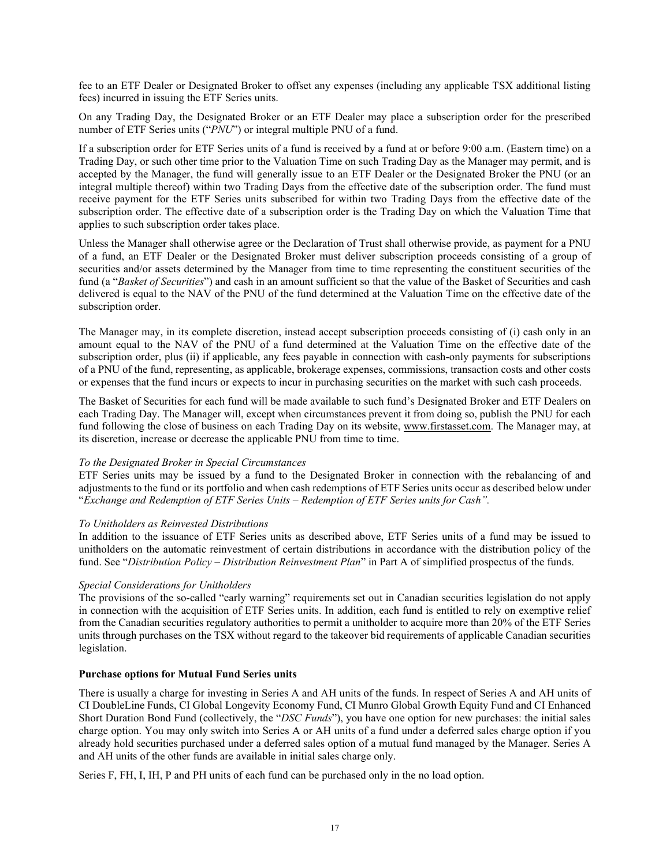fee to an ETF Dealer or Designated Broker to offset any expenses (including any applicable TSX additional listing fees) incurred in issuing the ETF Series units.

On any Trading Day, the Designated Broker or an ETF Dealer may place a subscription order for the prescribed number of ETF Series units ("*PNU*") or integral multiple PNU of a fund.

If a subscription order for ETF Series units of a fund is received by a fund at or before 9:00 a.m. (Eastern time) on a Trading Day, or such other time prior to the Valuation Time on such Trading Day as the Manager may permit, and is accepted by the Manager, the fund will generally issue to an ETF Dealer or the Designated Broker the PNU (or an integral multiple thereof) within two Trading Days from the effective date of the subscription order. The fund must receive payment for the ETF Series units subscribed for within two Trading Days from the effective date of the subscription order. The effective date of a subscription order is the Trading Day on which the Valuation Time that applies to such subscription order takes place.

Unless the Manager shall otherwise agree or the Declaration of Trust shall otherwise provide, as payment for a PNU of a fund, an ETF Dealer or the Designated Broker must deliver subscription proceeds consisting of a group of securities and/or assets determined by the Manager from time to time representing the constituent securities of the fund (a "*Basket of Securities*") and cash in an amount sufficient so that the value of the Basket of Securities and cash delivered is equal to the NAV of the PNU of the fund determined at the Valuation Time on the effective date of the subscription order.

The Manager may, in its complete discretion, instead accept subscription proceeds consisting of (i) cash only in an amount equal to the NAV of the PNU of a fund determined at the Valuation Time on the effective date of the subscription order, plus (ii) if applicable, any fees payable in connection with cash-only payments for subscriptions of a PNU of the fund, representing, as applicable, brokerage expenses, commissions, transaction costs and other costs or expenses that the fund incurs or expects to incur in purchasing securities on the market with such cash proceeds.

The Basket of Securities for each fund will be made available to such fund's Designated Broker and ETF Dealers on each Trading Day. The Manager will, except when circumstances prevent it from doing so, publish the PNU for each fund following the close of business on each Trading Day on its website, www.firstasset.com. The Manager may, at its discretion, increase or decrease the applicable PNU from time to time.

#### *To the Designated Broker in Special Circumstances*

ETF Series units may be issued by a fund to the Designated Broker in connection with the rebalancing of and adjustments to the fund or its portfolio and when cash redemptions of ETF Series units occur as described below under "*Exchange and Redemption of ETF Series Units – Redemption of ETF Series units for Cash".* 

## *To Unitholders as Reinvested Distributions*

In addition to the issuance of ETF Series units as described above, ETF Series units of a fund may be issued to unitholders on the automatic reinvestment of certain distributions in accordance with the distribution policy of the fund. See "*Distribution Policy – Distribution Reinvestment Plan*" in Part A of simplified prospectus of the funds.

## *Special Considerations for Unitholders*

The provisions of the so-called "early warning" requirements set out in Canadian securities legislation do not apply in connection with the acquisition of ETF Series units. In addition, each fund is entitled to rely on exemptive relief from the Canadian securities regulatory authorities to permit a unitholder to acquire more than 20% of the ETF Series units through purchases on the TSX without regard to the takeover bid requirements of applicable Canadian securities legislation.

#### **Purchase options for Mutual Fund Series units**

There is usually a charge for investing in Series A and AH units of the funds. In respect of Series A and AH units of CI DoubleLine Funds, CI Global Longevity Economy Fund, CI Munro Global Growth Equity Fund and CI Enhanced Short Duration Bond Fund (collectively, the "*DSC Funds*"), you have one option for new purchases: the initial sales charge option. You may only switch into Series A or AH units of a fund under a deferred sales charge option if you already hold securities purchased under a deferred sales option of a mutual fund managed by the Manager. Series A and AH units of the other funds are available in initial sales charge only.

Series F, FH, I, IH, P and PH units of each fund can be purchased only in the no load option.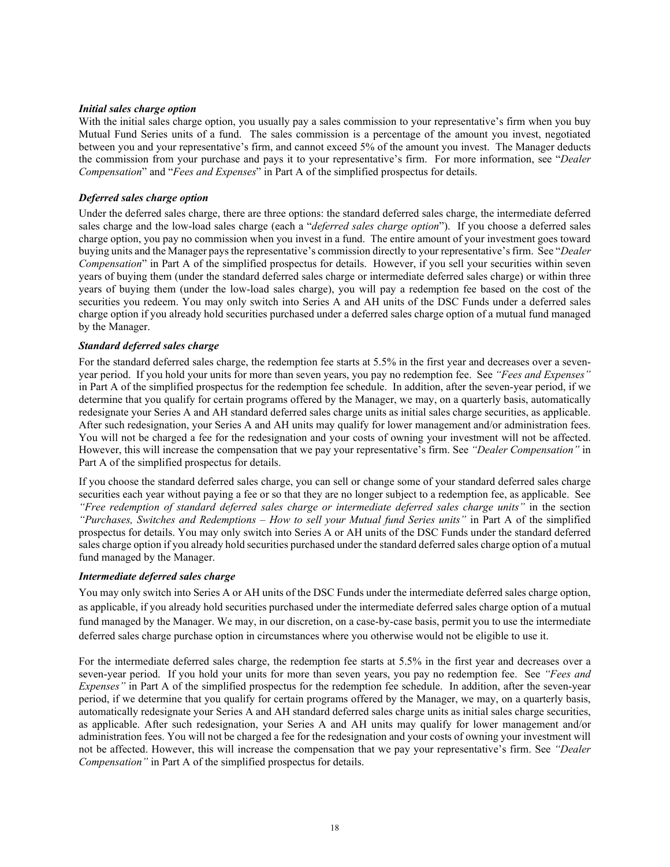#### *Initial sales charge option*

With the initial sales charge option, you usually pay a sales commission to your representative's firm when you buy Mutual Fund Series units of a fund. The sales commission is a percentage of the amount you invest, negotiated between you and your representative's firm, and cannot exceed 5% of the amount you invest. The Manager deducts the commission from your purchase and pays it to your representative's firm. For more information, see "*Dealer Compensation*" and "*Fees and Expenses*" in Part A of the simplified prospectus for details.

#### *Deferred sales charge option*

Under the deferred sales charge, there are three options: the standard deferred sales charge, the intermediate deferred sales charge and the low-load sales charge (each a "*deferred sales charge option*"). If you choose a deferred sales charge option, you pay no commission when you invest in a fund. The entire amount of your investment goes toward buying units and the Manager pays the representative's commission directly to your representative's firm. See "*Dealer Compensation*" in Part A of the simplified prospectus for details. However, if you sell your securities within seven years of buying them (under the standard deferred sales charge or intermediate deferred sales charge) or within three years of buying them (under the low-load sales charge), you will pay a redemption fee based on the cost of the securities you redeem. You may only switch into Series A and AH units of the DSC Funds under a deferred sales charge option if you already hold securities purchased under a deferred sales charge option of a mutual fund managed by the Manager.

#### *Standard deferred sales charge*

For the standard deferred sales charge, the redemption fee starts at 5.5% in the first year and decreases over a sevenyear period. If you hold your units for more than seven years, you pay no redemption fee. See *"Fees and Expenses"* in Part A of the simplified prospectus for the redemption fee schedule. In addition, after the seven-year period, if we determine that you qualify for certain programs offered by the Manager, we may, on a quarterly basis, automatically redesignate your Series A and AH standard deferred sales charge units as initial sales charge securities, as applicable. After such redesignation, your Series A and AH units may qualify for lower management and/or administration fees. You will not be charged a fee for the redesignation and your costs of owning your investment will not be affected. However, this will increase the compensation that we pay your representative's firm. See *"Dealer Compensation"* in Part A of the simplified prospectus for details.

If you choose the standard deferred sales charge, you can sell or change some of your standard deferred sales charge securities each year without paying a fee or so that they are no longer subject to a redemption fee, as applicable. See *"Free redemption of standard deferred sales charge or intermediate deferred sales charge units"* in the section *"Purchases, Switches and Redemptions – How to sell your Mutual fund Series units"* in Part A of the simplified prospectus for details. You may only switch into Series A or AH units of the DSC Funds under the standard deferred sales charge option if you already hold securities purchased under the standard deferred sales charge option of a mutual fund managed by the Manager.

#### *Intermediate deferred sales charge*

You may only switch into Series A or AH units of the DSC Funds under the intermediate deferred sales charge option, as applicable, if you already hold securities purchased under the intermediate deferred sales charge option of a mutual fund managed by the Manager. We may, in our discretion, on a case-by-case basis, permit you to use the intermediate deferred sales charge purchase option in circumstances where you otherwise would not be eligible to use it.

For the intermediate deferred sales charge, the redemption fee starts at 5.5% in the first year and decreases over a seven-year period. If you hold your units for more than seven years, you pay no redemption fee. See *"Fees and Expenses"* in Part A of the simplified prospectus for the redemption fee schedule. In addition, after the seven-year period, if we determine that you qualify for certain programs offered by the Manager, we may, on a quarterly basis, automatically redesignate your Series A and AH standard deferred sales charge units as initial sales charge securities, as applicable. After such redesignation, your Series A and AH units may qualify for lower management and/or administration fees. You will not be charged a fee for the redesignation and your costs of owning your investment will not be affected. However, this will increase the compensation that we pay your representative's firm. See *"Dealer Compensation"* in Part A of the simplified prospectus for details.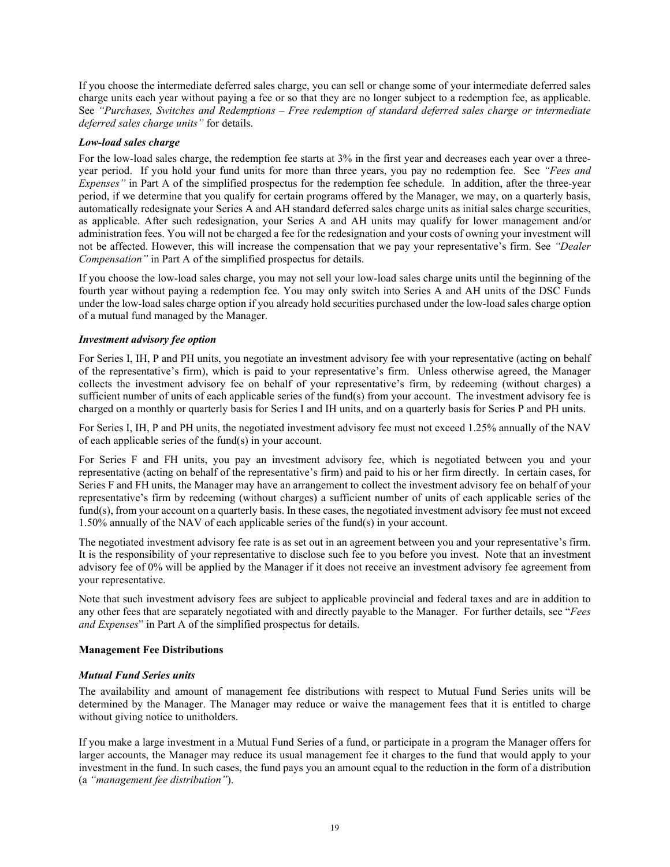If you choose the intermediate deferred sales charge, you can sell or change some of your intermediate deferred sales charge units each year without paying a fee or so that they are no longer subject to a redemption fee, as applicable. See *"Purchases, Switches and Redemptions – Free redemption of standard deferred sales charge or intermediate deferred sales charge units"* for details.

#### *Low-load sales charge*

For the low-load sales charge, the redemption fee starts at 3% in the first year and decreases each year over a threeyear period. If you hold your fund units for more than three years, you pay no redemption fee. See *"Fees and Expenses"* in Part A of the simplified prospectus for the redemption fee schedule. In addition, after the three-year period, if we determine that you qualify for certain programs offered by the Manager, we may, on a quarterly basis, automatically redesignate your Series A and AH standard deferred sales charge units as initial sales charge securities, as applicable. After such redesignation, your Series A and AH units may qualify for lower management and/or administration fees. You will not be charged a fee for the redesignation and your costs of owning your investment will not be affected. However, this will increase the compensation that we pay your representative's firm. See *"Dealer Compensation"* in Part A of the simplified prospectus for details.

If you choose the low-load sales charge, you may not sell your low-load sales charge units until the beginning of the fourth year without paying a redemption fee. You may only switch into Series A and AH units of the DSC Funds under the low-load sales charge option if you already hold securities purchased under the low-load sales charge option of a mutual fund managed by the Manager.

## *Investment advisory fee option*

For Series I, IH, P and PH units, you negotiate an investment advisory fee with your representative (acting on behalf of the representative's firm), which is paid to your representative's firm. Unless otherwise agreed, the Manager collects the investment advisory fee on behalf of your representative's firm, by redeeming (without charges) a sufficient number of units of each applicable series of the fund(s) from your account. The investment advisory fee is charged on a monthly or quarterly basis for Series I and IH units, and on a quarterly basis for Series P and PH units.

For Series I, IH, P and PH units, the negotiated investment advisory fee must not exceed 1.25% annually of the NAV of each applicable series of the fund(s) in your account.

For Series F and FH units, you pay an investment advisory fee, which is negotiated between you and your representative (acting on behalf of the representative's firm) and paid to his or her firm directly. In certain cases, for Series F and FH units, the Manager may have an arrangement to collect the investment advisory fee on behalf of your representative's firm by redeeming (without charges) a sufficient number of units of each applicable series of the fund(s), from your account on a quarterly basis. In these cases, the negotiated investment advisory fee must not exceed 1.50% annually of the NAV of each applicable series of the fund(s) in your account.

The negotiated investment advisory fee rate is as set out in an agreement between you and your representative's firm. It is the responsibility of your representative to disclose such fee to you before you invest. Note that an investment advisory fee of 0% will be applied by the Manager if it does not receive an investment advisory fee agreement from your representative.

Note that such investment advisory fees are subject to applicable provincial and federal taxes and are in addition to any other fees that are separately negotiated with and directly payable to the Manager. For further details, see "*Fees and Expenses*" in Part A of the simplified prospectus for details.

#### **Management Fee Distributions**

#### *Mutual Fund Series units*

The availability and amount of management fee distributions with respect to Mutual Fund Series units will be determined by the Manager. The Manager may reduce or waive the management fees that it is entitled to charge without giving notice to unitholders.

If you make a large investment in a Mutual Fund Series of a fund, or participate in a program the Manager offers for larger accounts, the Manager may reduce its usual management fee it charges to the fund that would apply to your investment in the fund. In such cases, the fund pays you an amount equal to the reduction in the form of a distribution (a *"management fee distribution"*).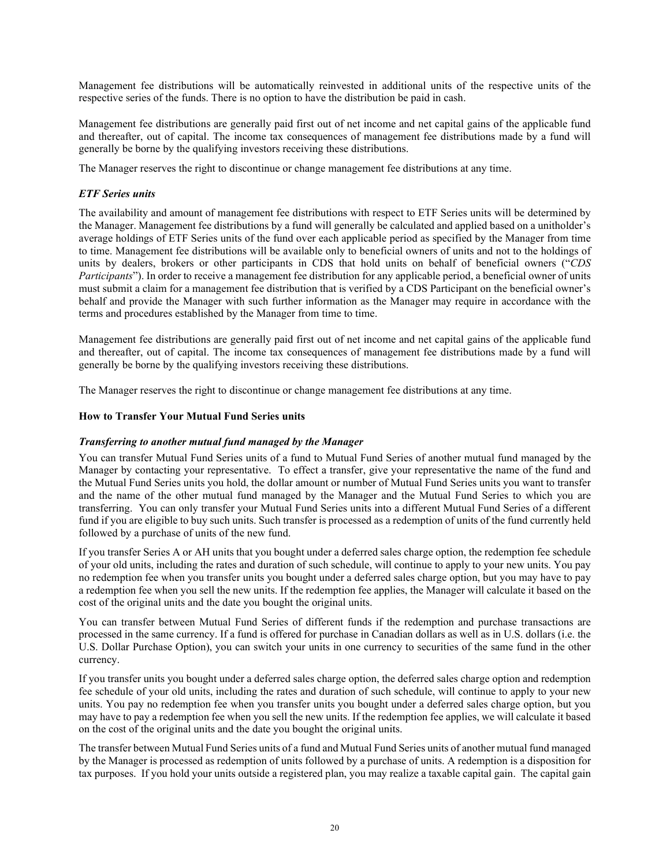Management fee distributions will be automatically reinvested in additional units of the respective units of the respective series of the funds. There is no option to have the distribution be paid in cash.

Management fee distributions are generally paid first out of net income and net capital gains of the applicable fund and thereafter, out of capital. The income tax consequences of management fee distributions made by a fund will generally be borne by the qualifying investors receiving these distributions.

The Manager reserves the right to discontinue or change management fee distributions at any time.

## *ETF Series units*

The availability and amount of management fee distributions with respect to ETF Series units will be determined by the Manager. Management fee distributions by a fund will generally be calculated and applied based on a unitholder's average holdings of ETF Series units of the fund over each applicable period as specified by the Manager from time to time. Management fee distributions will be available only to beneficial owners of units and not to the holdings of units by dealers, brokers or other participants in CDS that hold units on behalf of beneficial owners ("*CDS Participants*"). In order to receive a management fee distribution for any applicable period, a beneficial owner of units must submit a claim for a management fee distribution that is verified by a CDS Participant on the beneficial owner's behalf and provide the Manager with such further information as the Manager may require in accordance with the terms and procedures established by the Manager from time to time.

Management fee distributions are generally paid first out of net income and net capital gains of the applicable fund and thereafter, out of capital. The income tax consequences of management fee distributions made by a fund will generally be borne by the qualifying investors receiving these distributions.

The Manager reserves the right to discontinue or change management fee distributions at any time.

#### **How to Transfer Your Mutual Fund Series units**

#### *Transferring to another mutual fund managed by the Manager*

You can transfer Mutual Fund Series units of a fund to Mutual Fund Series of another mutual fund managed by the Manager by contacting your representative. To effect a transfer, give your representative the name of the fund and the Mutual Fund Series units you hold, the dollar amount or number of Mutual Fund Series units you want to transfer and the name of the other mutual fund managed by the Manager and the Mutual Fund Series to which you are transferring. You can only transfer your Mutual Fund Series units into a different Mutual Fund Series of a different fund if you are eligible to buy such units. Such transfer is processed as a redemption of units of the fund currently held followed by a purchase of units of the new fund.

If you transfer Series A or AH units that you bought under a deferred sales charge option, the redemption fee schedule of your old units, including the rates and duration of such schedule, will continue to apply to your new units. You pay no redemption fee when you transfer units you bought under a deferred sales charge option, but you may have to pay a redemption fee when you sell the new units. If the redemption fee applies, the Manager will calculate it based on the cost of the original units and the date you bought the original units.

You can transfer between Mutual Fund Series of different funds if the redemption and purchase transactions are processed in the same currency. If a fund is offered for purchase in Canadian dollars as well as in U.S. dollars (i.e. the U.S. Dollar Purchase Option), you can switch your units in one currency to securities of the same fund in the other currency.

If you transfer units you bought under a deferred sales charge option, the deferred sales charge option and redemption fee schedule of your old units, including the rates and duration of such schedule, will continue to apply to your new units. You pay no redemption fee when you transfer units you bought under a deferred sales charge option, but you may have to pay a redemption fee when you sell the new units. If the redemption fee applies, we will calculate it based on the cost of the original units and the date you bought the original units.

The transfer between Mutual Fund Series units of a fund and Mutual Fund Series units of another mutual fund managed by the Manager is processed as redemption of units followed by a purchase of units. A redemption is a disposition for tax purposes. If you hold your units outside a registered plan, you may realize a taxable capital gain. The capital gain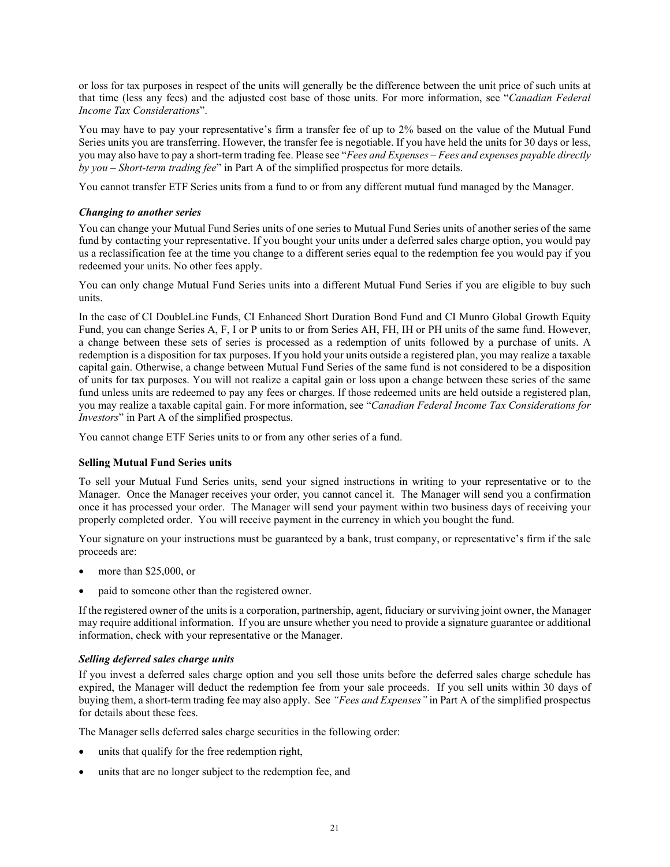or loss for tax purposes in respect of the units will generally be the difference between the unit price of such units at that time (less any fees) and the adjusted cost base of those units. For more information, see "*Canadian Federal Income Tax Considerations*".

You may have to pay your representative's firm a transfer fee of up to 2% based on the value of the Mutual Fund Series units you are transferring. However, the transfer fee is negotiable. If you have held the units for 30 days or less, you may also have to pay a short-term trading fee. Please see "*Fees and Expenses – Fees and expenses payable directly by you – Short-term trading fee*" in Part A of the simplified prospectus for more details.

You cannot transfer ETF Series units from a fund to or from any different mutual fund managed by the Manager.

#### *Changing to another series*

You can change your Mutual Fund Series units of one series to Mutual Fund Series units of another series of the same fund by contacting your representative. If you bought your units under a deferred sales charge option, you would pay us a reclassification fee at the time you change to a different series equal to the redemption fee you would pay if you redeemed your units. No other fees apply.

You can only change Mutual Fund Series units into a different Mutual Fund Series if you are eligible to buy such units.

In the case of CI DoubleLine Funds, CI Enhanced Short Duration Bond Fund and CI Munro Global Growth Equity Fund, you can change Series A, F, I or P units to or from Series AH, FH, IH or PH units of the same fund. However, a change between these sets of series is processed as a redemption of units followed by a purchase of units. A redemption is a disposition for tax purposes. If you hold your units outside a registered plan, you may realize a taxable capital gain. Otherwise, a change between Mutual Fund Series of the same fund is not considered to be a disposition of units for tax purposes. You will not realize a capital gain or loss upon a change between these series of the same fund unless units are redeemed to pay any fees or charges. If those redeemed units are held outside a registered plan, you may realize a taxable capital gain. For more information, see "*Canadian Federal Income Tax Considerations for Investors*" in Part A of the simplified prospectus.

You cannot change ETF Series units to or from any other series of a fund.

## **Selling Mutual Fund Series units**

To sell your Mutual Fund Series units, send your signed instructions in writing to your representative or to the Manager. Once the Manager receives your order, you cannot cancel it. The Manager will send you a confirmation once it has processed your order. The Manager will send your payment within two business days of receiving your properly completed order. You will receive payment in the currency in which you bought the fund.

Your signature on your instructions must be guaranteed by a bank, trust company, or representative's firm if the sale proceeds are:

- more than \$25,000, or
- paid to someone other than the registered owner.

If the registered owner of the units is a corporation, partnership, agent, fiduciary or surviving joint owner, the Manager may require additional information. If you are unsure whether you need to provide a signature guarantee or additional information, check with your representative or the Manager.

## *Selling deferred sales charge units*

If you invest a deferred sales charge option and you sell those units before the deferred sales charge schedule has expired, the Manager will deduct the redemption fee from your sale proceeds. If you sell units within 30 days of buying them, a short-term trading fee may also apply. See *"Fees and Expenses"* in Part A of the simplified prospectus for details about these fees.

The Manager sells deferred sales charge securities in the following order:

- units that qualify for the free redemption right,
- units that are no longer subject to the redemption fee, and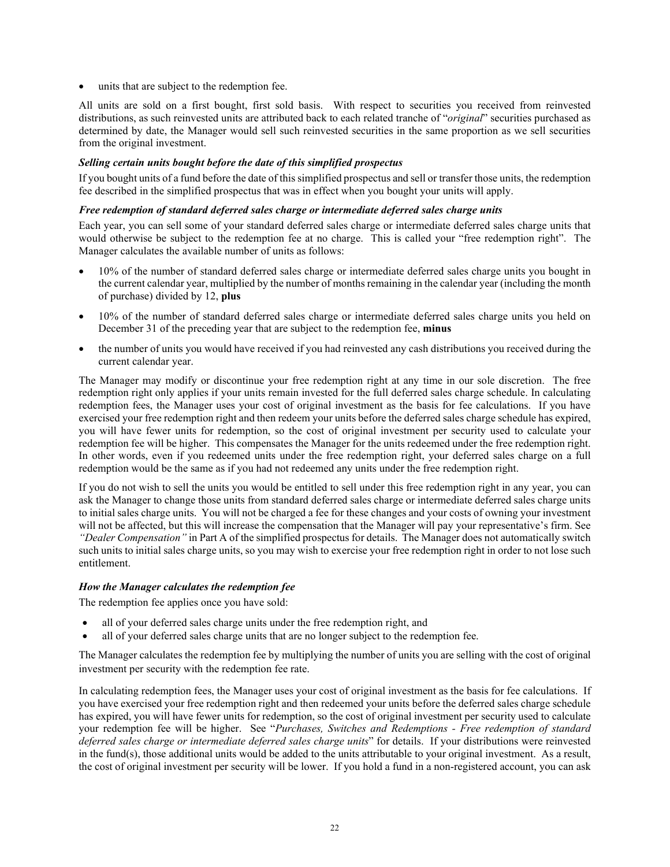units that are subject to the redemption fee.

All units are sold on a first bought, first sold basis. With respect to securities you received from reinvested distributions, as such reinvested units are attributed back to each related tranche of "*original*" securities purchased as determined by date, the Manager would sell such reinvested securities in the same proportion as we sell securities from the original investment.

### *Selling certain units bought before the date of this simplified prospectus*

If you bought units of a fund before the date of this simplified prospectus and sell or transfer those units, the redemption fee described in the simplified prospectus that was in effect when you bought your units will apply.

#### *Free redemption of standard deferred sales charge or intermediate deferred sales charge units*

Each year, you can sell some of your standard deferred sales charge or intermediate deferred sales charge units that would otherwise be subject to the redemption fee at no charge. This is called your "free redemption right". The Manager calculates the available number of units as follows:

- 10% of the number of standard deferred sales charge or intermediate deferred sales charge units you bought in the current calendar year, multiplied by the number of months remaining in the calendar year (including the month of purchase) divided by 12, **plus**
- 10% of the number of standard deferred sales charge or intermediate deferred sales charge units you held on December 31 of the preceding year that are subject to the redemption fee, **minus**
- the number of units you would have received if you had reinvested any cash distributions you received during the current calendar year.

The Manager may modify or discontinue your free redemption right at any time in our sole discretion. The free redemption right only applies if your units remain invested for the full deferred sales charge schedule. In calculating redemption fees, the Manager uses your cost of original investment as the basis for fee calculations. If you have exercised your free redemption right and then redeem your units before the deferred sales charge schedule has expired, you will have fewer units for redemption, so the cost of original investment per security used to calculate your redemption fee will be higher. This compensates the Manager for the units redeemed under the free redemption right. In other words, even if you redeemed units under the free redemption right, your deferred sales charge on a full redemption would be the same as if you had not redeemed any units under the free redemption right.

If you do not wish to sell the units you would be entitled to sell under this free redemption right in any year, you can ask the Manager to change those units from standard deferred sales charge or intermediate deferred sales charge units to initial sales charge units. You will not be charged a fee for these changes and your costs of owning your investment will not be affected, but this will increase the compensation that the Manager will pay your representative's firm. See *"Dealer Compensation"* in Part A of the simplified prospectus for details. The Manager does not automatically switch such units to initial sales charge units, so you may wish to exercise your free redemption right in order to not lose such entitlement.

#### *How the Manager calculates the redemption fee*

The redemption fee applies once you have sold:

- all of your deferred sales charge units under the free redemption right, and
- all of your deferred sales charge units that are no longer subject to the redemption fee.

The Manager calculates the redemption fee by multiplying the number of units you are selling with the cost of original investment per security with the redemption fee rate.

In calculating redemption fees, the Manager uses your cost of original investment as the basis for fee calculations. If you have exercised your free redemption right and then redeemed your units before the deferred sales charge schedule has expired, you will have fewer units for redemption, so the cost of original investment per security used to calculate your redemption fee will be higher. See "*Purchases, Switches and Redemptions - Free redemption of standard deferred sales charge or intermediate deferred sales charge units*" for details. If your distributions were reinvested in the fund(s), those additional units would be added to the units attributable to your original investment. As a result, the cost of original investment per security will be lower. If you hold a fund in a non-registered account, you can ask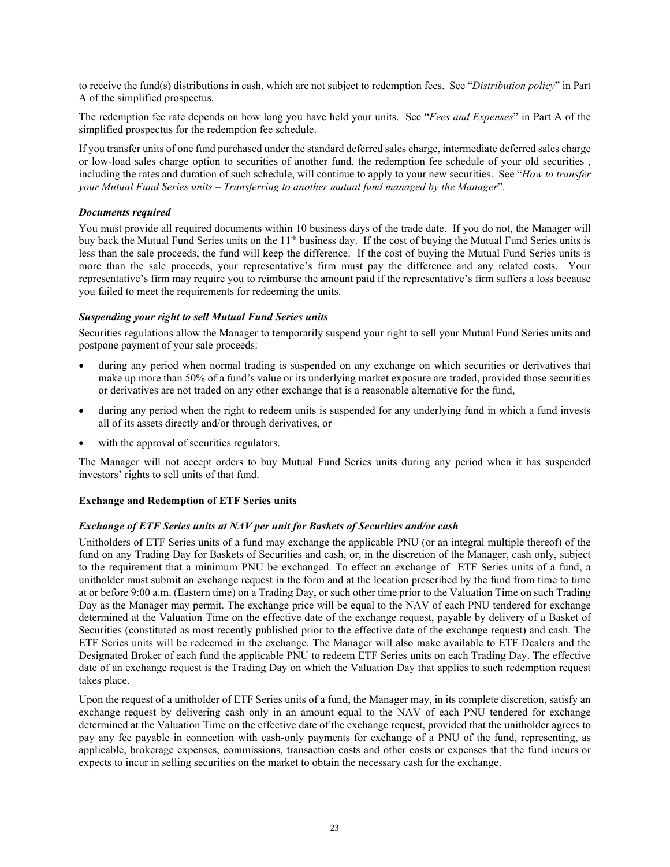to receive the fund(s) distributions in cash, which are not subject to redemption fees. See "*Distribution policy*" in Part A of the simplified prospectus.

The redemption fee rate depends on how long you have held your units. See "*Fees and Expenses*" in Part A of the simplified prospectus for the redemption fee schedule.

If you transfer units of one fund purchased under the standard deferred sales charge, intermediate deferred sales charge or low-load sales charge option to securities of another fund, the redemption fee schedule of your old securities , including the rates and duration of such schedule, will continue to apply to your new securities. See "*How to transfer your Mutual Fund Series units – Transferring to another mutual fund managed by the Manager*".

#### *Documents required*

You must provide all required documents within 10 business days of the trade date. If you do not, the Manager will buy back the Mutual Fund Series units on the  $11<sup>th</sup>$  business day. If the cost of buying the Mutual Fund Series units is less than the sale proceeds, the fund will keep the difference. If the cost of buying the Mutual Fund Series units is more than the sale proceeds, your representative's firm must pay the difference and any related costs. Your representative's firm may require you to reimburse the amount paid if the representative's firm suffers a loss because you failed to meet the requirements for redeeming the units.

#### *Suspending your right to sell Mutual Fund Series units*

Securities regulations allow the Manager to temporarily suspend your right to sell your Mutual Fund Series units and postpone payment of your sale proceeds:

- during any period when normal trading is suspended on any exchange on which securities or derivatives that make up more than 50% of a fund's value or its underlying market exposure are traded, provided those securities or derivatives are not traded on any other exchange that is a reasonable alternative for the fund,
- during any period when the right to redeem units is suspended for any underlying fund in which a fund invests all of its assets directly and/or through derivatives, or
- with the approval of securities regulators.

The Manager will not accept orders to buy Mutual Fund Series units during any period when it has suspended investors' rights to sell units of that fund.

#### **Exchange and Redemption of ETF Series units**

#### *Exchange of ETF Series units at NAV per unit for Baskets of Securities and/or cash*

Unitholders of ETF Series units of a fund may exchange the applicable PNU (or an integral multiple thereof) of the fund on any Trading Day for Baskets of Securities and cash, or, in the discretion of the Manager, cash only, subject to the requirement that a minimum PNU be exchanged. To effect an exchange of ETF Series units of a fund, a unitholder must submit an exchange request in the form and at the location prescribed by the fund from time to time at or before 9:00 a.m. (Eastern time) on a Trading Day, or such other time prior to the Valuation Time on such Trading Day as the Manager may permit. The exchange price will be equal to the NAV of each PNU tendered for exchange determined at the Valuation Time on the effective date of the exchange request, payable by delivery of a Basket of Securities (constituted as most recently published prior to the effective date of the exchange request) and cash. The ETF Series units will be redeemed in the exchange. The Manager will also make available to ETF Dealers and the Designated Broker of each fund the applicable PNU to redeem ETF Series units on each Trading Day. The effective date of an exchange request is the Trading Day on which the Valuation Day that applies to such redemption request takes place.

Upon the request of a unitholder of ETF Series units of a fund, the Manager may, in its complete discretion, satisfy an exchange request by delivering cash only in an amount equal to the NAV of each PNU tendered for exchange determined at the Valuation Time on the effective date of the exchange request, provided that the unitholder agrees to pay any fee payable in connection with cash-only payments for exchange of a PNU of the fund, representing, as applicable, brokerage expenses, commissions, transaction costs and other costs or expenses that the fund incurs or expects to incur in selling securities on the market to obtain the necessary cash for the exchange.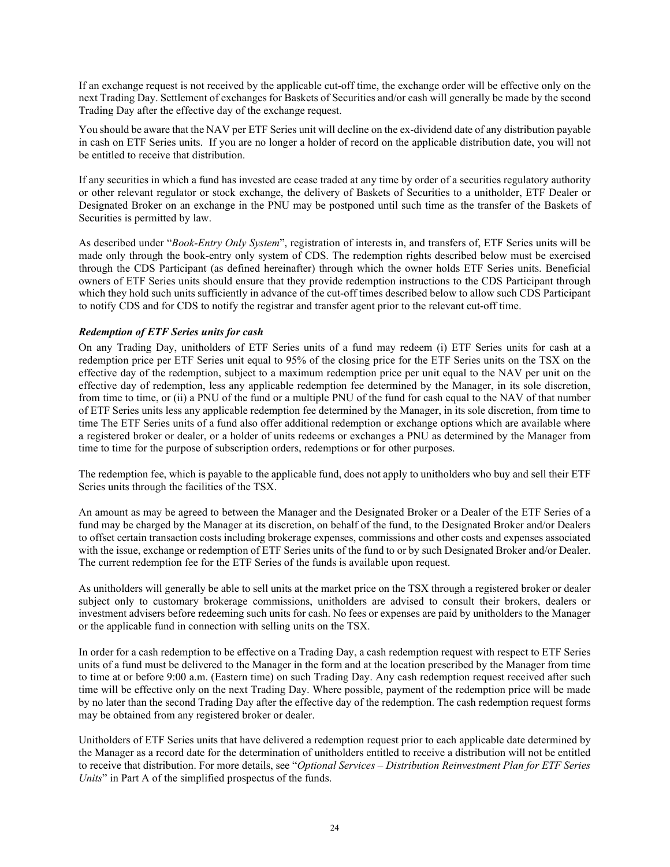If an exchange request is not received by the applicable cut-off time, the exchange order will be effective only on the next Trading Day. Settlement of exchanges for Baskets of Securities and/or cash will generally be made by the second Trading Day after the effective day of the exchange request.

You should be aware that the NAV per ETF Series unit will decline on the ex-dividend date of any distribution payable in cash on ETF Series units. If you are no longer a holder of record on the applicable distribution date, you will not be entitled to receive that distribution.

If any securities in which a fund has invested are cease traded at any time by order of a securities regulatory authority or other relevant regulator or stock exchange, the delivery of Baskets of Securities to a unitholder, ETF Dealer or Designated Broker on an exchange in the PNU may be postponed until such time as the transfer of the Baskets of Securities is permitted by law.

As described under "*Book-Entry Only System*", registration of interests in, and transfers of, ETF Series units will be made only through the book-entry only system of CDS. The redemption rights described below must be exercised through the CDS Participant (as defined hereinafter) through which the owner holds ETF Series units. Beneficial owners of ETF Series units should ensure that they provide redemption instructions to the CDS Participant through which they hold such units sufficiently in advance of the cut-off times described below to allow such CDS Participant to notify CDS and for CDS to notify the registrar and transfer agent prior to the relevant cut-off time.

## *Redemption of ETF Series units for cash*

On any Trading Day, unitholders of ETF Series units of a fund may redeem (i) ETF Series units for cash at a redemption price per ETF Series unit equal to 95% of the closing price for the ETF Series units on the TSX on the effective day of the redemption, subject to a maximum redemption price per unit equal to the NAV per unit on the effective day of redemption, less any applicable redemption fee determined by the Manager, in its sole discretion, from time to time, or (ii) a PNU of the fund or a multiple PNU of the fund for cash equal to the NAV of that number of ETF Series units less any applicable redemption fee determined by the Manager, in its sole discretion, from time to time The ETF Series units of a fund also offer additional redemption or exchange options which are available where a registered broker or dealer, or a holder of units redeems or exchanges a PNU as determined by the Manager from time to time for the purpose of subscription orders, redemptions or for other purposes.

The redemption fee, which is payable to the applicable fund, does not apply to unitholders who buy and sell their ETF Series units through the facilities of the TSX.

An amount as may be agreed to between the Manager and the Designated Broker or a Dealer of the ETF Series of a fund may be charged by the Manager at its discretion, on behalf of the fund, to the Designated Broker and/or Dealers to offset certain transaction costs including brokerage expenses, commissions and other costs and expenses associated with the issue, exchange or redemption of ETF Series units of the fund to or by such Designated Broker and/or Dealer. The current redemption fee for the ETF Series of the funds is available upon request.

As unitholders will generally be able to sell units at the market price on the TSX through a registered broker or dealer subject only to customary brokerage commissions, unitholders are advised to consult their brokers, dealers or investment advisers before redeeming such units for cash. No fees or expenses are paid by unitholders to the Manager or the applicable fund in connection with selling units on the TSX.

In order for a cash redemption to be effective on a Trading Day, a cash redemption request with respect to ETF Series units of a fund must be delivered to the Manager in the form and at the location prescribed by the Manager from time to time at or before 9:00 a.m. (Eastern time) on such Trading Day. Any cash redemption request received after such time will be effective only on the next Trading Day. Where possible, payment of the redemption price will be made by no later than the second Trading Day after the effective day of the redemption. The cash redemption request forms may be obtained from any registered broker or dealer.

Unitholders of ETF Series units that have delivered a redemption request prior to each applicable date determined by the Manager as a record date for the determination of unitholders entitled to receive a distribution will not be entitled to receive that distribution. For more details, see "*Optional Services – Distribution Reinvestment Plan for ETF Series Units*" in Part A of the simplified prospectus of the funds.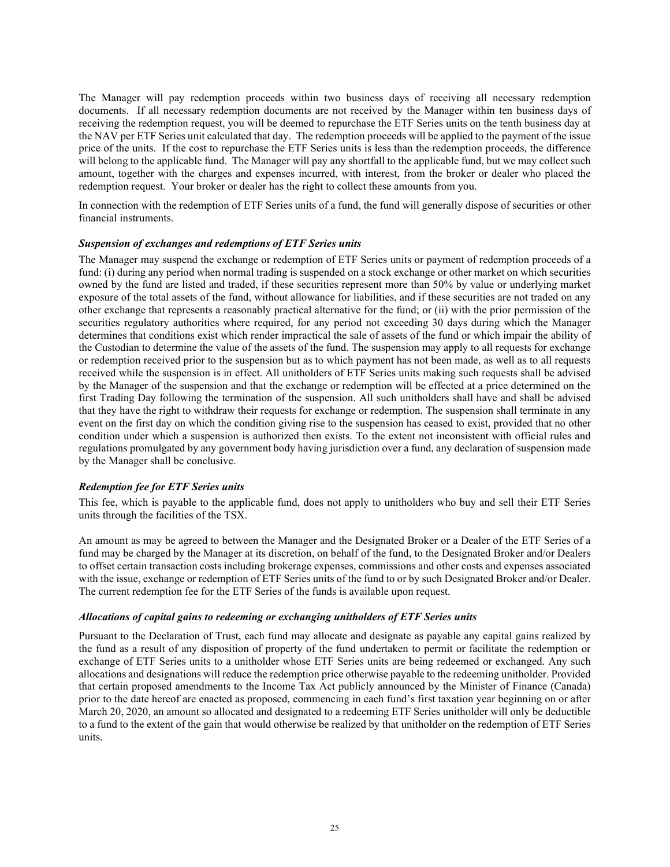The Manager will pay redemption proceeds within two business days of receiving all necessary redemption documents. If all necessary redemption documents are not received by the Manager within ten business days of receiving the redemption request, you will be deemed to repurchase the ETF Series units on the tenth business day at the NAV per ETF Series unit calculated that day. The redemption proceeds will be applied to the payment of the issue price of the units. If the cost to repurchase the ETF Series units is less than the redemption proceeds, the difference will belong to the applicable fund. The Manager will pay any shortfall to the applicable fund, but we may collect such amount, together with the charges and expenses incurred, with interest, from the broker or dealer who placed the redemption request. Your broker or dealer has the right to collect these amounts from you.

In connection with the redemption of ETF Series units of a fund, the fund will generally dispose of securities or other financial instruments.

#### *Suspension of exchanges and redemptions of ETF Series units*

The Manager may suspend the exchange or redemption of ETF Series units or payment of redemption proceeds of a fund: (i) during any period when normal trading is suspended on a stock exchange or other market on which securities owned by the fund are listed and traded, if these securities represent more than 50% by value or underlying market exposure of the total assets of the fund, without allowance for liabilities, and if these securities are not traded on any other exchange that represents a reasonably practical alternative for the fund; or (ii) with the prior permission of the securities regulatory authorities where required, for any period not exceeding 30 days during which the Manager determines that conditions exist which render impractical the sale of assets of the fund or which impair the ability of the Custodian to determine the value of the assets of the fund. The suspension may apply to all requests for exchange or redemption received prior to the suspension but as to which payment has not been made, as well as to all requests received while the suspension is in effect. All unitholders of ETF Series units making such requests shall be advised by the Manager of the suspension and that the exchange or redemption will be effected at a price determined on the first Trading Day following the termination of the suspension. All such unitholders shall have and shall be advised that they have the right to withdraw their requests for exchange or redemption. The suspension shall terminate in any event on the first day on which the condition giving rise to the suspension has ceased to exist, provided that no other condition under which a suspension is authorized then exists. To the extent not inconsistent with official rules and regulations promulgated by any government body having jurisdiction over a fund, any declaration of suspension made by the Manager shall be conclusive.

#### *Redemption fee for ETF Series units*

This fee, which is payable to the applicable fund, does not apply to unitholders who buy and sell their ETF Series units through the facilities of the TSX.

An amount as may be agreed to between the Manager and the Designated Broker or a Dealer of the ETF Series of a fund may be charged by the Manager at its discretion, on behalf of the fund, to the Designated Broker and/or Dealers to offset certain transaction costs including brokerage expenses, commissions and other costs and expenses associated with the issue, exchange or redemption of ETF Series units of the fund to or by such Designated Broker and/or Dealer. The current redemption fee for the ETF Series of the funds is available upon request.

#### *Allocations of capital gains to redeeming or exchanging unitholders of ETF Series units*

Pursuant to the Declaration of Trust, each fund may allocate and designate as payable any capital gains realized by the fund as a result of any disposition of property of the fund undertaken to permit or facilitate the redemption or exchange of ETF Series units to a unitholder whose ETF Series units are being redeemed or exchanged. Any such allocations and designations will reduce the redemption price otherwise payable to the redeeming unitholder. Provided that certain proposed amendments to the Income Tax Act publicly announced by the Minister of Finance (Canada) prior to the date hereof are enacted as proposed, commencing in each fund's first taxation year beginning on or after March 20, 2020, an amount so allocated and designated to a redeeming ETF Series unitholder will only be deductible to a fund to the extent of the gain that would otherwise be realized by that unitholder on the redemption of ETF Series units.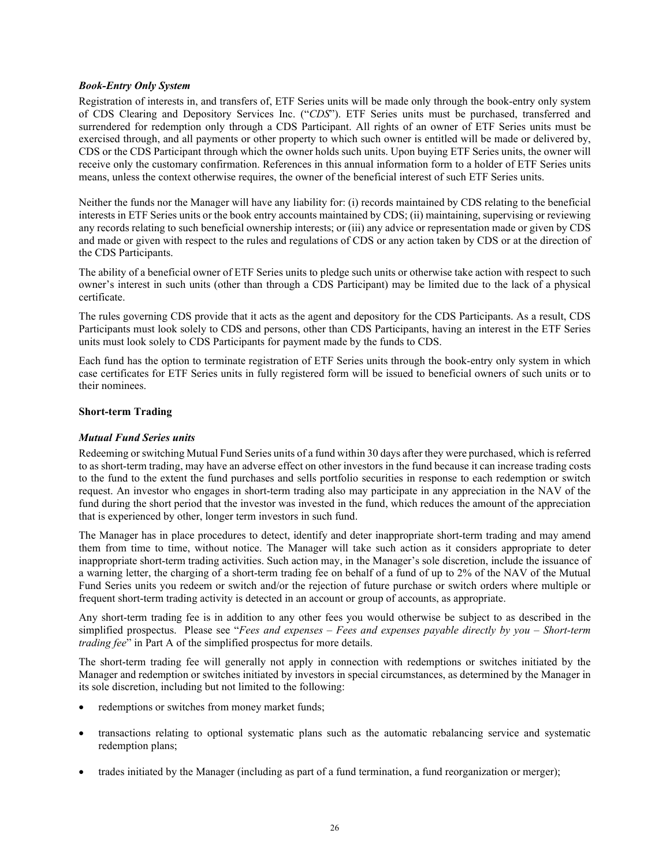#### *Book-Entry Only System*

Registration of interests in, and transfers of, ETF Series units will be made only through the book-entry only system of CDS Clearing and Depository Services Inc. ("*CDS*"). ETF Series units must be purchased, transferred and surrendered for redemption only through a CDS Participant. All rights of an owner of ETF Series units must be exercised through, and all payments or other property to which such owner is entitled will be made or delivered by, CDS or the CDS Participant through which the owner holds such units. Upon buying ETF Series units, the owner will receive only the customary confirmation. References in this annual information form to a holder of ETF Series units means, unless the context otherwise requires, the owner of the beneficial interest of such ETF Series units.

Neither the funds nor the Manager will have any liability for: (i) records maintained by CDS relating to the beneficial interests in ETF Series units or the book entry accounts maintained by CDS; (ii) maintaining, supervising or reviewing any records relating to such beneficial ownership interests; or (iii) any advice or representation made or given by CDS and made or given with respect to the rules and regulations of CDS or any action taken by CDS or at the direction of the CDS Participants.

The ability of a beneficial owner of ETF Series units to pledge such units or otherwise take action with respect to such owner's interest in such units (other than through a CDS Participant) may be limited due to the lack of a physical certificate.

The rules governing CDS provide that it acts as the agent and depository for the CDS Participants. As a result, CDS Participants must look solely to CDS and persons, other than CDS Participants, having an interest in the ETF Series units must look solely to CDS Participants for payment made by the funds to CDS.

Each fund has the option to terminate registration of ETF Series units through the book-entry only system in which case certificates for ETF Series units in fully registered form will be issued to beneficial owners of such units or to their nominees.

#### **Short-term Trading**

### *Mutual Fund Series units*

Redeeming or switching Mutual Fund Series units of a fund within 30 days after they were purchased, which is referred to as short-term trading, may have an adverse effect on other investors in the fund because it can increase trading costs to the fund to the extent the fund purchases and sells portfolio securities in response to each redemption or switch request. An investor who engages in short-term trading also may participate in any appreciation in the NAV of the fund during the short period that the investor was invested in the fund, which reduces the amount of the appreciation that is experienced by other, longer term investors in such fund.

The Manager has in place procedures to detect, identify and deter inappropriate short-term trading and may amend them from time to time, without notice. The Manager will take such action as it considers appropriate to deter inappropriate short-term trading activities. Such action may, in the Manager's sole discretion, include the issuance of a warning letter, the charging of a short-term trading fee on behalf of a fund of up to 2% of the NAV of the Mutual Fund Series units you redeem or switch and/or the rejection of future purchase or switch orders where multiple or frequent short-term trading activity is detected in an account or group of accounts, as appropriate.

Any short-term trading fee is in addition to any other fees you would otherwise be subject to as described in the simplified prospectus. Please see "*Fees and expenses – Fees and expenses payable directly by you – Short-term trading fee*" in Part A of the simplified prospectus for more details.

The short-term trading fee will generally not apply in connection with redemptions or switches initiated by the Manager and redemption or switches initiated by investors in special circumstances, as determined by the Manager in its sole discretion, including but not limited to the following:

- redemptions or switches from money market funds;
- transactions relating to optional systematic plans such as the automatic rebalancing service and systematic redemption plans;
- trades initiated by the Manager (including as part of a fund termination, a fund reorganization or merger);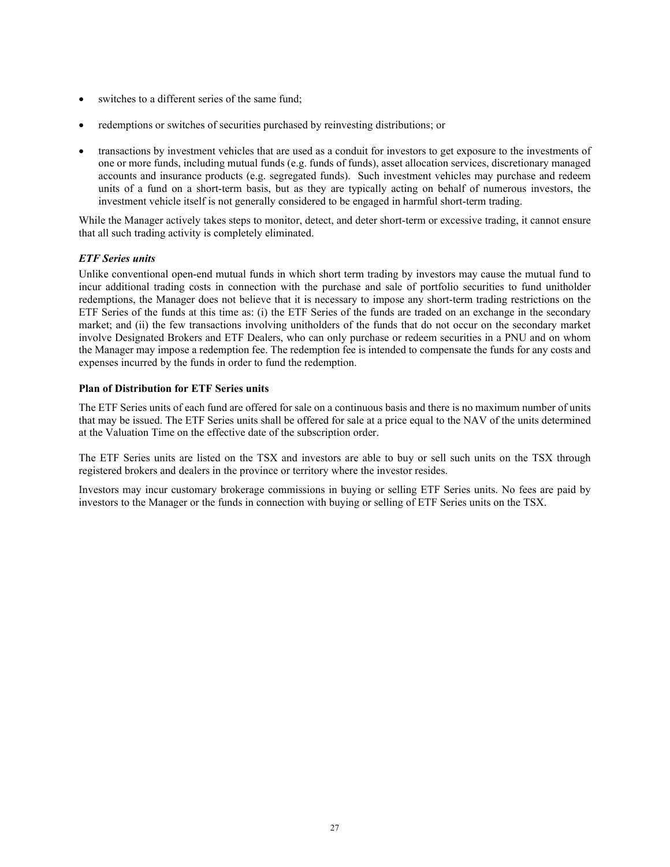- switches to a different series of the same fund:
- redemptions or switches of securities purchased by reinvesting distributions; or
- transactions by investment vehicles that are used as a conduit for investors to get exposure to the investments of one or more funds, including mutual funds (e.g. funds of funds), asset allocation services, discretionary managed accounts and insurance products (e.g. segregated funds). Such investment vehicles may purchase and redeem units of a fund on a short-term basis, but as they are typically acting on behalf of numerous investors, the investment vehicle itself is not generally considered to be engaged in harmful short-term trading.

While the Manager actively takes steps to monitor, detect, and deter short-term or excessive trading, it cannot ensure that all such trading activity is completely eliminated.

#### *ETF Series units*

Unlike conventional open-end mutual funds in which short term trading by investors may cause the mutual fund to incur additional trading costs in connection with the purchase and sale of portfolio securities to fund unitholder redemptions, the Manager does not believe that it is necessary to impose any short-term trading restrictions on the ETF Series of the funds at this time as: (i) the ETF Series of the funds are traded on an exchange in the secondary market; and (ii) the few transactions involving unitholders of the funds that do not occur on the secondary market involve Designated Brokers and ETF Dealers, who can only purchase or redeem securities in a PNU and on whom the Manager may impose a redemption fee. The redemption fee is intended to compensate the funds for any costs and expenses incurred by the funds in order to fund the redemption.

#### **Plan of Distribution for ETF Series units**

The ETF Series units of each fund are offered for sale on a continuous basis and there is no maximum number of units that may be issued. The ETF Series units shall be offered for sale at a price equal to the NAV of the units determined at the Valuation Time on the effective date of the subscription order.

The ETF Series units are listed on the TSX and investors are able to buy or sell such units on the TSX through registered brokers and dealers in the province or territory where the investor resides.

Investors may incur customary brokerage commissions in buying or selling ETF Series units. No fees are paid by investors to the Manager or the funds in connection with buying or selling of ETF Series units on the TSX.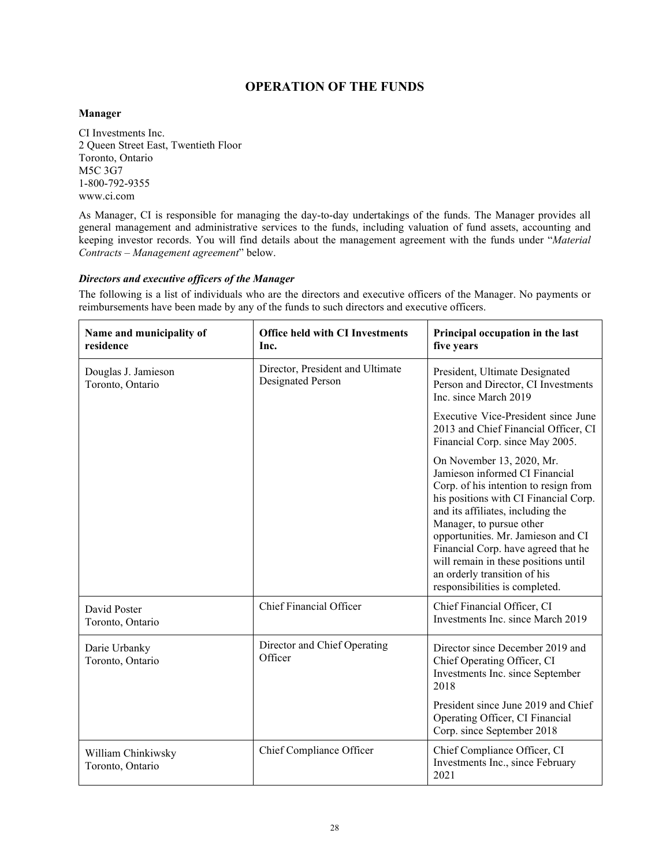# **OPERATION OF THE FUNDS**

## <span id="page-29-0"></span>**Manager**

CI Investments Inc. 2 Queen Street East, Twentieth Floor Toronto, Ontario M5C 3G7 1-800-792-9355 www.ci.com

As Manager, CI is responsible for managing the day-to-day undertakings of the funds. The Manager provides all general management and administrative services to the funds, including valuation of fund assets, accounting and keeping investor records. You will find details about the management agreement with the funds under "*Material Contracts – Management agreement*" below.

#### *Directors and executive officers of the Manager*

The following is a list of individuals who are the directors and executive officers of the Manager. No payments or reimbursements have been made by any of the funds to such directors and executive officers.

| Name and municipality of<br>residence   | <b>Office held with CI Investments</b><br>Inc.        | Principal occupation in the last<br>five years                                                                                                                                                                                                                                                                                                                                                        |
|-----------------------------------------|-------------------------------------------------------|-------------------------------------------------------------------------------------------------------------------------------------------------------------------------------------------------------------------------------------------------------------------------------------------------------------------------------------------------------------------------------------------------------|
| Douglas J. Jamieson<br>Toronto, Ontario | Director, President and Ultimate<br>Designated Person | President, Ultimate Designated<br>Person and Director, CI Investments<br>Inc. since March 2019                                                                                                                                                                                                                                                                                                        |
|                                         |                                                       | Executive Vice-President since June<br>2013 and Chief Financial Officer, CI<br>Financial Corp. since May 2005.                                                                                                                                                                                                                                                                                        |
|                                         |                                                       | On November 13, 2020, Mr.<br>Jamieson informed CI Financial<br>Corp. of his intention to resign from<br>his positions with CI Financial Corp.<br>and its affiliates, including the<br>Manager, to pursue other<br>opportunities. Mr. Jamieson and CI<br>Financial Corp. have agreed that he<br>will remain in these positions until<br>an orderly transition of his<br>responsibilities is completed. |
| David Poster<br>Toronto, Ontario        | Chief Financial Officer                               | Chief Financial Officer, CI<br>Investments Inc. since March 2019                                                                                                                                                                                                                                                                                                                                      |
| Darie Urbanky<br>Toronto, Ontario       | Director and Chief Operating<br>Officer               | Director since December 2019 and<br>Chief Operating Officer, CI<br>Investments Inc. since September<br>2018                                                                                                                                                                                                                                                                                           |
|                                         |                                                       | President since June 2019 and Chief<br>Operating Officer, CI Financial<br>Corp. since September 2018                                                                                                                                                                                                                                                                                                  |
| William Chinkiwsky<br>Toronto, Ontario  | Chief Compliance Officer                              | Chief Compliance Officer, CI<br>Investments Inc., since February<br>2021                                                                                                                                                                                                                                                                                                                              |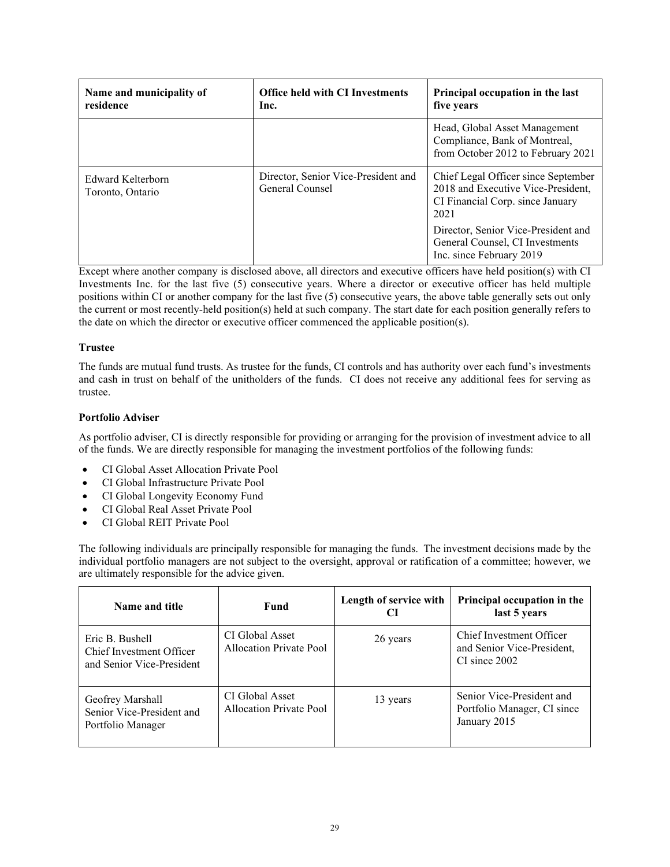| Name and municipality of<br>residence | <b>Office held with CI Investments</b><br>Inc.         | Principal occupation in the last<br>five years                                                                        |
|---------------------------------------|--------------------------------------------------------|-----------------------------------------------------------------------------------------------------------------------|
|                                       |                                                        | Head, Global Asset Management<br>Compliance, Bank of Montreal,<br>from October 2012 to February 2021                  |
| Edward Kelterborn<br>Toronto, Ontario | Director, Senior Vice-President and<br>General Counsel | Chief Legal Officer since September<br>2018 and Executive Vice-President,<br>CI Financial Corp. since January<br>2021 |
|                                       |                                                        | Director, Senior Vice-President and<br>General Counsel, CI Investments<br>Inc. since February 2019                    |

Except where another company is disclosed above, all directors and executive officers have held position(s) with CI Investments Inc. for the last five (5) consecutive years. Where a director or executive officer has held multiple positions within CI or another company for the last five (5) consecutive years, the above table generally sets out only the current or most recently-held position(s) held at such company. The start date for each position generally refers to the date on which the director or executive officer commenced the applicable position(s).

## **Trustee**

The funds are mutual fund trusts. As trustee for the funds, CI controls and has authority over each fund's investments and cash in trust on behalf of the unitholders of the funds. CI does not receive any additional fees for serving as trustee.

## **Portfolio Adviser**

As portfolio adviser, CI is directly responsible for providing or arranging for the provision of investment advice to all of the funds. We are directly responsible for managing the investment portfolios of the following funds:

- CI Global Asset Allocation Private Pool
- CI Global Infrastructure Private Pool
- CI Global Longevity Economy Fund
- CI Global Real Asset Private Pool
- CI Global REIT Private Pool

The following individuals are principally responsible for managing the funds. The investment decisions made by the individual portfolio managers are not subject to the oversight, approval or ratification of a committee; however, we are ultimately responsible for the advice given.

| Name and title                                                           | <b>Fund</b>                                | Length of service with | Principal occupation in the<br>last 5 years                              |
|--------------------------------------------------------------------------|--------------------------------------------|------------------------|--------------------------------------------------------------------------|
| Eric B. Bushell<br>Chief Investment Officer<br>and Senior Vice-President | CI Global Asset<br>Allocation Private Pool | 26 years               | Chief Investment Officer<br>and Senior Vice-President,<br>CI since 2002  |
| Geofrey Marshall<br>Senior Vice-President and<br>Portfolio Manager       | CI Global Asset<br>Allocation Private Pool | 13 years               | Senior Vice-President and<br>Portfolio Manager, CI since<br>January 2015 |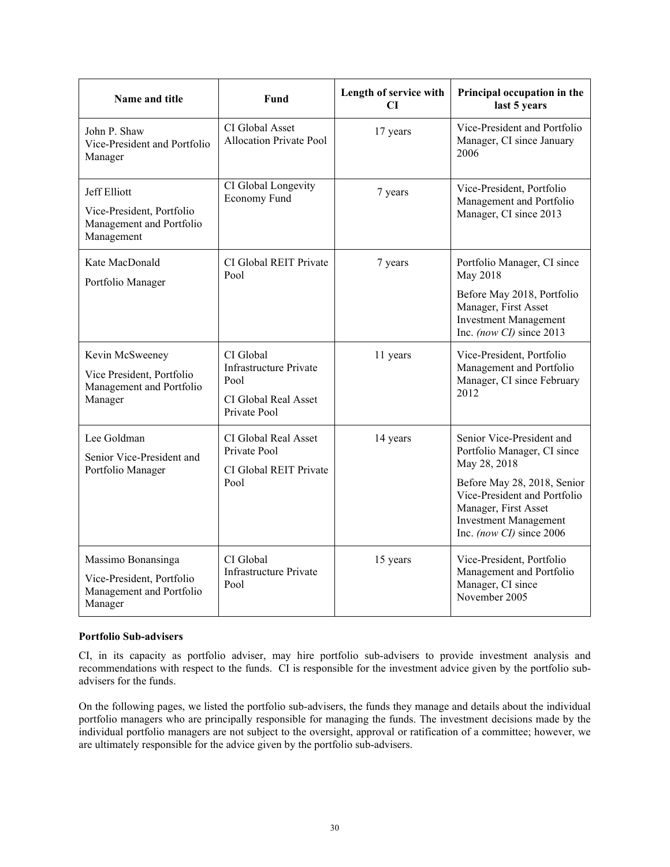| Name and title                                                                         | Fund                                                                                       | Length of service with<br>CI | Principal occupation in the<br>last 5 years                                                                                                     |
|----------------------------------------------------------------------------------------|--------------------------------------------------------------------------------------------|------------------------------|-------------------------------------------------------------------------------------------------------------------------------------------------|
| John P. Shaw<br>Vice-President and Portfolio<br>Manager                                | CI Global Asset<br><b>Allocation Private Pool</b>                                          | 17 years                     | Vice-President and Portfolio<br>Manager, CI since January<br>2006                                                                               |
| Jeff Elliott<br>Vice-President, Portfolio<br>Management and Portfolio<br>Management    | CI Global Longevity<br>Economy Fund                                                        | 7 years                      | Vice-President, Portfolio<br>Management and Portfolio<br>Manager, CI since 2013                                                                 |
| Kate MacDonald<br>Portfolio Manager                                                    | CI Global REIT Private<br>Pool                                                             | 7 years                      | Portfolio Manager, CI since<br>May 2018                                                                                                         |
|                                                                                        |                                                                                            |                              | Before May 2018, Portfolio<br>Manager, First Asset<br><b>Investment Management</b><br>Inc. (now CI) since 2013                                  |
| Kevin McSweeney<br>Vice President, Portfolio<br>Management and Portfolio<br>Manager    | CI Global<br><b>Infrastructure Private</b><br>Pool<br>CI Global Real Asset<br>Private Pool | 11 years                     | Vice-President, Portfolio<br>Management and Portfolio<br>Manager, CI since February<br>2012                                                     |
| Lee Goldman<br>Senior Vice-President and<br>Portfolio Manager                          | CI Global Real Asset<br>Private Pool<br>CI Global REIT Private                             | 14 years                     | Senior Vice-President and<br>Portfolio Manager, CI since<br>May 28, 2018                                                                        |
|                                                                                        | Pool                                                                                       |                              | Before May 28, 2018, Senior<br>Vice-President and Portfolio<br>Manager, First Asset<br><b>Investment Management</b><br>Inc. (now CI) since 2006 |
| Massimo Bonansinga<br>Vice-President, Portfolio<br>Management and Portfolio<br>Manager | CI Global<br><b>Infrastructure Private</b><br>Pool                                         | 15 years                     | Vice-President, Portfolio<br>Management and Portfolio<br>Manager, CI since<br>November 2005                                                     |

## **Portfolio Sub-advisers**

CI, in its capacity as portfolio adviser, may hire portfolio sub-advisers to provide investment analysis and recommendations with respect to the funds. CI is responsible for the investment advice given by the portfolio subadvisers for the funds.

On the following pages, we listed the portfolio sub-advisers, the funds they manage and details about the individual portfolio managers who are principally responsible for managing the funds. The investment decisions made by the individual portfolio managers are not subject to the oversight, approval or ratification of a committee; however, we are ultimately responsible for the advice given by the portfolio sub-advisers.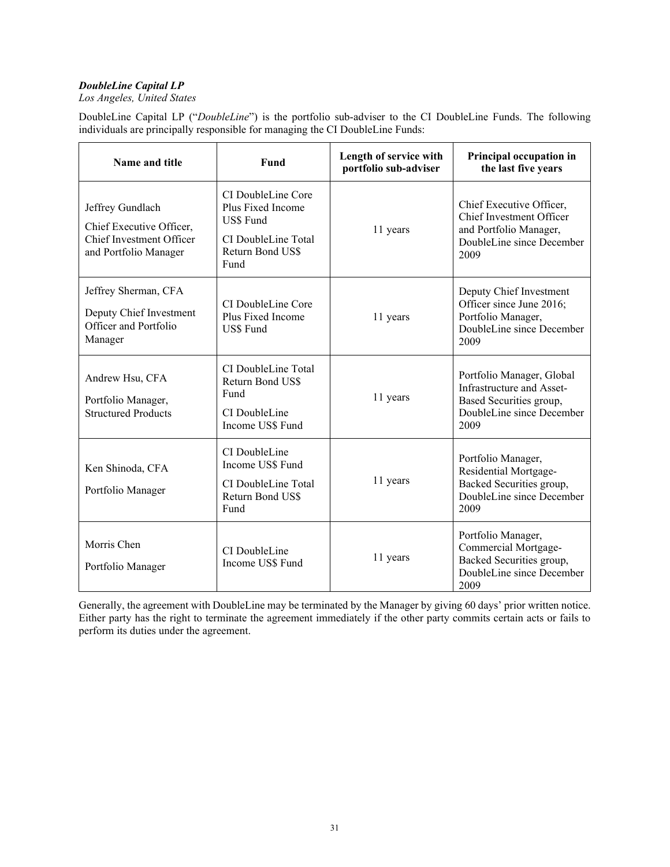## *DoubleLine Capital LP*

*Los Angeles, United States*

DoubleLine Capital LP ("*DoubleLine*") is the portfolio sub-adviser to the CI DoubleLine Funds. The following individuals are principally responsible for managing the CI DoubleLine Funds:

| Name and title                                                                                    | Fund                                                                                                           | Length of service with<br>portfolio sub-adviser | Principal occupation in<br>the last five years                                                                         |
|---------------------------------------------------------------------------------------------------|----------------------------------------------------------------------------------------------------------------|-------------------------------------------------|------------------------------------------------------------------------------------------------------------------------|
| Jeffrey Gundlach<br>Chief Executive Officer,<br>Chief Investment Officer<br>and Portfolio Manager | CI DoubleLine Core<br>Plus Fixed Income<br><b>US\$</b> Fund<br>CI DoubleLine Total<br>Return Bond US\$<br>Fund | 11 years                                        | Chief Executive Officer,<br>Chief Investment Officer<br>and Portfolio Manager,<br>DoubleLine since December<br>2009    |
| Jeffrey Sherman, CFA<br>Deputy Chief Investment<br>Officer and Portfolio<br>Manager               | CI DoubleLine Core<br>Plus Fixed Income<br><b>US\$</b> Fund                                                    | 11 years                                        | Deputy Chief Investment<br>Officer since June 2016;<br>Portfolio Manager,<br>DoubleLine since December<br>2009         |
| Andrew Hsu, CFA<br>Portfolio Manager,<br><b>Structured Products</b>                               | CI DoubleLine Total<br>Return Bond US\$<br>Fund<br>CI DoubleLine<br>Income US\$ Fund                           | 11 years                                        | Portfolio Manager, Global<br>Infrastructure and Asset-<br>Based Securities group,<br>DoubleLine since December<br>2009 |
| Ken Shinoda, CFA<br>Portfolio Manager                                                             | CI DoubleLine<br>Income US\$ Fund<br>CI DoubleLine Total<br>Return Bond US\$<br>Fund                           | 11 years                                        | Portfolio Manager,<br>Residential Mortgage-<br>Backed Securities group,<br>DoubleLine since December<br>2009           |
| Morris Chen<br>Portfolio Manager                                                                  | CI DoubleLine<br>Income US\$ Fund                                                                              | 11 years                                        | Portfolio Manager,<br>Commercial Mortgage-<br>Backed Securities group,<br>DoubleLine since December<br>2009            |

Generally, the agreement with DoubleLine may be terminated by the Manager by giving 60 days' prior written notice. Either party has the right to terminate the agreement immediately if the other party commits certain acts or fails to perform its duties under the agreement.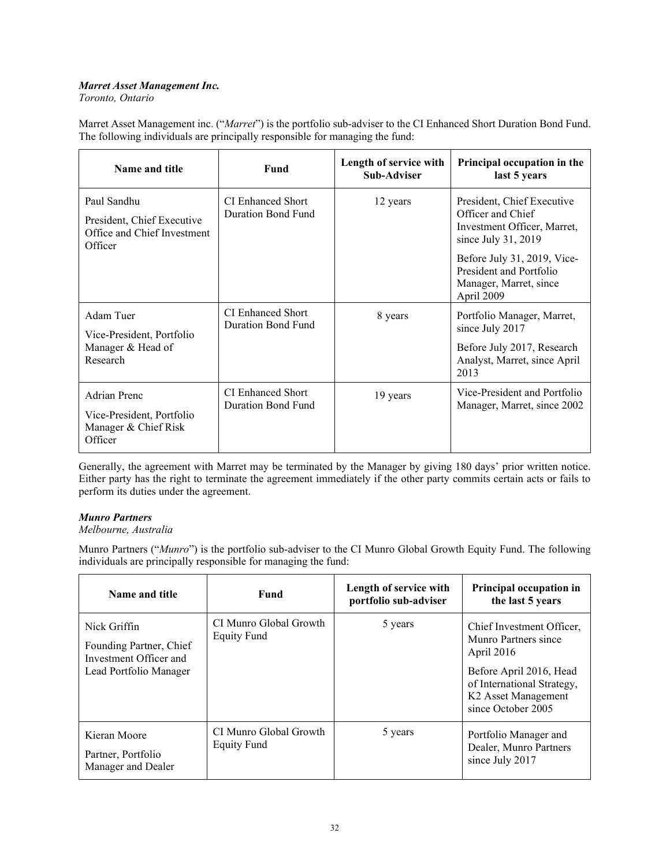## *Marret Asset Management Inc.*

*Toronto, Ontario*

Marret Asset Management inc. ("*Marret*") is the portfolio sub-adviser to the CI Enhanced Short Duration Bond Fund. The following individuals are principally responsible for managing the fund:

| Name and title                                                                      | Fund                                    | Length of service with<br><b>Sub-Adviser</b> | Principal occupation in the<br>last 5 years                                                                         |
|-------------------------------------------------------------------------------------|-----------------------------------------|----------------------------------------------|---------------------------------------------------------------------------------------------------------------------|
| Paul Sandhu<br>President, Chief Executive<br>Office and Chief Investment<br>Officer | CI Enhanced Short<br>Duration Bond Fund | 12 years                                     | President, Chief Executive<br>Officer and Chief<br>Investment Officer, Marret,<br>since July 31, 2019               |
|                                                                                     |                                         |                                              | Before July 31, 2019, Vice-<br>President and Portfolio<br>Manager, Marret, since<br>April 2009                      |
| Adam Tuer<br>Vice-President, Portfolio<br>Manager & Head of<br>Research             | CI Enhanced Short<br>Duration Bond Fund | 8 years                                      | Portfolio Manager, Marret,<br>since July 2017<br>Before July 2017, Research<br>Analyst, Marret, since April<br>2013 |
| <b>Adrian Prenc</b><br>Vice-President, Portfolio<br>Manager & Chief Risk<br>Officer | CI Enhanced Short<br>Duration Bond Fund | 19 years                                     | Vice-President and Portfolio<br>Manager, Marret, since 2002                                                         |

Generally, the agreement with Marret may be terminated by the Manager by giving 180 days' prior written notice. Either party has the right to terminate the agreement immediately if the other party commits certain acts or fails to perform its duties under the agreement.

## *Munro Partners*

## *Melbourne, Australia*

Munro Partners ("*Munro*") is the portfolio sub-adviser to the CI Munro Global Growth Equity Fund. The following individuals are principally responsible for managing the fund:

| Name and title                                                                              | Fund                                         | Length of service with<br>portfolio sub-adviser | Principal occupation in<br>the last 5 years                                                                                                                                       |
|---------------------------------------------------------------------------------------------|----------------------------------------------|-------------------------------------------------|-----------------------------------------------------------------------------------------------------------------------------------------------------------------------------------|
| Nick Griffin<br>Founding Partner, Chief<br>Investment Officer and<br>Lead Portfolio Manager | CI Munro Global Growth<br><b>Equity Fund</b> | 5 years                                         | Chief Investment Officer,<br>Munro Partners since<br>April 2016<br>Before April 2016, Head<br>of International Strategy,<br>K <sub>2</sub> Asset Management<br>since October 2005 |
| Kieran Moore<br>Partner, Portfolio<br>Manager and Dealer                                    | CI Munro Global Growth<br><b>Equity Fund</b> | 5 years                                         | Portfolio Manager and<br>Dealer, Munro Partners<br>since July 2017                                                                                                                |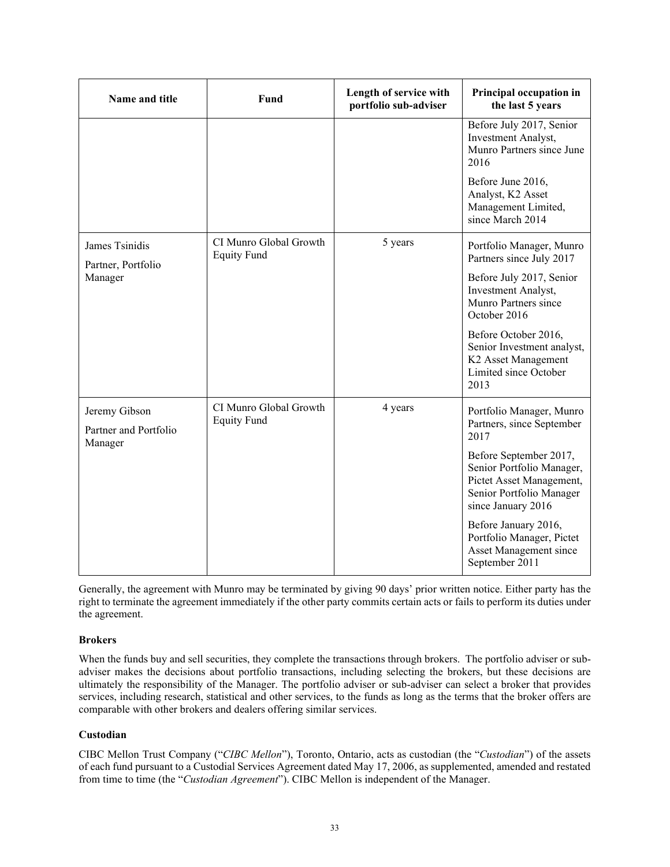| Name and title                                    | Fund                                         | Length of service with<br>portfolio sub-adviser | Principal occupation in<br>the last 5 years                                                                                       |
|---------------------------------------------------|----------------------------------------------|-------------------------------------------------|-----------------------------------------------------------------------------------------------------------------------------------|
|                                                   |                                              |                                                 | Before July 2017, Senior<br>Investment Analyst,<br>Munro Partners since June<br>2016                                              |
|                                                   |                                              |                                                 | Before June 2016,<br>Analyst, K2 Asset<br>Management Limited,<br>since March 2014                                                 |
| James Tsinidis<br>Partner, Portfolio              | CI Munro Global Growth<br><b>Equity Fund</b> | 5 years                                         | Portfolio Manager, Munro<br>Partners since July 2017                                                                              |
| Manager                                           |                                              |                                                 | Before July 2017, Senior<br>Investment Analyst,<br>Munro Partners since<br>October 2016                                           |
|                                                   |                                              |                                                 | Before October 2016,<br>Senior Investment analyst,<br>K2 Asset Management<br>Limited since October<br>2013                        |
| Jeremy Gibson<br>Partner and Portfolio<br>Manager | CI Munro Global Growth<br><b>Equity Fund</b> | 4 years                                         | Portfolio Manager, Munro<br>Partners, since September<br>2017                                                                     |
|                                                   |                                              |                                                 | Before September 2017,<br>Senior Portfolio Manager,<br>Pictet Asset Management,<br>Senior Portfolio Manager<br>since January 2016 |
|                                                   |                                              |                                                 | Before January 2016,<br>Portfolio Manager, Pictet<br>Asset Management since<br>September 2011                                     |

Generally, the agreement with Munro may be terminated by giving 90 days' prior written notice. Either party has the right to terminate the agreement immediately if the other party commits certain acts or fails to perform its duties under the agreement.

## **Brokers**

When the funds buy and sell securities, they complete the transactions through brokers. The portfolio adviser or subadviser makes the decisions about portfolio transactions, including selecting the brokers, but these decisions are ultimately the responsibility of the Manager. The portfolio adviser or sub-adviser can select a broker that provides services, including research, statistical and other services, to the funds as long as the terms that the broker offers are comparable with other brokers and dealers offering similar services.

## **Custodian**

CIBC Mellon Trust Company ("*CIBC Mellon*"), Toronto, Ontario, acts as custodian (the "*Custodian*") of the assets of each fund pursuant to a Custodial Services Agreement dated May 17, 2006, as supplemented, amended and restated from time to time (the "*Custodian Agreement*"). CIBC Mellon is independent of the Manager.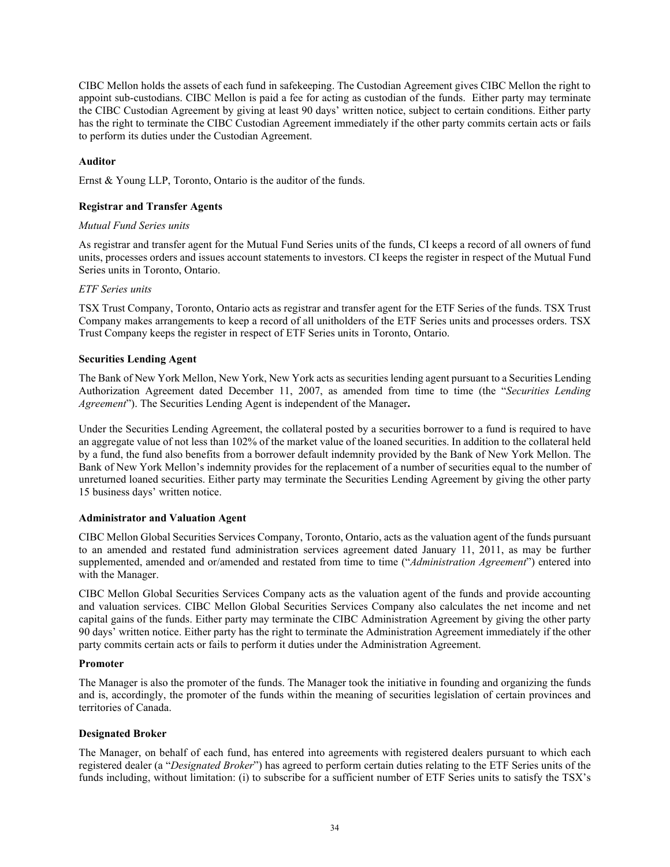CIBC Mellon holds the assets of each fund in safekeeping. The Custodian Agreement gives CIBC Mellon the right to appoint sub-custodians. CIBC Mellon is paid a fee for acting as custodian of the funds. Either party may terminate the CIBC Custodian Agreement by giving at least 90 days' written notice, subject to certain conditions. Either party has the right to terminate the CIBC Custodian Agreement immediately if the other party commits certain acts or fails to perform its duties under the Custodian Agreement.

### **Auditor**

Ernst & Young LLP, Toronto, Ontario is the auditor of the funds.

### **Registrar and Transfer Agents**

#### *Mutual Fund Series units*

As registrar and transfer agent for the Mutual Fund Series units of the funds, CI keeps a record of all owners of fund units, processes orders and issues account statements to investors. CI keeps the register in respect of the Mutual Fund Series units in Toronto, Ontario.

#### *ETF Series units*

TSX Trust Company, Toronto, Ontario acts as registrar and transfer agent for the ETF Series of the funds. TSX Trust Company makes arrangements to keep a record of all unitholders of the ETF Series units and processes orders. TSX Trust Company keeps the register in respect of ETF Series units in Toronto, Ontario.

#### **Securities Lending Agent**

The Bank of New York Mellon, New York, New York acts as securities lending agent pursuant to a Securities Lending Authorization Agreement dated December 11, 2007, as amended from time to time (the "*Securities Lending Agreement*"). The Securities Lending Agent is independent of the Manager**.** 

Under the Securities Lending Agreement, the collateral posted by a securities borrower to a fund is required to have an aggregate value of not less than 102% of the market value of the loaned securities. In addition to the collateral held by a fund, the fund also benefits from a borrower default indemnity provided by the Bank of New York Mellon. The Bank of New York Mellon's indemnity provides for the replacement of a number of securities equal to the number of unreturned loaned securities. Either party may terminate the Securities Lending Agreement by giving the other party 15 business days' written notice.

## **Administrator and Valuation Agent**

CIBC Mellon Global Securities Services Company, Toronto, Ontario, acts as the valuation agent of the funds pursuant to an amended and restated fund administration services agreement dated January 11, 2011, as may be further supplemented, amended and or/amended and restated from time to time ("*Administration Agreement*") entered into with the Manager.

CIBC Mellon Global Securities Services Company acts as the valuation agent of the funds and provide accounting and valuation services. CIBC Mellon Global Securities Services Company also calculates the net income and net capital gains of the funds. Either party may terminate the CIBC Administration Agreement by giving the other party 90 days' written notice. Either party has the right to terminate the Administration Agreement immediately if the other party commits certain acts or fails to perform it duties under the Administration Agreement.

#### **Promoter**

The Manager is also the promoter of the funds. The Manager took the initiative in founding and organizing the funds and is, accordingly, the promoter of the funds within the meaning of securities legislation of certain provinces and territories of Canada.

#### **Designated Broker**

The Manager, on behalf of each fund, has entered into agreements with registered dealers pursuant to which each registered dealer (a "*Designated Broker*") has agreed to perform certain duties relating to the ETF Series units of the funds including, without limitation: (i) to subscribe for a sufficient number of ETF Series units to satisfy the TSX's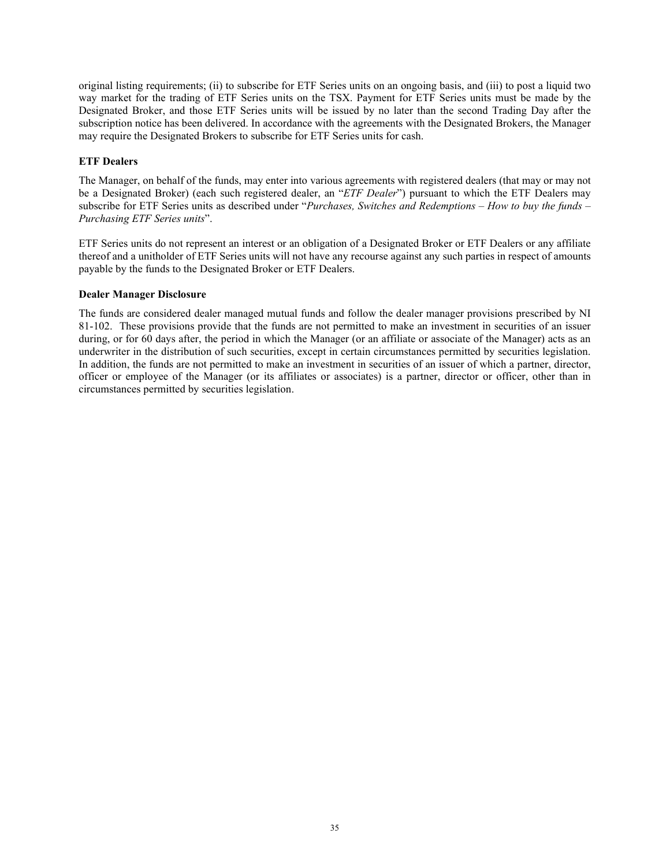original listing requirements; (ii) to subscribe for ETF Series units on an ongoing basis, and (iii) to post a liquid two way market for the trading of ETF Series units on the TSX. Payment for ETF Series units must be made by the Designated Broker, and those ETF Series units will be issued by no later than the second Trading Day after the subscription notice has been delivered. In accordance with the agreements with the Designated Brokers, the Manager may require the Designated Brokers to subscribe for ETF Series units for cash.

## **ETF Dealers**

The Manager, on behalf of the funds, may enter into various agreements with registered dealers (that may or may not be a Designated Broker) (each such registered dealer, an "*ETF Dealer*") pursuant to which the ETF Dealers may subscribe for ETF Series units as described under "*Purchases, Switches and Redemptions – How to buy the funds – Purchasing ETF Series units*".

ETF Series units do not represent an interest or an obligation of a Designated Broker or ETF Dealers or any affiliate thereof and a unitholder of ETF Series units will not have any recourse against any such parties in respect of amounts payable by the funds to the Designated Broker or ETF Dealers.

## **Dealer Manager Disclosure**

The funds are considered dealer managed mutual funds and follow the dealer manager provisions prescribed by NI 81-102. These provisions provide that the funds are not permitted to make an investment in securities of an issuer during, or for 60 days after, the period in which the Manager (or an affiliate or associate of the Manager) acts as an underwriter in the distribution of such securities, except in certain circumstances permitted by securities legislation. In addition, the funds are not permitted to make an investment in securities of an issuer of which a partner, director, officer or employee of the Manager (or its affiliates or associates) is a partner, director or officer, other than in circumstances permitted by securities legislation.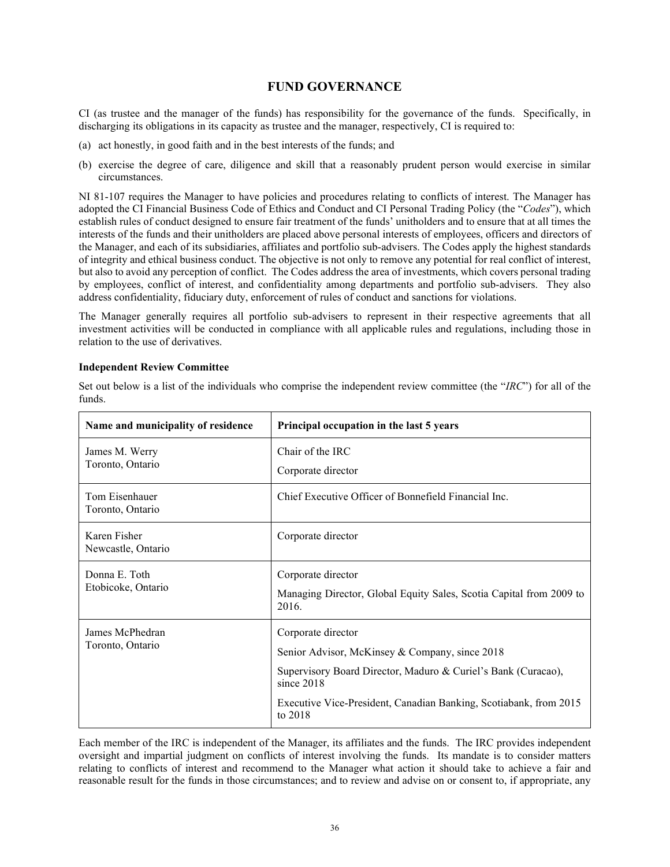## **FUND GOVERNANCE**

<span id="page-37-0"></span>CI (as trustee and the manager of the funds) has responsibility for the governance of the funds. Specifically, in discharging its obligations in its capacity as trustee and the manager, respectively, CI is required to:

- (a) act honestly, in good faith and in the best interests of the funds; and
- (b) exercise the degree of care, diligence and skill that a reasonably prudent person would exercise in similar circumstances.

NI 81-107 requires the Manager to have policies and procedures relating to conflicts of interest. The Manager has adopted the CI Financial Business Code of Ethics and Conduct and CI Personal Trading Policy (the "*Codes*"), which establish rules of conduct designed to ensure fair treatment of the funds' unitholders and to ensure that at all times the interests of the funds and their unitholders are placed above personal interests of employees, officers and directors of the Manager, and each of its subsidiaries, affiliates and portfolio sub-advisers. The Codes apply the highest standards of integrity and ethical business conduct. The objective is not only to remove any potential for real conflict of interest, but also to avoid any perception of conflict. The Codes address the area of investments, which covers personal trading by employees, conflict of interest, and confidentiality among departments and portfolio sub-advisers. They also address confidentiality, fiduciary duty, enforcement of rules of conduct and sanctions for violations.

The Manager generally requires all portfolio sub-advisers to represent in their respective agreements that all investment activities will be conducted in compliance with all applicable rules and regulations, including those in relation to the use of derivatives.

#### **Independent Review Committee**

| Name and municipality of residence  | Principal occupation in the last 5 years                                                                                                                                                                                                |
|-------------------------------------|-----------------------------------------------------------------------------------------------------------------------------------------------------------------------------------------------------------------------------------------|
| James M. Werry<br>Toronto, Ontario  | Chair of the IRC<br>Corporate director                                                                                                                                                                                                  |
| Tom Eisenhauer<br>Toronto, Ontario  | Chief Executive Officer of Bonnefield Financial Inc.                                                                                                                                                                                    |
| Karen Fisher<br>Newcastle, Ontario  | Corporate director                                                                                                                                                                                                                      |
| Donna E. Toth<br>Etobicoke, Ontario | Corporate director<br>Managing Director, Global Equity Sales, Scotia Capital from 2009 to<br>2016.                                                                                                                                      |
| James McPhedran<br>Toronto, Ontario | Corporate director<br>Senior Advisor, McKinsey & Company, since 2018<br>Supervisory Board Director, Maduro & Curiel's Bank (Curacao),<br>since $2018$<br>Executive Vice-President, Canadian Banking, Scotiabank, from 2015<br>to $2018$ |

Set out below is a list of the individuals who comprise the independent review committee (the "*IRC*") for all of the funds.

Each member of the IRC is independent of the Manager, its affiliates and the funds. The IRC provides independent oversight and impartial judgment on conflicts of interest involving the funds. Its mandate is to consider matters relating to conflicts of interest and recommend to the Manager what action it should take to achieve a fair and reasonable result for the funds in those circumstances; and to review and advise on or consent to, if appropriate, any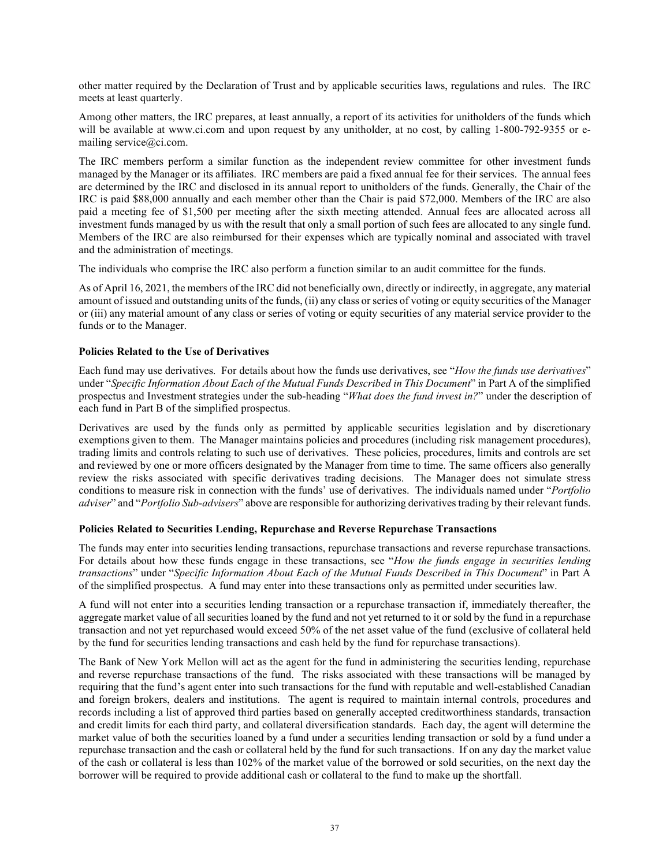other matter required by the Declaration of Trust and by applicable securities laws, regulations and rules. The IRC meets at least quarterly.

Among other matters, the IRC prepares, at least annually, a report of its activities for unitholders of the funds which will be available at www.ci.com and upon request by any unitholder, at no cost, by calling 1-800-792-9355 or emailing service@ci.com.

The IRC members perform a similar function as the independent review committee for other investment funds managed by the Manager or its affiliates. IRC members are paid a fixed annual fee for their services. The annual fees are determined by the IRC and disclosed in its annual report to unitholders of the funds. Generally, the Chair of the IRC is paid \$88,000 annually and each member other than the Chair is paid \$72,000. Members of the IRC are also paid a meeting fee of \$1,500 per meeting after the sixth meeting attended. Annual fees are allocated across all investment funds managed by us with the result that only a small portion of such fees are allocated to any single fund. Members of the IRC are also reimbursed for their expenses which are typically nominal and associated with travel and the administration of meetings.

The individuals who comprise the IRC also perform a function similar to an audit committee for the funds.

As of April 16, 2021, the members of the IRC did not beneficially own, directly or indirectly, in aggregate, any material amount of issued and outstanding units of the funds, (ii) any class or series of voting or equity securities of the Manager or (iii) any material amount of any class or series of voting or equity securities of any material service provider to the funds or to the Manager.

## **Policies Related to the Use of Derivatives**

Each fund may use derivatives. For details about how the funds use derivatives, see "*How the funds use derivatives*" under "*Specific Information About Each of the Mutual Funds Described in This Document*" in Part A of the simplified prospectus and Investment strategies under the sub-heading "*What does the fund invest in?*" under the description of each fund in Part B of the simplified prospectus.

Derivatives are used by the funds only as permitted by applicable securities legislation and by discretionary exemptions given to them. The Manager maintains policies and procedures (including risk management procedures), trading limits and controls relating to such use of derivatives. These policies, procedures, limits and controls are set and reviewed by one or more officers designated by the Manager from time to time. The same officers also generally review the risks associated with specific derivatives trading decisions. The Manager does not simulate stress conditions to measure risk in connection with the funds' use of derivatives. The individuals named under "*Portfolio adviser*" and "*Portfolio Sub-advisers*" above are responsible for authorizing derivatives trading by their relevant funds.

## **Policies Related to Securities Lending, Repurchase and Reverse Repurchase Transactions**

The funds may enter into securities lending transactions, repurchase transactions and reverse repurchase transactions. For details about how these funds engage in these transactions, see "*How the funds engage in securities lending transactions*" under "*Specific Information About Each of the Mutual Funds Described in This Document*" in Part A of the simplified prospectus. A fund may enter into these transactions only as permitted under securities law.

A fund will not enter into a securities lending transaction or a repurchase transaction if, immediately thereafter, the aggregate market value of all securities loaned by the fund and not yet returned to it or sold by the fund in a repurchase transaction and not yet repurchased would exceed 50% of the net asset value of the fund (exclusive of collateral held by the fund for securities lending transactions and cash held by the fund for repurchase transactions).

The Bank of New York Mellon will act as the agent for the fund in administering the securities lending, repurchase and reverse repurchase transactions of the fund. The risks associated with these transactions will be managed by requiring that the fund's agent enter into such transactions for the fund with reputable and well-established Canadian and foreign brokers, dealers and institutions. The agent is required to maintain internal controls, procedures and records including a list of approved third parties based on generally accepted creditworthiness standards, transaction and credit limits for each third party, and collateral diversification standards. Each day, the agent will determine the market value of both the securities loaned by a fund under a securities lending transaction or sold by a fund under a repurchase transaction and the cash or collateral held by the fund for such transactions. If on any day the market value of the cash or collateral is less than 102% of the market value of the borrowed or sold securities, on the next day the borrower will be required to provide additional cash or collateral to the fund to make up the shortfall.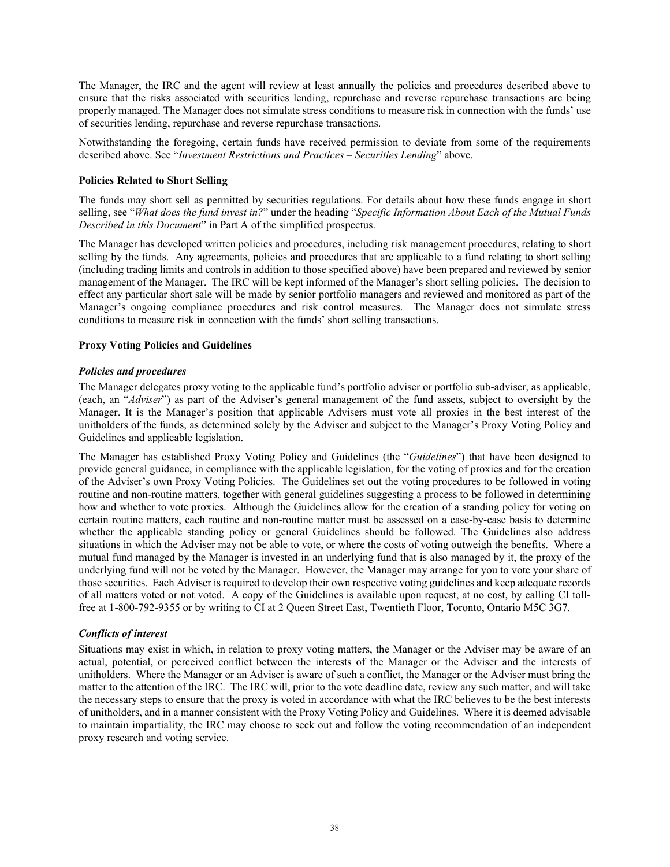The Manager, the IRC and the agent will review at least annually the policies and procedures described above to ensure that the risks associated with securities lending, repurchase and reverse repurchase transactions are being properly managed. The Manager does not simulate stress conditions to measure risk in connection with the funds' use of securities lending, repurchase and reverse repurchase transactions.

Notwithstanding the foregoing, certain funds have received permission to deviate from some of the requirements described above. See "*Investment Restrictions and Practices – Securities Lending*" above.

### **Policies Related to Short Selling**

The funds may short sell as permitted by securities regulations. For details about how these funds engage in short selling, see "*What does the fund invest in?*" under the heading "*Specific Information About Each of the Mutual Funds Described in this Document*" in Part A of the simplified prospectus.

The Manager has developed written policies and procedures, including risk management procedures, relating to short selling by the funds. Any agreements, policies and procedures that are applicable to a fund relating to short selling (including trading limits and controls in addition to those specified above) have been prepared and reviewed by senior management of the Manager. The IRC will be kept informed of the Manager's short selling policies. The decision to effect any particular short sale will be made by senior portfolio managers and reviewed and monitored as part of the Manager's ongoing compliance procedures and risk control measures. The Manager does not simulate stress conditions to measure risk in connection with the funds' short selling transactions.

#### **Proxy Voting Policies and Guidelines**

#### *Policies and procedures*

The Manager delegates proxy voting to the applicable fund's portfolio adviser or portfolio sub-adviser, as applicable, (each, an "*Adviser*") as part of the Adviser's general management of the fund assets, subject to oversight by the Manager. It is the Manager's position that applicable Advisers must vote all proxies in the best interest of the unitholders of the funds, as determined solely by the Adviser and subject to the Manager's Proxy Voting Policy and Guidelines and applicable legislation.

The Manager has established Proxy Voting Policy and Guidelines (the "*Guidelines*") that have been designed to provide general guidance, in compliance with the applicable legislation, for the voting of proxies and for the creation of the Adviser's own Proxy Voting Policies. The Guidelines set out the voting procedures to be followed in voting routine and non-routine matters, together with general guidelines suggesting a process to be followed in determining how and whether to vote proxies. Although the Guidelines allow for the creation of a standing policy for voting on certain routine matters, each routine and non-routine matter must be assessed on a case-by-case basis to determine whether the applicable standing policy or general Guidelines should be followed. The Guidelines also address situations in which the Adviser may not be able to vote, or where the costs of voting outweigh the benefits. Where a mutual fund managed by the Manager is invested in an underlying fund that is also managed by it, the proxy of the underlying fund will not be voted by the Manager. However, the Manager may arrange for you to vote your share of those securities. Each Adviser is required to develop their own respective voting guidelines and keep adequate records of all matters voted or not voted. A copy of the Guidelines is available upon request, at no cost, by calling CI tollfree at 1-800-792-9355 or by writing to CI at 2 Queen Street East, Twentieth Floor, Toronto, Ontario M5C 3G7.

#### *Conflicts of interest*

Situations may exist in which, in relation to proxy voting matters, the Manager or the Adviser may be aware of an actual, potential, or perceived conflict between the interests of the Manager or the Adviser and the interests of unitholders. Where the Manager or an Adviser is aware of such a conflict, the Manager or the Adviser must bring the matter to the attention of the IRC. The IRC will, prior to the vote deadline date, review any such matter, and will take the necessary steps to ensure that the proxy is voted in accordance with what the IRC believes to be the best interests of unitholders, and in a manner consistent with the Proxy Voting Policy and Guidelines. Where it is deemed advisable to maintain impartiality, the IRC may choose to seek out and follow the voting recommendation of an independent proxy research and voting service.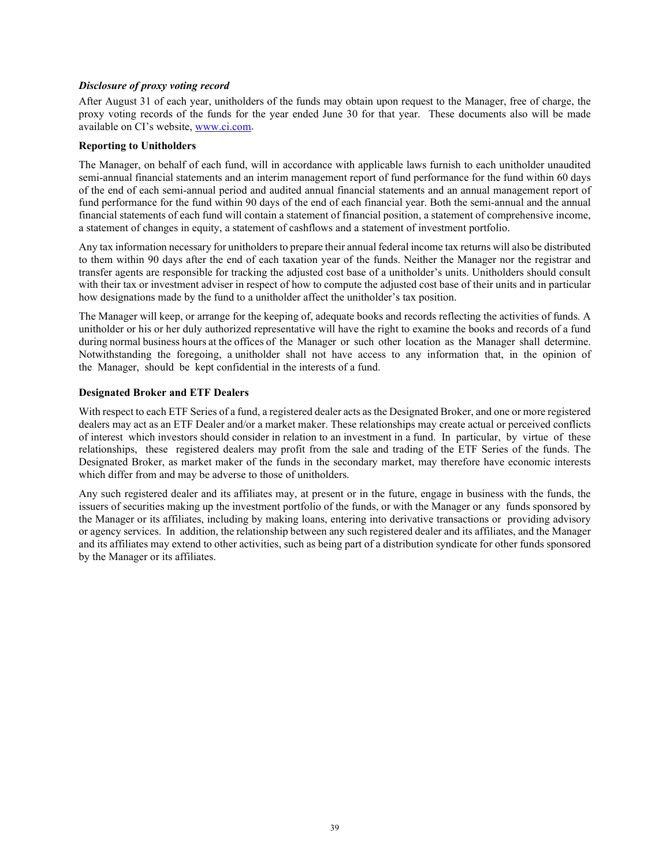### *Disclosure of proxy voting record*

After August 31 of each year, unitholders of the funds may obtain upon request to the Manager, free of charge, the proxy voting records of the funds for the year ended June 30 for that year. These documents also will be made available on CI's website, [www.ci.com.](http://www.ci.com/)

#### **Reporting to Unitholders**

The Manager, on behalf of each fund, will in accordance with applicable laws furnish to each unitholder unaudited semi-annual financial statements and an interim management report of fund performance for the fund within 60 days of the end of each semi‐annual period and audited annual financial statements and an annual management report of fund performance for the fund within 90 days of the end of each financial year. Both the semi-annual and the annual financial statements of each fund will contain a statement of financial position, a statement of comprehensive income, a statement of changes in equity, a statement of cashflows and a statement of investment portfolio.

Any tax information necessary for unitholders to prepare their annual federal income tax returns will also be distributed to them within 90 days after the end of each taxation year of the funds. Neither the Manager nor the registrar and transfer agents are responsible for tracking the adjusted cost base of a unitholder's units. Unitholders should consult with their tax or investment adviser in respect of how to compute the adjusted cost base of their units and in particular how designations made by the fund to a unitholder affect the unitholder's tax position.

The Manager will keep, or arrange for the keeping of, adequate books and records reflecting the activities of funds. A unitholder or his or her duly authorized representative will have the right to examine the books and records of a fund during normal business hours at the offices of the Manager or such other location as the Manager shall determine. Notwithstanding the foregoing, a unitholder shall not have access to any information that, in the opinion of the Manager, should be kept confidential in the interests of a fund.

## **Designated Broker and ETF Dealers**

With respect to each ETF Series of a fund, a registered dealer acts as the Designated Broker, and one or more registered dealers may act as an ETF Dealer and/or a market maker. These relationships may create actual or perceived conflicts of interest which investors should consider in relation to an investment in a fund. In particular, by virtue of these relationships, these registered dealers may profit from the sale and trading of the ETF Series of the funds. The Designated Broker, as market maker of the funds in the secondary market, may therefore have economic interests which differ from and may be adverse to those of unitholders.

Any such registered dealer and its affiliates may, at present or in the future, engage in business with the funds, the issuers of securities making up the investment portfolio of the funds, or with the Manager or any funds sponsored by the Manager or its affiliates, including by making loans, entering into derivative transactions or providing advisory or agency services. In addition, the relationship between any such registered dealer and its affiliates, and the Manager and its affiliates may extend to other activities, such as being part of a distribution syndicate for other funds sponsored by the Manager or its affiliates.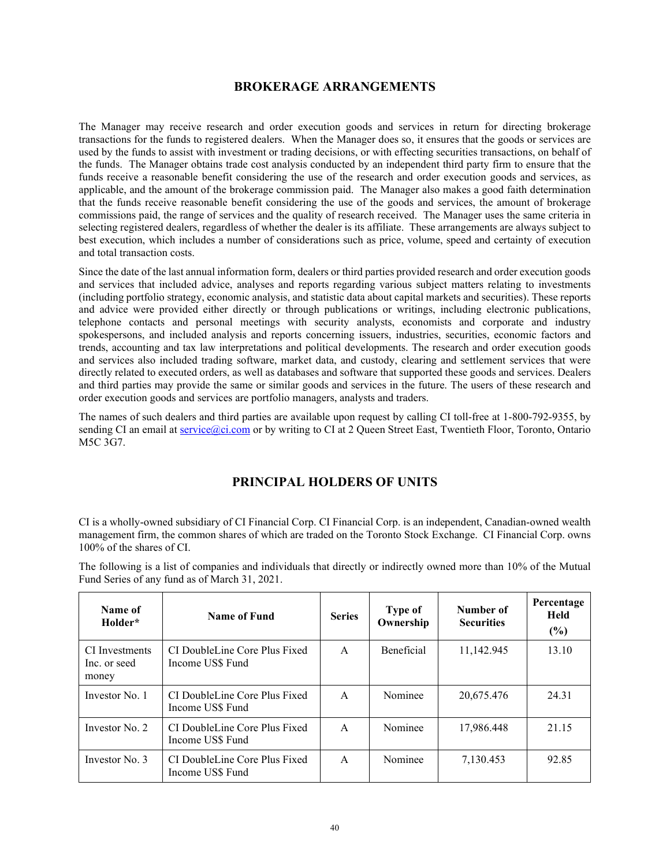## **BROKERAGE ARRANGEMENTS**

<span id="page-41-0"></span>The Manager may receive research and order execution goods and services in return for directing brokerage transactions for the funds to registered dealers. When the Manager does so, it ensures that the goods or services are used by the funds to assist with investment or trading decisions, or with effecting securities transactions, on behalf of the funds. The Manager obtains trade cost analysis conducted by an independent third party firm to ensure that the funds receive a reasonable benefit considering the use of the research and order execution goods and services, as applicable, and the amount of the brokerage commission paid. The Manager also makes a good faith determination that the funds receive reasonable benefit considering the use of the goods and services, the amount of brokerage commissions paid, the range of services and the quality of research received. The Manager uses the same criteria in selecting registered dealers, regardless of whether the dealer is its affiliate. These arrangements are always subject to best execution, which includes a number of considerations such as price, volume, speed and certainty of execution and total transaction costs.

Since the date of the last annual information form, dealers or third parties provided research and order execution goods and services that included advice, analyses and reports regarding various subject matters relating to investments (including portfolio strategy, economic analysis, and statistic data about capital markets and securities). These reports and advice were provided either directly or through publications or writings, including electronic publications, telephone contacts and personal meetings with security analysts, economists and corporate and industry spokespersons, and included analysis and reports concerning issuers, industries, securities, economic factors and trends, accounting and tax law interpretations and political developments. The research and order execution goods and services also included trading software, market data, and custody, clearing and settlement services that were directly related to executed orders, as well as databases and software that supported these goods and services. Dealers and third parties may provide the same or similar goods and services in the future. The users of these research and order execution goods and services are portfolio managers, analysts and traders.

<span id="page-41-1"></span>The names of such dealers and third parties are available upon request by calling CI toll-free at 1-800-792-9355, by sending CI an email a[t service@ci.com](mailto:service@ci.com) or by writing to CI at 2 Queen Street East, Twentieth Floor, Toronto, Ontario M5C 3G7.

# **PRINCIPAL HOLDERS OF UNITS**

CI is a wholly-owned subsidiary of CI Financial Corp. CI Financial Corp. is an independent, Canadian-owned wealth management firm, the common shares of which are traded on the Toronto Stock Exchange. CI Financial Corp. owns 100% of the shares of CI.

| Name of<br>Holder*                      | <b>Name of Fund</b>                               | <b>Series</b> | Type of<br>Ownership | Number of<br><b>Securities</b> | Percentage<br><b>Held</b><br>(%) |
|-----------------------------------------|---------------------------------------------------|---------------|----------------------|--------------------------------|----------------------------------|
| CI Investments<br>Inc. or seed<br>money | CI DoubleLine Core Plus Fixed<br>Income US\$ Fund | A             | <b>Beneficial</b>    | 11,142.945                     | 13.10                            |
| Investor No. 1                          | CI DoubleLine Core Plus Fixed<br>Income US\$ Fund | A             | Nominee              | 20,675.476                     | 24.31                            |
| Investor No. 2                          | CI DoubleLine Core Plus Fixed<br>Income US\$ Fund | A             | Nominee              | 17,986.448                     | 21.15                            |
| Investor No. 3                          | CI DoubleLine Core Plus Fixed<br>Income US\$ Fund | $\mathsf{A}$  | Nominee              | 7,130.453                      | 92.85                            |

The following is a list of companies and individuals that directly or indirectly owned more than 10% of the Mutual Fund Series of any fund as of March 31, 2021.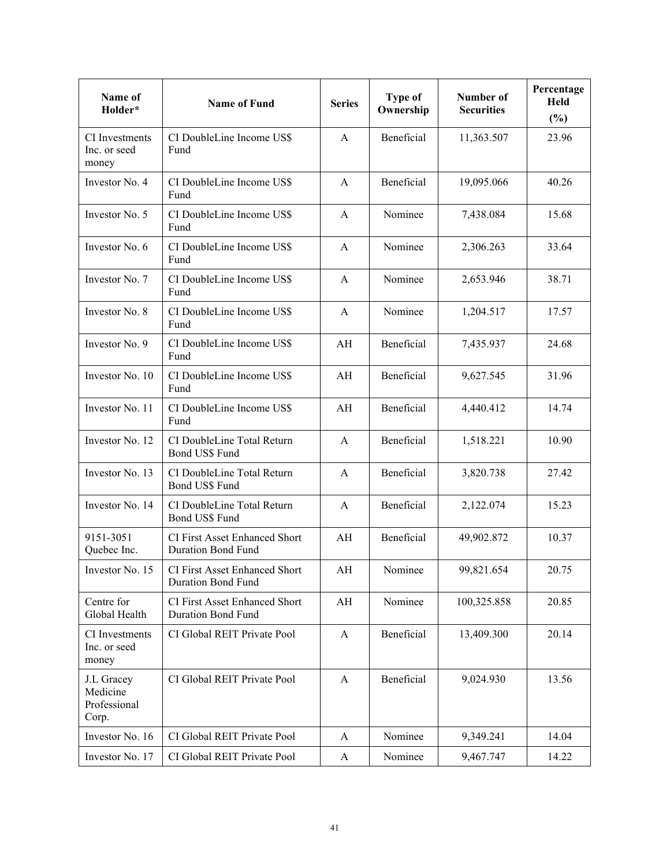| Name of<br>Holder*                              | <b>Name of Fund</b>                                               | <b>Series</b>          | Type of<br>Ownership | Number of<br><b>Securities</b> | Percentage<br>Held<br>(%) |
|-------------------------------------------------|-------------------------------------------------------------------|------------------------|----------------------|--------------------------------|---------------------------|
| CI Investments<br>Inc. or seed<br>money         | CI DoubleLine Income US\$<br>Fund                                 | $\mathbf{A}$           | Beneficial           | 11,363.507                     | 23.96                     |
| Investor No. 4                                  | CI DoubleLine Income US\$<br>Fund                                 | $\mathbf{A}$           | Beneficial           | 19,095.066                     | 40.26                     |
| Investor No. 5                                  | CI DoubleLine Income US\$<br>Fund                                 | $\mathbf{A}$           | Nominee              | 7,438.084                      | 15.68                     |
| Investor No. 6                                  | CI DoubleLine Income US\$<br>Fund                                 | $\mathbf{A}$           | Nominee              | 2,306.263                      | 33.64                     |
| Investor No. 7                                  | CI DoubleLine Income US\$<br>Fund                                 | $\mathbf{A}$           | Nominee              | 2,653.946                      | 38.71                     |
| Investor No. 8                                  | CI DoubleLine Income US\$<br>Fund                                 | $\mathbf{A}$           | Nominee              | 1,204.517                      | 17.57                     |
| Investor No. 9                                  | CI DoubleLine Income US\$<br>Fund                                 | AH                     | Beneficial           | 7,435.937                      | 24.68                     |
| Investor No. 10                                 | CI DoubleLine Income US\$<br>Fund                                 | AH                     | Beneficial           | 9,627.545                      | 31.96                     |
| Investor No. 11                                 | CI DoubleLine Income US\$<br>Fund                                 | AH                     | Beneficial           | 4,440.412                      | 14.74                     |
| Investor No. 12                                 | CI DoubleLine Total Return<br>Bond US\$ Fund                      | $\mathbf{A}$           | Beneficial           | 1,518.221                      | 10.90                     |
| Investor No. 13                                 | CI DoubleLine Total Return<br>Bond US\$ Fund                      | $\mathbf{A}$           | Beneficial           | 3,820.738                      | 27.42                     |
| Investor No. 14                                 | CI DoubleLine Total Return<br>Bond US\$ Fund                      | $\mathbf{A}$           | Beneficial           | 2,122.074                      | 15.23                     |
| 9151-3051<br>Quebec Inc.                        | CI First Asset Enhanced Short<br>Duration Bond Fund               | AH                     | Beneficial           | 49,902.872                     | 10.37                     |
| Investor No. 15                                 | CI First Asset Enhanced Short<br><b>Duration Bond Fund</b>        | $\mathbf{A}\mathbf{H}$ | Nominee              | 99,821.654                     | 20.75                     |
| Centre for<br>Global Health                     | <b>CI First Asset Enhanced Short</b><br><b>Duration Bond Fund</b> | AH                     | Nominee              | 100,325.858                    | 20.85                     |
| CI Investments<br>Inc. or seed<br>money         | CI Global REIT Private Pool                                       | $\mathbf{A}$           | Beneficial           | 13,409.300                     | 20.14                     |
| J.L Gracey<br>Medicine<br>Professional<br>Corp. | CI Global REIT Private Pool                                       | $\mathbf{A}$           | Beneficial           | 9,024.930                      | 13.56                     |
| Investor No. 16                                 | CI Global REIT Private Pool                                       | A                      | Nominee              | 9,349.241                      | 14.04                     |
| Investor No. 17                                 | CI Global REIT Private Pool                                       | A                      | Nominee              | 9,467.747                      | 14.22                     |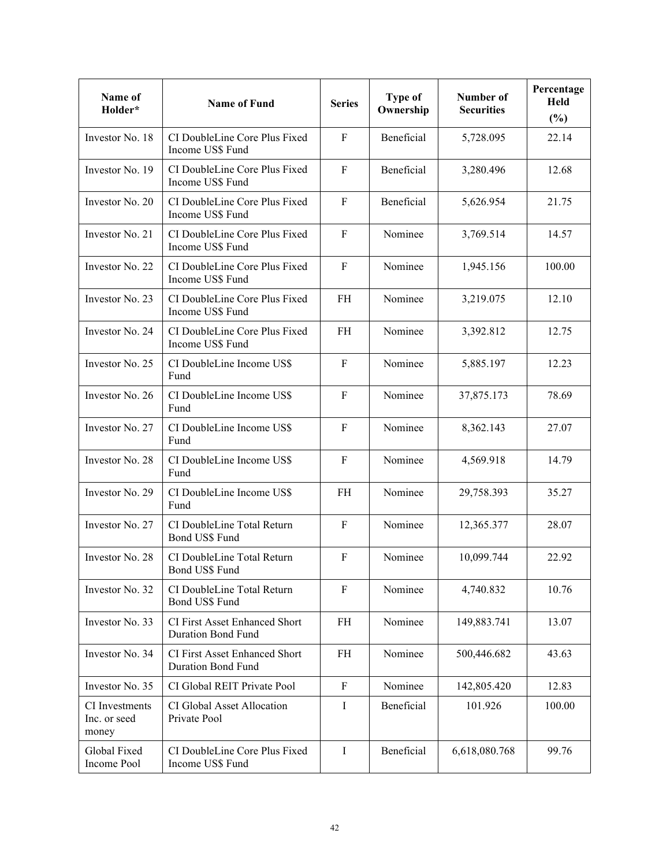| Name of<br>Holder*                      | <b>Name of Fund</b>                                               | <b>Series</b> | Type of<br>Ownership | Number of<br><b>Securities</b> | Percentage<br>Held<br>(%) |
|-----------------------------------------|-------------------------------------------------------------------|---------------|----------------------|--------------------------------|---------------------------|
| Investor No. 18                         | CI DoubleLine Core Plus Fixed<br>Income US\$ Fund                 | F             | Beneficial           | 5,728.095                      | 22.14                     |
| Investor No. 19                         | CI DoubleLine Core Plus Fixed<br>Income US\$ Fund                 | $\mathbf F$   | Beneficial           | 3,280.496                      | 12.68                     |
| Investor No. 20                         | CI DoubleLine Core Plus Fixed<br>Income US\$ Fund                 | $\mathbf F$   | Beneficial           | 5,626.954                      | 21.75                     |
| Investor No. 21                         | CI DoubleLine Core Plus Fixed<br>Income US\$ Fund                 | $\mathbf F$   | Nominee              | 3,769.514                      | 14.57                     |
| Investor No. 22                         | CI DoubleLine Core Plus Fixed<br>Income US\$ Fund                 | $\mathbf F$   | Nominee              | 1,945.156                      | 100.00                    |
| Investor No. 23                         | CI DoubleLine Core Plus Fixed<br>Income US\$ Fund                 | <b>FH</b>     | Nominee              | 3,219.075                      | 12.10                     |
| Investor No. 24                         | CI DoubleLine Core Plus Fixed<br>Income US\$ Fund                 | FH            | Nominee              | 3,392.812                      | 12.75                     |
| Investor No. 25                         | CI DoubleLine Income US\$<br>Fund                                 | F             | Nominee              | 5,885.197                      | 12.23                     |
| Investor No. 26                         | CI DoubleLine Income US\$<br>Fund                                 | F             | Nominee              | 37,875.173                     | 78.69                     |
| Investor No. 27                         | CI DoubleLine Income US\$<br>Fund                                 | F             | Nominee              | 8,362.143                      | 27.07                     |
| Investor No. 28                         | CI DoubleLine Income US\$<br>Fund                                 | F             | Nominee              | 4,569.918                      | 14.79                     |
| Investor No. 29                         | CI DoubleLine Income US\$<br>Fund                                 | <b>FH</b>     | Nominee              | 29,758.393                     | 35.27                     |
| Investor No. 27                         | CI DoubleLine Total Return<br>Bond US\$ Fund                      | F             | Nominee              | 12,365.377                     | 28.07                     |
| Investor No. 28                         | CI DoubleLine Total Return<br>Bond US\$ Fund                      | ${\bf F}$     | Nominee              | 10,099.744                     | 22.92                     |
| Investor No. 32                         | CI DoubleLine Total Return<br>Bond US\$ Fund                      | $\rm F$       | Nominee              | 4,740.832                      | 10.76                     |
| Investor No. 33                         | <b>CI First Asset Enhanced Short</b><br><b>Duration Bond Fund</b> | <b>FH</b>     | Nominee              | 149,883.741                    | 13.07                     |
| Investor No. 34                         | <b>CI First Asset Enhanced Short</b><br><b>Duration Bond Fund</b> | FH            | Nominee              | 500,446.682                    | 43.63                     |
| Investor No. 35                         | CI Global REIT Private Pool                                       | $\rm F$       | Nominee              | 142,805.420                    | 12.83                     |
| CI Investments<br>Inc. or seed<br>money | CI Global Asset Allocation<br>Private Pool                        | I             | Beneficial           | 101.926                        | 100.00                    |
| Global Fixed<br>Income Pool             | CI DoubleLine Core Plus Fixed<br>Income US\$ Fund                 | $\mathbf I$   | Beneficial           | 6,618,080.768                  | 99.76                     |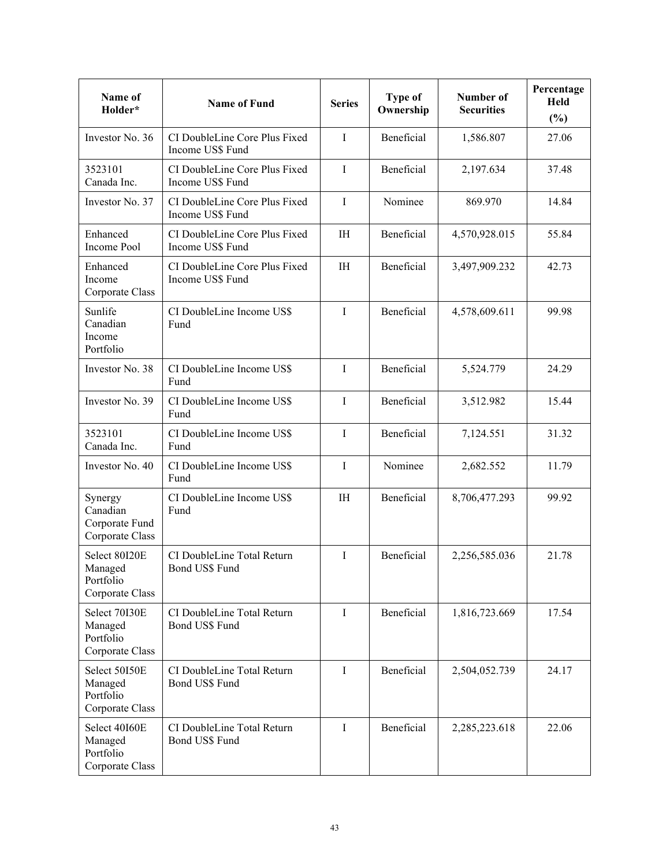| Name of<br>Holder*                                       | <b>Name of Fund</b>                                 | <b>Series</b>  | Type of<br>Ownership | Number of<br><b>Securities</b> | Percentage<br>Held<br>$(\%)$ |
|----------------------------------------------------------|-----------------------------------------------------|----------------|----------------------|--------------------------------|------------------------------|
| Investor No. 36                                          | CI DoubleLine Core Plus Fixed<br>Income US\$ Fund   | $\mathbf I$    | Beneficial           | 1,586.807                      | 27.06                        |
| 3523101<br>Canada Inc.                                   | CI DoubleLine Core Plus Fixed<br>Income US\$ Fund   | $\bf{I}$       | Beneficial           | 2,197.634                      | 37.48                        |
| Investor No. 37                                          | CI DoubleLine Core Plus Fixed<br>Income US\$ Fund   | $\mathbf I$    | Nominee              | 869.970                        | 14.84                        |
| Enhanced<br>Income Pool                                  | CI DoubleLine Core Plus Fixed<br>Income US\$ Fund   | IH             | Beneficial           | 4,570,928.015                  | 55.84                        |
| Enhanced<br>Income<br>Corporate Class                    | CI DoubleLine Core Plus Fixed<br>Income US\$ Fund   | I <sub>H</sub> | Beneficial           | 3,497,909.232                  | 42.73                        |
| Sunlife<br>Canadian<br>Income<br>Portfolio               | CI DoubleLine Income US\$<br>Fund                   | $\mathbf I$    | Beneficial           | 4,578,609.611                  | 99.98                        |
| Investor No. 38                                          | CI DoubleLine Income US\$<br>Fund                   | I              | Beneficial           | 5,524.779                      | 24.29                        |
| Investor No. 39                                          | CI DoubleLine Income US\$<br>Fund                   | $\mathbf{I}$   | Beneficial           | 3,512.982                      | 15.44                        |
| 3523101<br>Canada Inc.                                   | CI DoubleLine Income US\$<br>Fund                   | I              | Beneficial           | 7,124.551                      | 31.32                        |
| Investor No. 40                                          | CI DoubleLine Income US\$<br>Fund                   | I              | Nominee              | 2,682.552                      | 11.79                        |
| Synergy<br>Canadian<br>Corporate Fund<br>Corporate Class | CI DoubleLine Income US\$<br>Fund                   | I <sub>H</sub> | Beneficial           | 8,706,477.293                  | 99.92                        |
| Select 80I20E<br>Managed<br>Portfolio<br>Corporate Class | CI DoubleLine Total Return<br>Bond US\$ Fund        | $\mathbf I$    | Beneficial           | 2,256,585.036                  | 21.78                        |
| Select 70I30E<br>Managed<br>Portfolio<br>Corporate Class | CI DoubleLine Total Return<br>Bond US\$ Fund        | $\mathbf{I}$   | Beneficial           | 1,816,723.669                  | 17.54                        |
| Select 50I50E<br>Managed<br>Portfolio<br>Corporate Class | CI DoubleLine Total Return<br><b>Bond US\$ Fund</b> | $\mathbf{I}$   | Beneficial           | 2,504,052.739                  | 24.17                        |
| Select 40I60E<br>Managed<br>Portfolio<br>Corporate Class | CI DoubleLine Total Return<br>Bond US\$ Fund        | $\mathbf I$    | Beneficial           | 2,285,223.618                  | 22.06                        |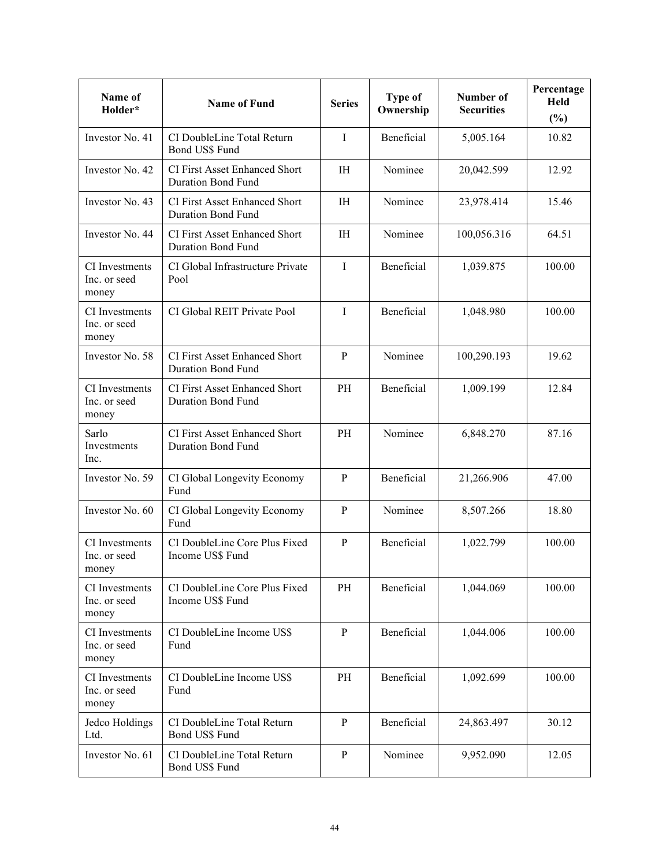| Name of<br>Holder*                      | <b>Name of Fund</b>                                               | <b>Series</b>  | Type of<br>Ownership | Number of<br><b>Securities</b> | Percentage<br>Held<br>$(\%)$ |
|-----------------------------------------|-------------------------------------------------------------------|----------------|----------------------|--------------------------------|------------------------------|
| Investor No. 41                         | CI DoubleLine Total Return<br>Bond US\$ Fund                      | $\mathbf I$    | Beneficial           | 5,005.164                      | 10.82                        |
| Investor No. 42                         | <b>CI First Asset Enhanced Short</b><br><b>Duration Bond Fund</b> | <b>IH</b>      | Nominee              | 20,042.599                     | 12.92                        |
| Investor No. 43                         | <b>CI First Asset Enhanced Short</b><br><b>Duration Bond Fund</b> | IH             | Nominee              | 23,978.414                     | 15.46                        |
| Investor No. 44                         | CI First Asset Enhanced Short<br><b>Duration Bond Fund</b>        | IH             | Nominee              | 100,056.316                    | 64.51                        |
| CI Investments<br>Inc. or seed<br>money | CI Global Infrastructure Private<br>Pool                          | $\mathbf I$    | Beneficial           | 1,039.875                      | 100.00                       |
| CI Investments<br>Inc. or seed<br>money | CI Global REIT Private Pool                                       | $\mathbf I$    | Beneficial           | 1,048.980                      | 100.00                       |
| Investor No. 58                         | <b>CI First Asset Enhanced Short</b><br><b>Duration Bond Fund</b> | $\mathbf{P}$   | Nominee              | 100,290.193                    | 19.62                        |
| CI Investments<br>Inc. or seed<br>money | CI First Asset Enhanced Short<br><b>Duration Bond Fund</b>        | PH             | Beneficial           | 1,009.199                      | 12.84                        |
| Sarlo<br>Investments<br>Inc.            | CI First Asset Enhanced Short<br><b>Duration Bond Fund</b>        | PH             | Nominee              | 6,848.270                      | 87.16                        |
| Investor No. 59                         | CI Global Longevity Economy<br>Fund                               | $\overline{P}$ | Beneficial           | 21,266.906                     | 47.00                        |
| Investor No. 60                         | CI Global Longevity Economy<br>Fund                               | $\mathbf{P}$   | Nominee              | 8,507.266                      | 18.80                        |
| CI Investments<br>Inc. or seed<br>money | CI DoubleLine Core Plus Fixed<br>Income US\$ Fund                 | $\overline{P}$ | Beneficial           | 1,022.799                      | 100.00                       |
| CI Investments<br>Inc. or seed<br>money | CI DoubleLine Core Plus Fixed<br>Income US\$ Fund                 | PH             | Beneficial           | 1,044.069                      | 100.00                       |
| CI Investments<br>Inc. or seed<br>money | CI DoubleLine Income US\$<br>Fund                                 | $\, {\bf P}$   | Beneficial           | 1,044.006                      | 100.00                       |
| CI Investments<br>Inc. or seed<br>money | CI DoubleLine Income US\$<br>Fund                                 | PH             | Beneficial           | 1,092.699                      | 100.00                       |
| Jedco Holdings<br>Ltd.                  | CI DoubleLine Total Return<br>Bond US\$ Fund                      | $\mathbf{P}$   | Beneficial           | 24,863.497                     | 30.12                        |
| Investor No. 61                         | CI DoubleLine Total Return<br>Bond US\$ Fund                      | $\mathbf{P}$   | Nominee              | 9,952.090                      | 12.05                        |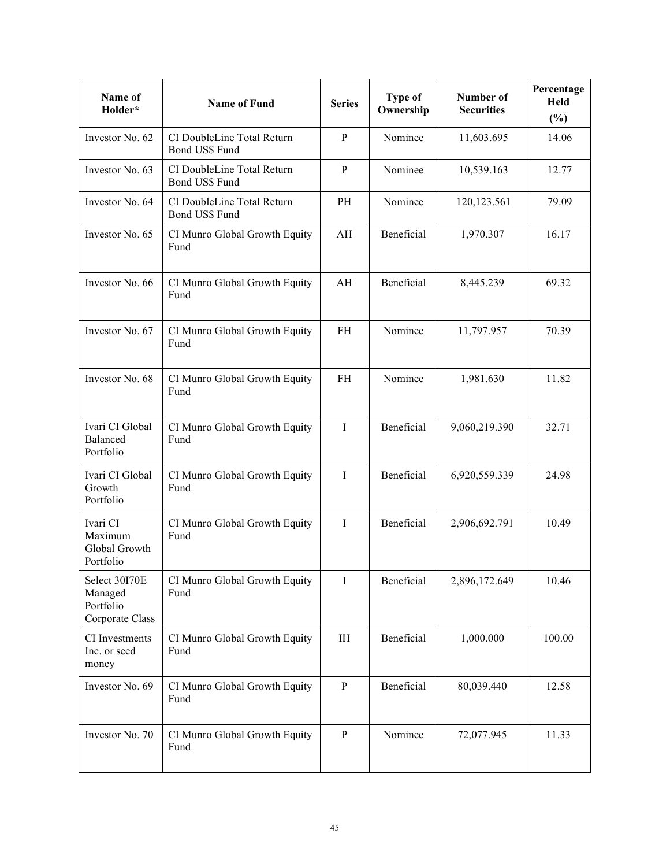| Name of<br>Holder*                                       | <b>Name of Fund</b>                          | <b>Series</b>  | Type of<br>Ownership | Number of<br><b>Securities</b> | Percentage<br>Held<br>(%) |
|----------------------------------------------------------|----------------------------------------------|----------------|----------------------|--------------------------------|---------------------------|
| Investor No. 62                                          | CI DoubleLine Total Return<br>Bond US\$ Fund | $\overline{P}$ | Nominee              | 11,603.695                     | 14.06                     |
| Investor No. 63                                          | CI DoubleLine Total Return<br>Bond US\$ Fund | $\mathbf{P}$   | Nominee              | 10,539.163                     | 12.77                     |
| Investor No. 64                                          | CI DoubleLine Total Return<br>Bond US\$ Fund | PH             | Nominee              | 120,123.561                    | 79.09                     |
| Investor No. 65                                          | CI Munro Global Growth Equity<br>Fund        | AH             | Beneficial           | 1,970.307                      | 16.17                     |
| Investor No. 66                                          | CI Munro Global Growth Equity<br>Fund        | AH             | Beneficial           | 8,445.239                      | 69.32                     |
| Investor No. 67                                          | CI Munro Global Growth Equity<br>Fund        | <b>FH</b>      | Nominee              | 11,797.957                     | 70.39                     |
| Investor No. 68                                          | CI Munro Global Growth Equity<br>Fund        | <b>FH</b>      | Nominee              | 1,981.630                      | 11.82                     |
| Ivari CI Global<br>Balanced<br>Portfolio                 | CI Munro Global Growth Equity<br>Fund        | $\mathbf I$    | Beneficial           | 9,060,219.390                  | 32.71                     |
| Ivari CI Global<br>Growth<br>Portfolio                   | CI Munro Global Growth Equity<br>Fund        | I              | Beneficial           | 6,920,559.339                  | 24.98                     |
| Ivari CI<br>Maximum<br>Global Growth<br>Portfolio        | CI Munro Global Growth Equity<br>Fund        | $\mathbf I$    | Beneficial           | 2,906,692.791                  | 10.49                     |
| Select 30I70E<br>Managed<br>Portfolio<br>Corporate Class | CI Munro Global Growth Equity<br>Fund        | I              | Beneficial           | 2,896,172.649                  | 10.46                     |
| CI Investments<br>Inc. or seed<br>money                  | CI Munro Global Growth Equity<br>Fund        | $\rm IH$       | Beneficial           | 1,000.000                      | 100.00                    |
| Investor No. 69                                          | CI Munro Global Growth Equity<br>Fund        | ${\bf P}$      | Beneficial           | 80,039.440                     | 12.58                     |
| Investor No. 70                                          | CI Munro Global Growth Equity<br>Fund        | $\mathbf{P}$   | Nominee              | 72,077.945                     | 11.33                     |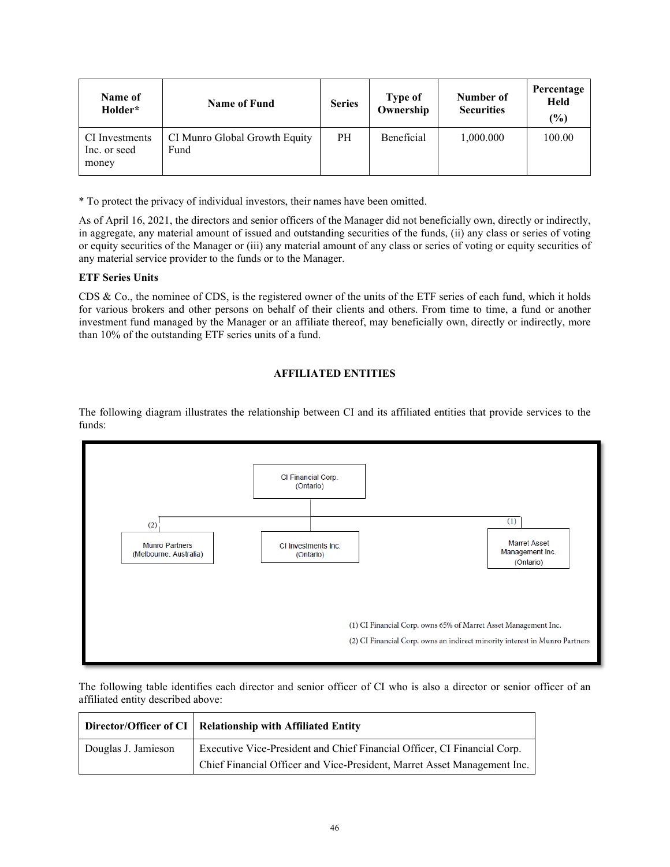| <b>Name of</b><br>Holder*               | <b>Name of Fund</b>                   | <b>Series</b> | Type of<br>Ownership | Number of<br><b>Securities</b> | Percentage<br><b>Held</b><br>(%) |
|-----------------------------------------|---------------------------------------|---------------|----------------------|--------------------------------|----------------------------------|
| CI Investments<br>Inc. or seed<br>money | CI Munro Global Growth Equity<br>Fund | PH            | <b>Beneficial</b>    | 1,000.000                      | 100.00                           |

\* To protect the privacy of individual investors, their names have been omitted.

As of April 16, 2021, the directors and senior officers of the Manager did not beneficially own, directly or indirectly, in aggregate, any material amount of issued and outstanding securities of the funds, (ii) any class or series of voting or equity securities of the Manager or (iii) any material amount of any class or series of voting or equity securities of any material service provider to the funds or to the Manager.

## **ETF Series Units**

CDS & Co., the nominee of CDS, is the registered owner of the units of the ETF series of each fund, which it holds for various brokers and other persons on behalf of their clients and others. From time to time, a fund or another investment fund managed by the Manager or an affiliate thereof, may beneficially own, directly or indirectly, more than 10% of the outstanding ETF series units of a fund.

## **AFFILIATED ENTITIES**

The following diagram illustrates the relationship between CI and its affiliated entities that provide services to the funds:



The following table identifies each director and senior officer of CI who is also a director or senior officer of an affiliated entity described above:

|                     | Director/Officer of CI   Relationship with Affiliated Entity             |
|---------------------|--------------------------------------------------------------------------|
| Douglas J. Jamieson | Executive Vice-President and Chief Financial Officer, CI Financial Corp. |
|                     | Chief Financial Officer and Vice-President, Marret Asset Management Inc. |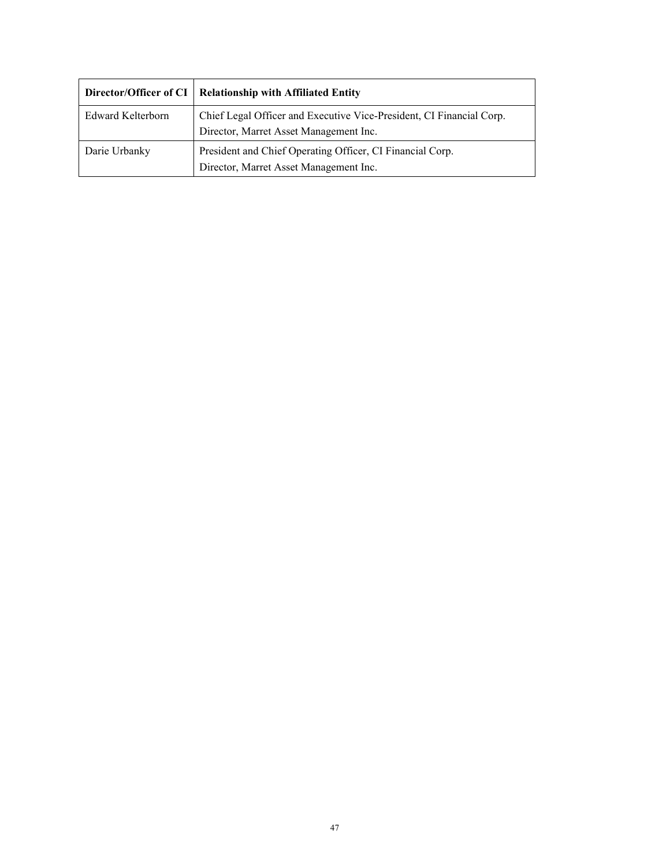|                          | Director/Officer of CI   Relationship with Affiliated Entity                                                   |
|--------------------------|----------------------------------------------------------------------------------------------------------------|
| <b>Edward Kelterborn</b> | Chief Legal Officer and Executive Vice-President, CI Financial Corp.<br>Director, Marret Asset Management Inc. |
| Darie Urbanky            | President and Chief Operating Officer, CI Financial Corp.<br>Director, Marret Asset Management Inc.            |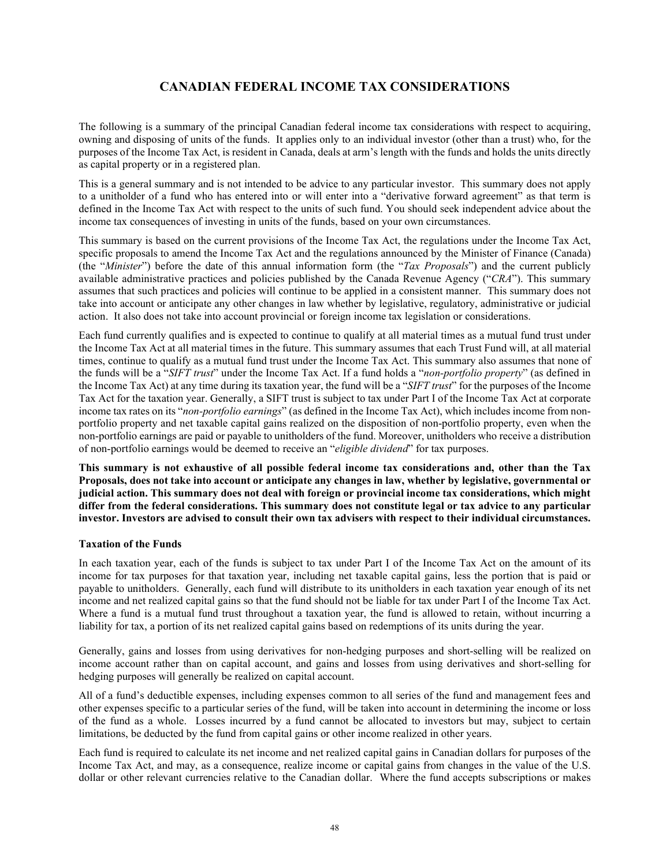# **CANADIAN FEDERAL INCOME TAX CONSIDERATIONS**

<span id="page-49-0"></span>The following is a summary of the principal Canadian federal income tax considerations with respect to acquiring, owning and disposing of units of the funds. It applies only to an individual investor (other than a trust) who, for the purposes of the Income Tax Act, is resident in Canada, deals at arm's length with the funds and holds the units directly as capital property or in a registered plan.

This is a general summary and is not intended to be advice to any particular investor. This summary does not apply to a unitholder of a fund who has entered into or will enter into a "derivative forward agreement" as that term is defined in the Income Tax Act with respect to the units of such fund. You should seek independent advice about the income tax consequences of investing in units of the funds, based on your own circumstances.

This summary is based on the current provisions of the Income Tax Act, the regulations under the Income Tax Act, specific proposals to amend the Income Tax Act and the regulations announced by the Minister of Finance (Canada) (the "*Minister*") before the date of this annual information form (the "*Tax Proposals*") and the current publicly available administrative practices and policies published by the Canada Revenue Agency ("*CRA*"). This summary assumes that such practices and policies will continue to be applied in a consistent manner. This summary does not take into account or anticipate any other changes in law whether by legislative, regulatory, administrative or judicial action. It also does not take into account provincial or foreign income tax legislation or considerations.

Each fund currently qualifies and is expected to continue to qualify at all material times as a mutual fund trust under the Income Tax Act at all material times in the future. This summary assumes that each Trust Fund will, at all material times, continue to qualify as a mutual fund trust under the Income Tax Act. This summary also assumes that none of the funds will be a "*SIFT trust*" under the Income Tax Act. If a fund holds a "*non-portfolio property*" (as defined in the Income Tax Act) at any time during its taxation year, the fund will be a "*SIFT trust*" for the purposes of the Income Tax Act for the taxation year. Generally, a SIFT trust is subject to tax under Part I of the Income Tax Act at corporate income tax rates on its "*non-portfolio earnings*" (as defined in the Income Tax Act), which includes income from nonportfolio property and net taxable capital gains realized on the disposition of non-portfolio property, even when the non-portfolio earnings are paid or payable to unitholders of the fund. Moreover, unitholders who receive a distribution of non-portfolio earnings would be deemed to receive an "*eligible dividend*" for tax purposes.

**This summary is not exhaustive of all possible federal income tax considerations and, other than the Tax Proposals, does not take into account or anticipate any changes in law, whether by legislative, governmental or judicial action. This summary does not deal with foreign or provincial income tax considerations, which might differ from the federal considerations. This summary does not constitute legal or tax advice to any particular investor. Investors are advised to consult their own tax advisers with respect to their individual circumstances.** 

## **Taxation of the Funds**

In each taxation year, each of the funds is subject to tax under Part I of the Income Tax Act on the amount of its income for tax purposes for that taxation year, including net taxable capital gains, less the portion that is paid or payable to unitholders. Generally, each fund will distribute to its unitholders in each taxation year enough of its net income and net realized capital gains so that the fund should not be liable for tax under Part I of the Income Tax Act. Where a fund is a mutual fund trust throughout a taxation year, the fund is allowed to retain, without incurring a liability for tax, a portion of its net realized capital gains based on redemptions of its units during the year.

Generally, gains and losses from using derivatives for non-hedging purposes and short-selling will be realized on income account rather than on capital account, and gains and losses from using derivatives and short-selling for hedging purposes will generally be realized on capital account.

All of a fund's deductible expenses, including expenses common to all series of the fund and management fees and other expenses specific to a particular series of the fund, will be taken into account in determining the income or loss of the fund as a whole. Losses incurred by a fund cannot be allocated to investors but may, subject to certain limitations, be deducted by the fund from capital gains or other income realized in other years.

Each fund is required to calculate its net income and net realized capital gains in Canadian dollars for purposes of the Income Tax Act, and may, as a consequence, realize income or capital gains from changes in the value of the U.S. dollar or other relevant currencies relative to the Canadian dollar. Where the fund accepts subscriptions or makes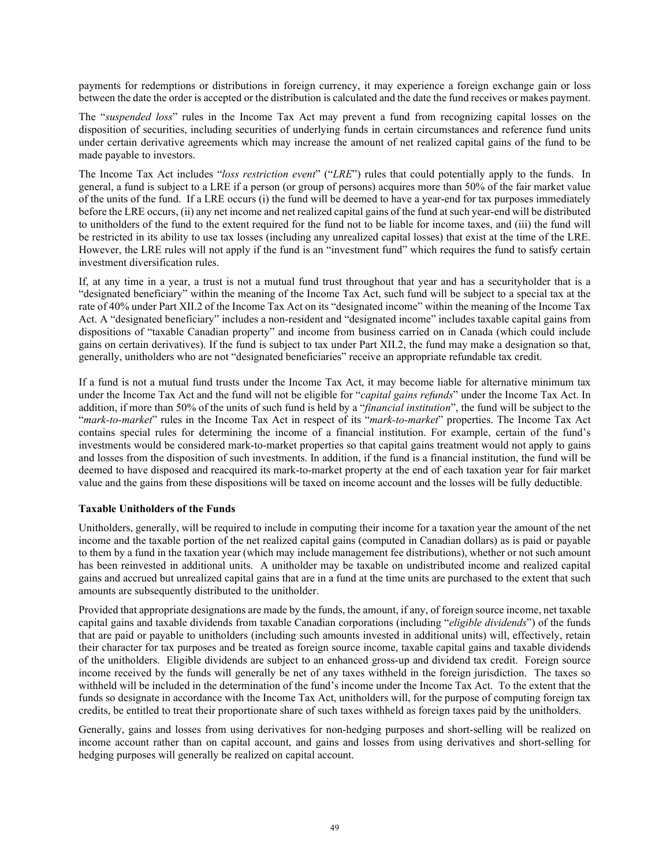payments for redemptions or distributions in foreign currency, it may experience a foreign exchange gain or loss between the date the order is accepted or the distribution is calculated and the date the fund receives or makes payment.

The "*suspended loss*" rules in the Income Tax Act may prevent a fund from recognizing capital losses on the disposition of securities, including securities of underlying funds in certain circumstances and reference fund units under certain derivative agreements which may increase the amount of net realized capital gains of the fund to be made payable to investors.

The Income Tax Act includes "*loss restriction event*" ("*LRE*") rules that could potentially apply to the funds. In general, a fund is subject to a LRE if a person (or group of persons) acquires more than 50% of the fair market value of the units of the fund. If a LRE occurs (i) the fund will be deemed to have a year-end for tax purposes immediately before the LRE occurs, (ii) any net income and net realized capital gains of the fund at such year-end will be distributed to unitholders of the fund to the extent required for the fund not to be liable for income taxes, and (iii) the fund will be restricted in its ability to use tax losses (including any unrealized capital losses) that exist at the time of the LRE. However, the LRE rules will not apply if the fund is an "investment fund" which requires the fund to satisfy certain investment diversification rules.

If, at any time in a year, a trust is not a mutual fund trust throughout that year and has a securityholder that is a "designated beneficiary" within the meaning of the Income Tax Act, such fund will be subject to a special tax at the rate of 40% under Part XII.2 of the Income Tax Act on its "designated income" within the meaning of the Income Tax Act. A "designated beneficiary" includes a non-resident and "designated income" includes taxable capital gains from dispositions of "taxable Canadian property" and income from business carried on in Canada (which could include gains on certain derivatives). If the fund is subject to tax under Part XII.2, the fund may make a designation so that, generally, unitholders who are not "designated beneficiaries" receive an appropriate refundable tax credit.

If a fund is not a mutual fund trusts under the Income Tax Act, it may become liable for alternative minimum tax under the Income Tax Act and the fund will not be eligible for "*capital gains refunds*" under the Income Tax Act. In addition, if more than 50% of the units of such fund is held by a "*financial institution*", the fund will be subject to the "*mark-to-market*" rules in the Income Tax Act in respect of its "*mark-to-market*" properties. The Income Tax Act contains special rules for determining the income of a financial institution. For example, certain of the fund's investments would be considered mark-to-market properties so that capital gains treatment would not apply to gains and losses from the disposition of such investments. In addition, if the fund is a financial institution, the fund will be deemed to have disposed and reacquired its mark-to-market property at the end of each taxation year for fair market value and the gains from these dispositions will be taxed on income account and the losses will be fully deductible.

## **Taxable Unitholders of the Funds**

Unitholders, generally, will be required to include in computing their income for a taxation year the amount of the net income and the taxable portion of the net realized capital gains (computed in Canadian dollars) as is paid or payable to them by a fund in the taxation year (which may include management fee distributions), whether or not such amount has been reinvested in additional units. A unitholder may be taxable on undistributed income and realized capital gains and accrued but unrealized capital gains that are in a fund at the time units are purchased to the extent that such amounts are subsequently distributed to the unitholder.

Provided that appropriate designations are made by the funds, the amount, if any, of foreign source income, net taxable capital gains and taxable dividends from taxable Canadian corporations (including "*eligible dividends*") of the funds that are paid or payable to unitholders (including such amounts invested in additional units) will, effectively, retain their character for tax purposes and be treated as foreign source income, taxable capital gains and taxable dividends of the unitholders. Eligible dividends are subject to an enhanced gross-up and dividend tax credit. Foreign source income received by the funds will generally be net of any taxes withheld in the foreign jurisdiction. The taxes so withheld will be included in the determination of the fund's income under the Income Tax Act. To the extent that the funds so designate in accordance with the Income Tax Act, unitholders will, for the purpose of computing foreign tax credits, be entitled to treat their proportionate share of such taxes withheld as foreign taxes paid by the unitholders.

Generally, gains and losses from using derivatives for non-hedging purposes and short-selling will be realized on income account rather than on capital account, and gains and losses from using derivatives and short-selling for hedging purposes will generally be realized on capital account.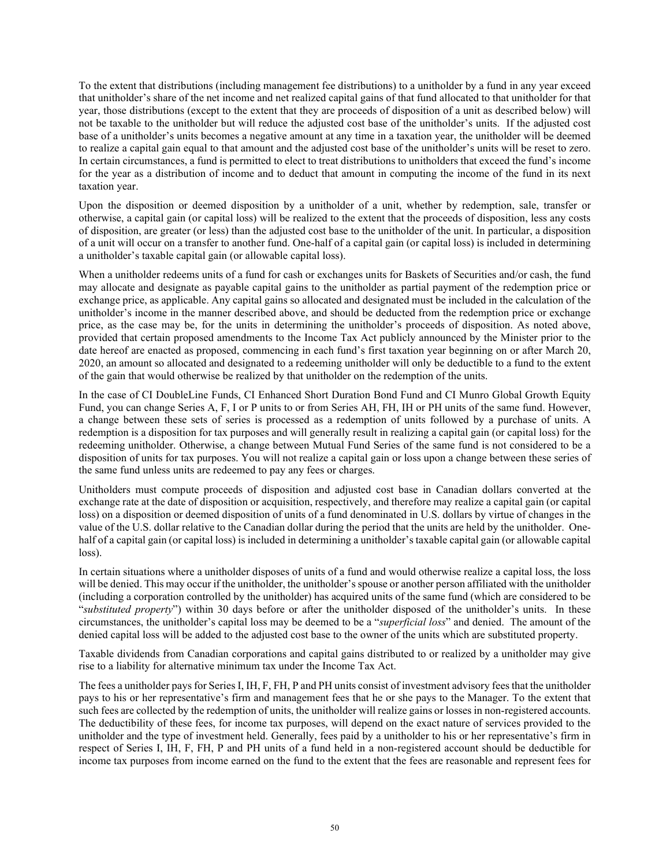To the extent that distributions (including management fee distributions) to a unitholder by a fund in any year exceed that unitholder's share of the net income and net realized capital gains of that fund allocated to that unitholder for that year, those distributions (except to the extent that they are proceeds of disposition of a unit as described below) will not be taxable to the unitholder but will reduce the adjusted cost base of the unitholder's units. If the adjusted cost base of a unitholder's units becomes a negative amount at any time in a taxation year, the unitholder will be deemed to realize a capital gain equal to that amount and the adjusted cost base of the unitholder's units will be reset to zero. In certain circumstances, a fund is permitted to elect to treat distributions to unitholders that exceed the fund's income for the year as a distribution of income and to deduct that amount in computing the income of the fund in its next taxation year.

Upon the disposition or deemed disposition by a unitholder of a unit, whether by redemption, sale, transfer or otherwise, a capital gain (or capital loss) will be realized to the extent that the proceeds of disposition, less any costs of disposition, are greater (or less) than the adjusted cost base to the unitholder of the unit. In particular, a disposition of a unit will occur on a transfer to another fund. One-half of a capital gain (or capital loss) is included in determining a unitholder's taxable capital gain (or allowable capital loss).

When a unitholder redeems units of a fund for cash or exchanges units for Baskets of Securities and/or cash, the fund may allocate and designate as payable capital gains to the unitholder as partial payment of the redemption price or exchange price, as applicable. Any capital gains so allocated and designated must be included in the calculation of the unitholder's income in the manner described above, and should be deducted from the redemption price or exchange price, as the case may be, for the units in determining the unitholder's proceeds of disposition. As noted above, provided that certain proposed amendments to the Income Tax Act publicly announced by the Minister prior to the date hereof are enacted as proposed, commencing in each fund's first taxation year beginning on or after March 20, 2020, an amount so allocated and designated to a redeeming unitholder will only be deductible to a fund to the extent of the gain that would otherwise be realized by that unitholder on the redemption of the units.

In the case of CI DoubleLine Funds, CI Enhanced Short Duration Bond Fund and CI Munro Global Growth Equity Fund, you can change Series A, F, I or P units to or from Series AH, FH, IH or PH units of the same fund. However, a change between these sets of series is processed as a redemption of units followed by a purchase of units. A redemption is a disposition for tax purposes and will generally result in realizing a capital gain (or capital loss) for the redeeming unitholder. Otherwise, a change between Mutual Fund Series of the same fund is not considered to be a disposition of units for tax purposes. You will not realize a capital gain or loss upon a change between these series of the same fund unless units are redeemed to pay any fees or charges.

Unitholders must compute proceeds of disposition and adjusted cost base in Canadian dollars converted at the exchange rate at the date of disposition or acquisition, respectively, and therefore may realize a capital gain (or capital loss) on a disposition or deemed disposition of units of a fund denominated in U.S. dollars by virtue of changes in the value of the U.S. dollar relative to the Canadian dollar during the period that the units are held by the unitholder. Onehalf of a capital gain (or capital loss) is included in determining a unitholder's taxable capital gain (or allowable capital loss).

In certain situations where a unitholder disposes of units of a fund and would otherwise realize a capital loss, the loss will be denied. This may occur if the unitholder, the unitholder's spouse or another person affiliated with the unitholder (including a corporation controlled by the unitholder) has acquired units of the same fund (which are considered to be "*substituted property*") within 30 days before or after the unitholder disposed of the unitholder's units. In these circumstances, the unitholder's capital loss may be deemed to be a "*superficial loss*" and denied. The amount of the denied capital loss will be added to the adjusted cost base to the owner of the units which are substituted property.

Taxable dividends from Canadian corporations and capital gains distributed to or realized by a unitholder may give rise to a liability for alternative minimum tax under the Income Tax Act.

The fees a unitholder pays for SeriesI, IH, F, FH, P and PH units consist of investment advisory fees that the unitholder pays to his or her representative's firm and management fees that he or she pays to the Manager. To the extent that such fees are collected by the redemption of units, the unitholder will realize gains or losses in non-registered accounts. The deductibility of these fees, for income tax purposes, will depend on the exact nature of services provided to the unitholder and the type of investment held. Generally, fees paid by a unitholder to his or her representative's firm in respect of Series I, IH, F, FH, P and PH units of a fund held in a non-registered account should be deductible for income tax purposes from income earned on the fund to the extent that the fees are reasonable and represent fees for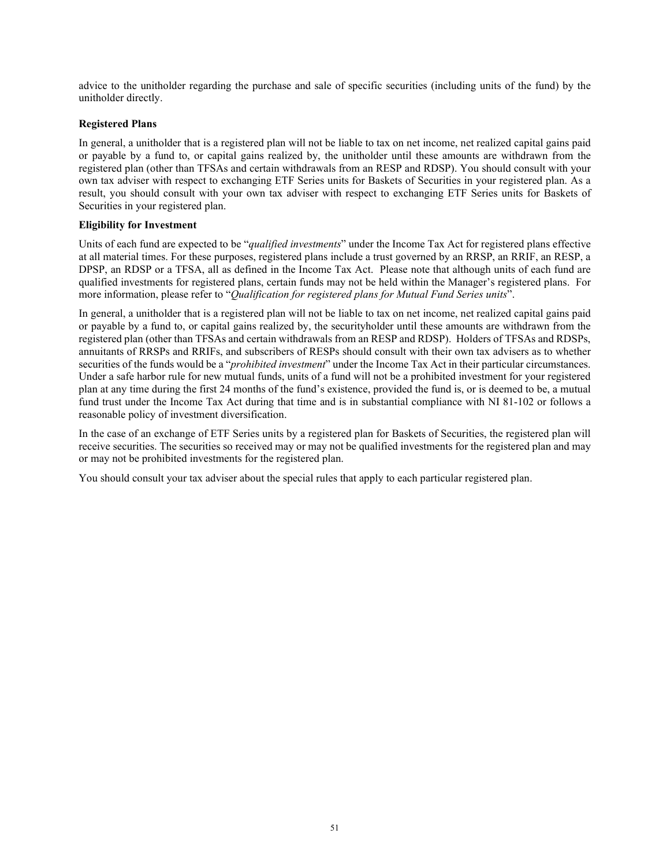advice to the unitholder regarding the purchase and sale of specific securities (including units of the fund) by the unitholder directly.

### **Registered Plans**

In general, a unitholder that is a registered plan will not be liable to tax on net income, net realized capital gains paid or payable by a fund to, or capital gains realized by, the unitholder until these amounts are withdrawn from the registered plan (other than TFSAs and certain withdrawals from an RESP and RDSP). You should consult with your own tax adviser with respect to exchanging ETF Series units for Baskets of Securities in your registered plan. As a result, you should consult with your own tax adviser with respect to exchanging ETF Series units for Baskets of Securities in your registered plan.

#### **Eligibility for Investment**

Units of each fund are expected to be "*qualified investments*" under the Income Tax Act for registered plans effective at all material times. For these purposes, registered plans include a trust governed by an RRSP, an RRIF, an RESP, a DPSP, an RDSP or a TFSA, all as defined in the Income Tax Act. Please note that although units of each fund are qualified investments for registered plans, certain funds may not be held within the Manager's registered plans. For more information, please refer to "*Qualification for registered plans for Mutual Fund Series units*".

In general, a unitholder that is a registered plan will not be liable to tax on net income, net realized capital gains paid or payable by a fund to, or capital gains realized by, the securityholder until these amounts are withdrawn from the registered plan (other than TFSAs and certain withdrawals from an RESP and RDSP). Holders of TFSAs and RDSPs, annuitants of RRSPs and RRIFs, and subscribers of RESPs should consult with their own tax advisers as to whether securities of the funds would be a "*prohibited investment*" under the Income Tax Act in their particular circumstances. Under a safe harbor rule for new mutual funds, units of a fund will not be a prohibited investment for your registered plan at any time during the first 24 months of the fund's existence, provided the fund is, or is deemed to be, a mutual fund trust under the Income Tax Act during that time and is in substantial compliance with NI 81-102 or follows a reasonable policy of investment diversification.

In the case of an exchange of ETF Series units by a registered plan for Baskets of Securities, the registered plan will receive securities. The securities so received may or may not be qualified investments for the registered plan and may or may not be prohibited investments for the registered plan.

You should consult your tax adviser about the special rules that apply to each particular registered plan.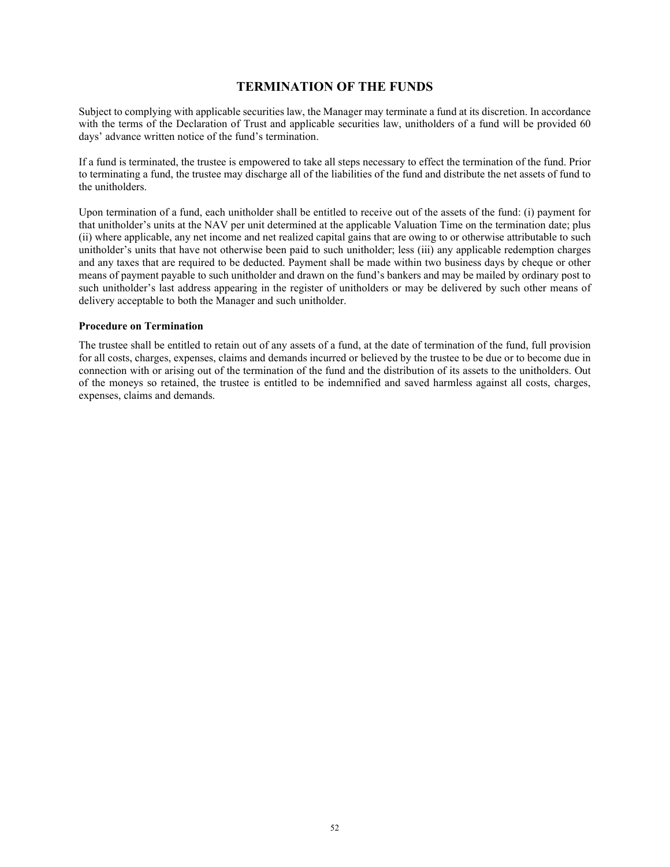## **TERMINATION OF THE FUNDS**

Subject to complying with applicable securities law, the Manager may terminate a fund at its discretion. In accordance with the terms of the Declaration of Trust and applicable securities law, unitholders of a fund will be provided 60 days' advance written notice of the fund's termination.

If a fund is terminated, the trustee is empowered to take all steps necessary to effect the termination of the fund. Prior to terminating a fund, the trustee may discharge all of the liabilities of the fund and distribute the net assets of fund to the unitholders.

Upon termination of a fund, each unitholder shall be entitled to receive out of the assets of the fund: (i) payment for that unitholder's units at the NAV per unit determined at the applicable Valuation Time on the termination date; plus (ii) where applicable, any net income and net realized capital gains that are owing to or otherwise attributable to such unitholder's units that have not otherwise been paid to such unitholder; less (iii) any applicable redemption charges and any taxes that are required to be deducted. Payment shall be made within two business days by cheque or other means of payment payable to such unitholder and drawn on the fund's bankers and may be mailed by ordinary post to such unitholder's last address appearing in the register of unitholders or may be delivered by such other means of delivery acceptable to both the Manager and such unitholder.

#### **Procedure on Termination**

The trustee shall be entitled to retain out of any assets of a fund, at the date of termination of the fund, full provision for all costs, charges, expenses, claims and demands incurred or believed by the trustee to be due or to become due in connection with or arising out of the termination of the fund and the distribution of its assets to the unitholders. Out of the moneys so retained, the trustee is entitled to be indemnified and saved harmless against all costs, charges, expenses, claims and demands.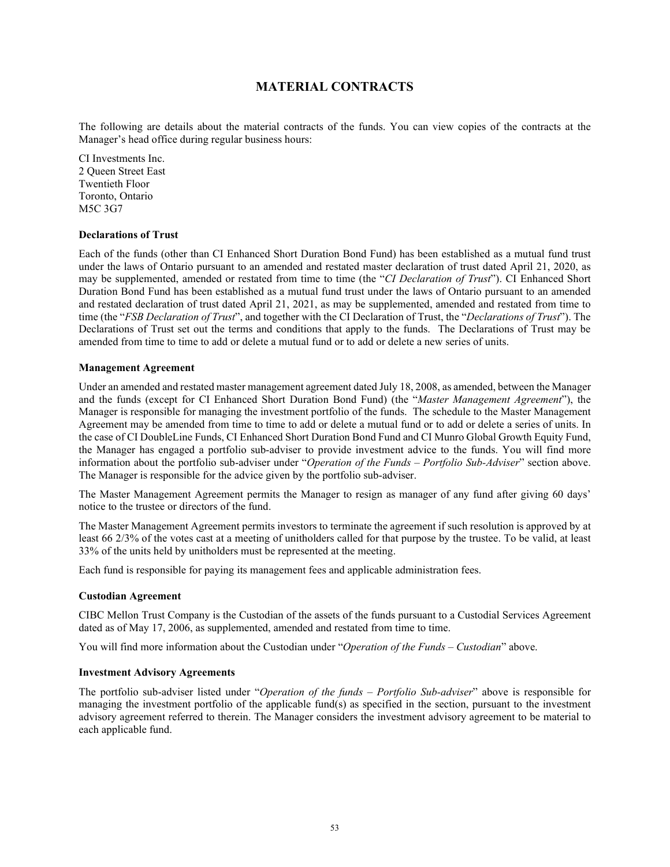# **MATERIAL CONTRACTS**

<span id="page-54-0"></span>The following are details about the material contracts of the funds. You can view copies of the contracts at the Manager's head office during regular business hours:

CI Investments Inc. 2 Queen Street East Twentieth Floor Toronto, Ontario M5C 3G7

#### **Declarations of Trust**

Each of the funds (other than CI Enhanced Short Duration Bond Fund) has been established as a mutual fund trust under the laws of Ontario pursuant to an amended and restated master declaration of trust dated April 21, 2020, as may be supplemented, amended or restated from time to time (the "*CI Declaration of Trust*"). CI Enhanced Short Duration Bond Fund has been established as a mutual fund trust under the laws of Ontario pursuant to an amended and restated declaration of trust dated April 21, 2021, as may be supplemented, amended and restated from time to time (the "*FSB Declaration of Trust*", and together with the CI Declaration of Trust, the "*Declarations of Trust*"). The Declarations of Trust set out the terms and conditions that apply to the funds. The Declarations of Trust may be amended from time to time to add or delete a mutual fund or to add or delete a new series of units.

#### **Management Agreement**

Under an amended and restated master management agreement dated July 18, 2008, as amended, between the Manager and the funds (except for CI Enhanced Short Duration Bond Fund) (the "*Master Management Agreement*"), the Manager is responsible for managing the investment portfolio of the funds. The schedule to the Master Management Agreement may be amended from time to time to add or delete a mutual fund or to add or delete a series of units. In the case of CI DoubleLine Funds, CI Enhanced Short Duration Bond Fund and CI Munro Global Growth Equity Fund, the Manager has engaged a portfolio sub-adviser to provide investment advice to the funds. You will find more information about the portfolio sub-adviser under "*Operation of the Funds – Portfolio Sub-Adviser*" section above. The Manager is responsible for the advice given by the portfolio sub-adviser.

The Master Management Agreement permits the Manager to resign as manager of any fund after giving 60 days' notice to the trustee or directors of the fund.

The Master Management Agreement permits investors to terminate the agreement if such resolution is approved by at least 66 2/3% of the votes cast at a meeting of unitholders called for that purpose by the trustee. To be valid, at least 33% of the units held by unitholders must be represented at the meeting.

Each fund is responsible for paying its management fees and applicable administration fees.

#### **Custodian Agreement**

CIBC Mellon Trust Company is the Custodian of the assets of the funds pursuant to a Custodial Services Agreement dated as of May 17, 2006, as supplemented, amended and restated from time to time.

You will find more information about the Custodian under "*Operation of the Funds – Custodian*" above.

#### **Investment Advisory Agreements**

The portfolio sub-adviser listed under "*Operation of the funds – Portfolio Sub-adviser*" above is responsible for managing the investment portfolio of the applicable fund(s) as specified in the section, pursuant to the investment advisory agreement referred to therein. The Manager considers the investment advisory agreement to be material to each applicable fund.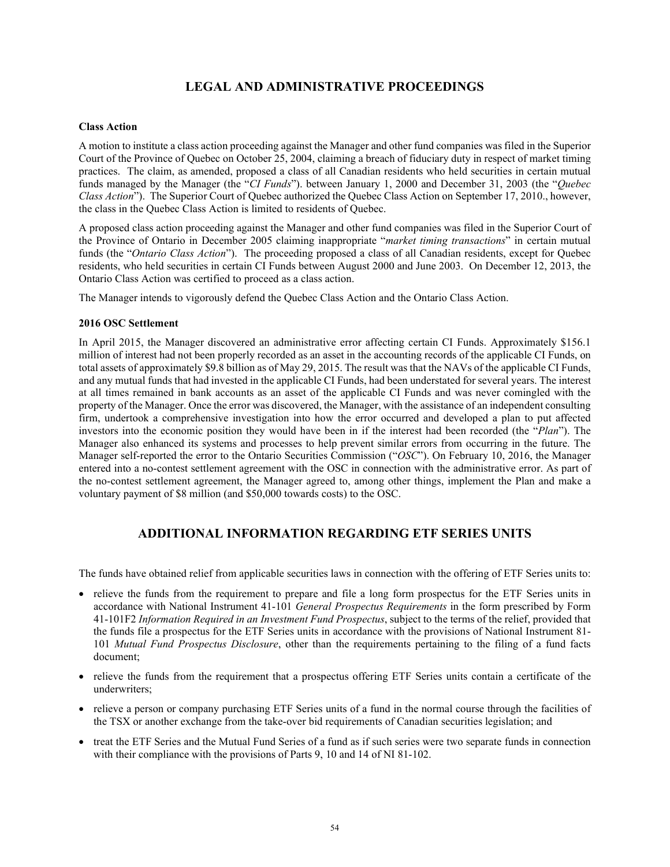# **LEGAL AND ADMINISTRATIVE PROCEEDINGS**

#### <span id="page-55-0"></span>**Class Action**

A motion to institute a class action proceeding against the Manager and other fund companies was filed in the Superior Court of the Province of Quebec on October 25, 2004, claiming a breach of fiduciary duty in respect of market timing practices. The claim, as amended, proposed a class of all Canadian residents who held securities in certain mutual funds managed by the Manager (the "*CI Funds*"). between January 1, 2000 and December 31, 2003 (the "*Quebec Class Action*"). The Superior Court of Quebec authorized the Quebec Class Action on September 17, 2010., however, the class in the Quebec Class Action is limited to residents of Quebec.

A proposed class action proceeding against the Manager and other fund companies was filed in the Superior Court of the Province of Ontario in December 2005 claiming inappropriate "*market timing transactions*" in certain mutual funds (the "*Ontario Class Action*"). The proceeding proposed a class of all Canadian residents, except for Quebec residents, who held securities in certain CI Funds between August 2000 and June 2003. On December 12, 2013, the Ontario Class Action was certified to proceed as a class action.

The Manager intends to vigorously defend the Quebec Class Action and the Ontario Class Action.

#### **2016 OSC Settlement**

In April 2015, the Manager discovered an administrative error affecting certain CI Funds. Approximately \$156.1 million of interest had not been properly recorded as an asset in the accounting records of the applicable CI Funds, on total assets of approximately \$9.8 billion as of May 29, 2015. The result was that the NAVs of the applicable CI Funds, and any mutual funds that had invested in the applicable CI Funds, had been understated for several years. The interest at all times remained in bank accounts as an asset of the applicable CI Funds and was never comingled with the property of the Manager. Once the error was discovered, the Manager, with the assistance of an independent consulting firm, undertook a comprehensive investigation into how the error occurred and developed a plan to put affected investors into the economic position they would have been in if the interest had been recorded (the "*Plan*"). The Manager also enhanced its systems and processes to help prevent similar errors from occurring in the future. The Manager self-reported the error to the Ontario Securities Commission ("*OSC*"). On February 10, 2016, the Manager entered into a no-contest settlement agreement with the OSC in connection with the administrative error. As part of the no-contest settlement agreement, the Manager agreed to, among other things, implement the Plan and make a voluntary payment of \$8 million (and \$50,000 towards costs) to the OSC.

## **ADDITIONAL INFORMATION REGARDING ETF SERIES UNITS**

<span id="page-55-1"></span>The funds have obtained relief from applicable securities laws in connection with the offering of ETF Series units to:

- relieve the funds from the requirement to prepare and file a long form prospectus for the ETF Series units in accordance with National Instrument 41-101 *General Prospectus Requirements* in the form prescribed by Form 41-101F2 *Information Required in an Investment Fund Prospectus*, subject to the terms of the relief, provided that the funds file a prospectus for the ETF Series units in accordance with the provisions of National Instrument 81- 101 *Mutual Fund Prospectus Disclosure*, other than the requirements pertaining to the filing of a fund facts document;
- relieve the funds from the requirement that a prospectus offering ETF Series units contain a certificate of the underwriters;
- relieve a person or company purchasing ETF Series units of a fund in the normal course through the facilities of the TSX or another exchange from the take-over bid requirements of Canadian securities legislation; and
- treat the ETF Series and the Mutual Fund Series of a fund as if such series were two separate funds in connection with their compliance with the provisions of Parts 9, 10 and 14 of NI 81-102.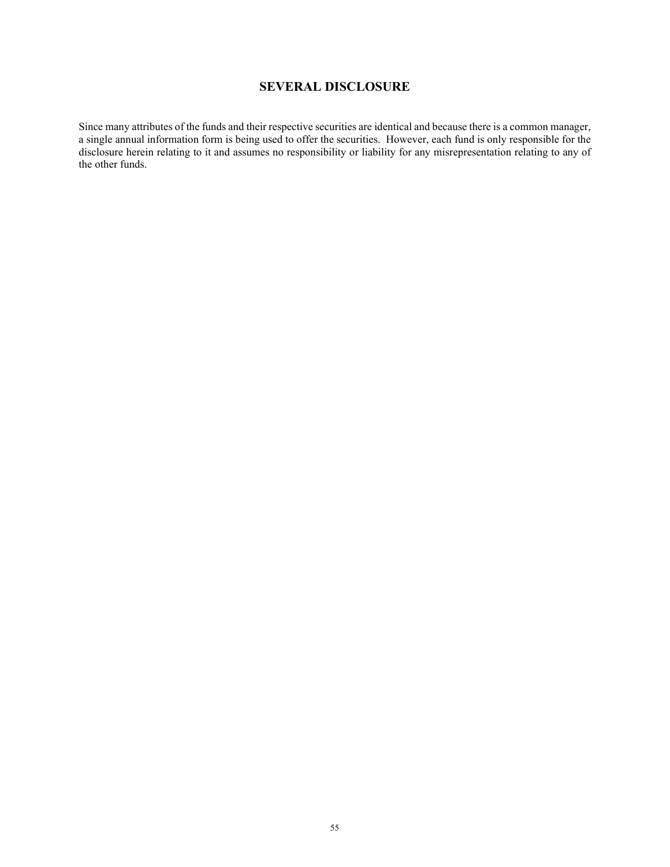# **SEVERAL DISCLOSURE**

<span id="page-56-0"></span>Since many attributes of the funds and their respective securities are identical and because there is a common manager, a single annual information form is being used to offer the securities. However, each fund is only responsible for the disclosure herein relating to it and assumes no responsibility or liability for any misrepresentation relating to any of the other funds.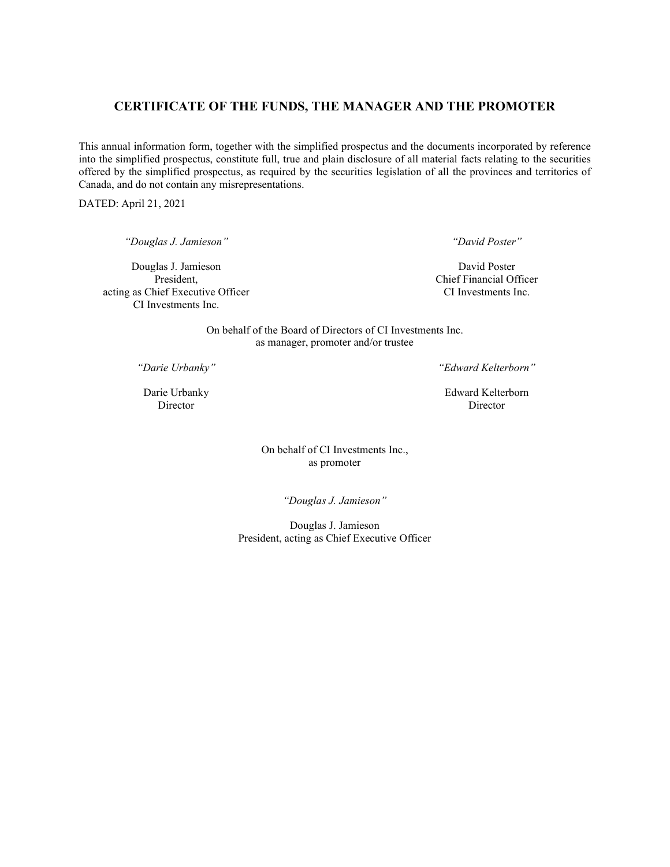## <span id="page-57-0"></span>**CERTIFICATE OF THE FUNDS, THE MANAGER AND THE PROMOTER**

This annual information form, together with the simplified prospectus and the documents incorporated by reference into the simplified prospectus, constitute full, true and plain disclosure of all material facts relating to the securities offered by the simplified prospectus, as required by the securities legislation of all the provinces and territories of Canada, and do not contain any misrepresentations.

DATED: April 21, 2021

*"Douglas J. Jamieson"*

Douglas J. Jamieson President, acting as Chief Executive Officer CI Investments Inc.

*"David Poster"*

David Poster Chief Financial Officer CI Investments Inc.

On behalf of the Board of Directors of CI Investments Inc. as manager, promoter and/or trustee

*"Darie Urbanky"*

Darie Urbanky Director

*"Edward Kelterborn"*

Edward Kelterborn Director

On behalf of CI Investments Inc., as promoter

*"Douglas J. Jamieson"*

Douglas J. Jamieson President, acting as Chief Executive Officer